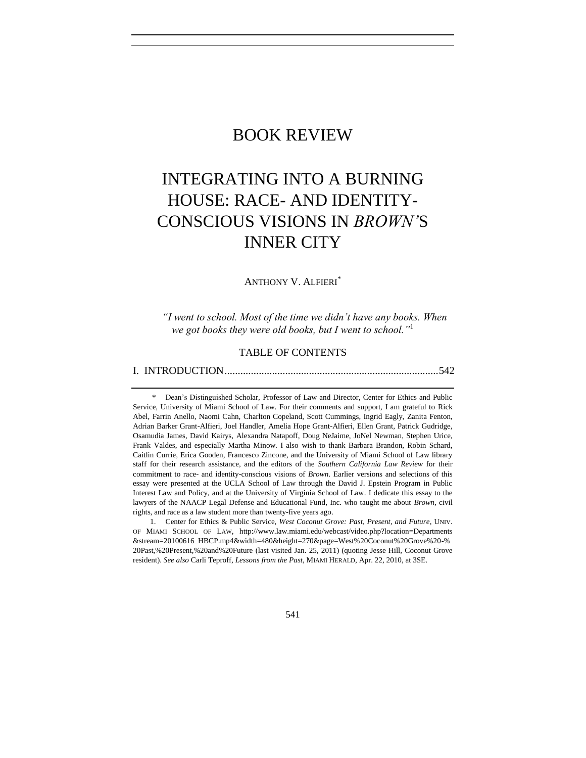# BOOK REVIEW

# INTEGRATING INTO A BURNING HOUSE: RACE- AND IDENTITY-CONSCIOUS VISIONS IN *BROWN'*S INNER CITY

ANTHONY V. ALFIERI\*

*―I went to school. Most of the time we didn't have any books. When we got books they were old books, but I went to school.*<sup>11</sup>

# TABLE OF CONTENTS

[I. INTRODUCTION.................................................................................542](#page-1-0)

1. Center for Ethics & Public Service, *West Coconut Grove: Past, Present, and Future*, UNIV. OF MIAMI SCHOOL OF LAW, http://www.law.miami.edu/webcast/video.php?location=Departments &stream=20100616\_HBCP.mp4&width=480&height=270&page=West%20Coconut%20Grove%20-% 20Past,%20Present,%20and%20Future (last visited Jan. 25, 2011) (quoting Jesse Hill, Coconut Grove resident). *See also* Carli Teproff, *Lessons from the Past*, MIAMI HERALD, Apr. 22, 2010, at 3SE.

<sup>\*</sup> Dean's Distinguished Scholar, Professor of Law and Director, Center for Ethics and Public Service, University of Miami School of Law. For their comments and support, I am grateful to Rick Abel, Farrin Anello, Naomi Cahn, Charlton Copeland, Scott Cummings, Ingrid Eagly, Zanita Fenton, Adrian Barker Grant-Alfieri, Joel Handler, Amelia Hope Grant-Alfieri, Ellen Grant, Patrick Gudridge, Osamudia James, David Kairys, Alexandra Natapoff, Doug NeJaime, JoNel Newman, Stephen Urice, Frank Valdes, and especially Martha Minow. I also wish to thank Barbara Brandon, Robin Schard, Caitlin Currie, Erica Gooden, Francesco Zincone, and the University of Miami School of Law library staff for their research assistance, and the editors of the *Southern California Law Review* for their commitment to race- and identity-conscious visions of *Brown*. Earlier versions and selections of this essay were presented at the UCLA School of Law through the David J. Epstein Program in Public Interest Law and Policy, and at the University of Virginia School of Law. I dedicate this essay to the lawyers of the NAACP Legal Defense and Educational Fund, Inc. who taught me about *Brown*, civil rights, and race as a law student more than twenty-five years ago.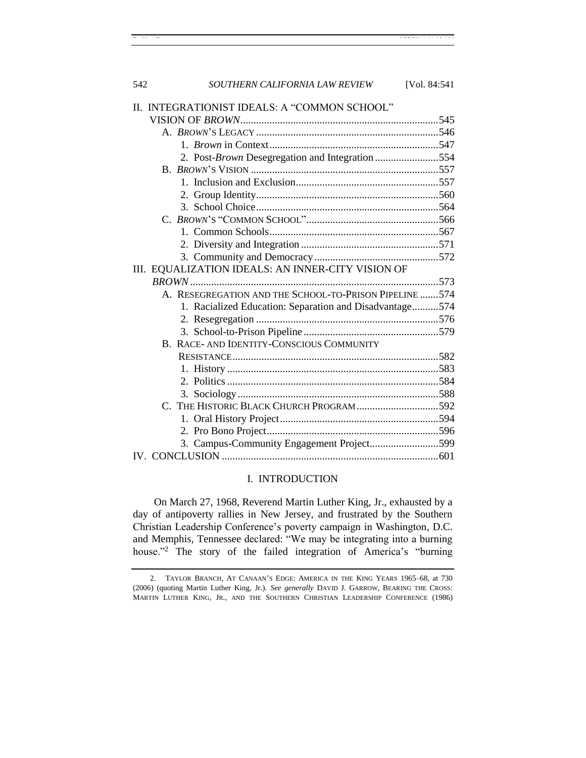| 542 | SOUTHERN CALIFORNIA LAW REVIEW                          | [Vol. 84:541] |
|-----|---------------------------------------------------------|---------------|
|     | II. INTEGRATIONIST IDEALS: A "COMMON SCHOOL"            |               |
|     |                                                         |               |
|     |                                                         |               |
|     |                                                         |               |
|     | 2. Post-Brown Desegregation and Integration 554         |               |
|     |                                                         |               |
|     |                                                         |               |
|     |                                                         |               |
|     |                                                         |               |
|     |                                                         |               |
|     |                                                         |               |
|     |                                                         |               |
|     |                                                         |               |
|     | III. EQUALIZATION IDEALS: AN INNER-CITY VISION OF       |               |
|     |                                                         |               |
|     | A. RESEGREGATION AND THE SCHOOL-TO-PRISON PIPELINE 574  |               |
|     | 1. Racialized Education: Separation and Disadvantage574 |               |
|     |                                                         |               |
|     |                                                         |               |
|     | B. RACE- AND IDENTITY-CONSCIOUS COMMUNITY               |               |
|     |                                                         |               |
|     |                                                         |               |
|     |                                                         |               |
|     |                                                         |               |
|     | C. THE HISTORIC BLACK CHURCH PROGRAM592                 |               |
|     |                                                         |               |
|     |                                                         |               |
|     | 3. Campus-Community Engagement Project599               |               |

# I. INTRODUCTION

<span id="page-1-0"></span>IV. CONCLUSION [..................................................................................601](#page-60-0)

On March 27, 1968, Reverend Martin Luther King, Jr., exhausted by a day of antipoverty rallies in New Jersey, and frustrated by the Southern Christian Leadership Conference's poverty campaign in Washington, D.C. and Memphis, Tennessee declared: "We may be integrating into a burning house."<sup>2</sup> The story of the failed integration of America's "burning"

<sup>2.</sup> TAYLOR BRANCH, AT CANAAN'S EDGE: AMERICA IN THE KING YEARS 1965–68, at 730 (2006) (quoting Martin Luther King, Jr.). *See generally* DAVID J. GARROW, BEARING THE CROSS: MARTIN LUTHER KING, JR., AND THE SOUTHERN CHRISTIAN LEADERSHIP CONFERENCE (1986)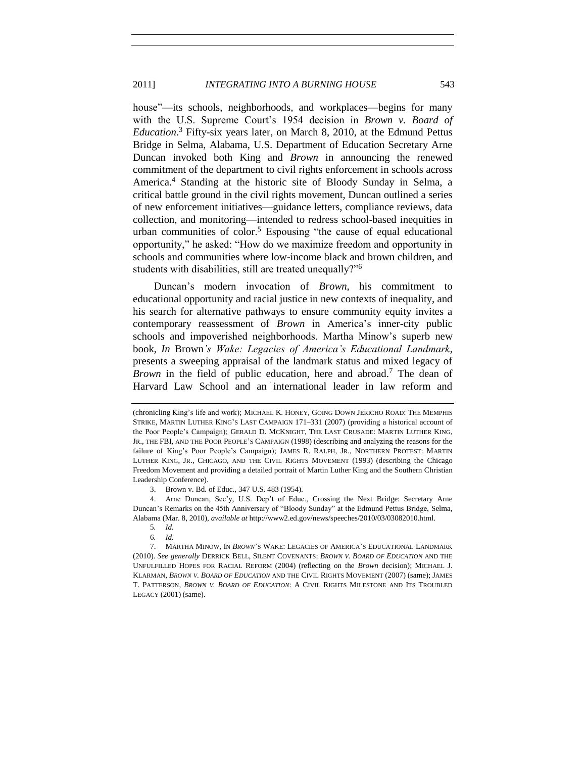<span id="page-2-1"></span>house"—its schools, neighborhoods, and workplaces—begins for many with the U.S. Supreme Court's 1954 decision in *Brown v. Board of Education*. <sup>3</sup> Fifty-six years later, on March 8, 2010, at the Edmund Pettus Bridge in Selma, Alabama, U.S. Department of Education Secretary Arne Duncan invoked both King and *Brown* in announcing the renewed commitment of the department to civil rights enforcement in schools across America.<sup>4</sup> Standing at the historic site of Bloody Sunday in Selma, a critical battle ground in the civil rights movement, Duncan outlined a series of new enforcement initiatives—guidance letters, compliance reviews, data collection, and monitoring—intended to redress school-based inequities in urban communities of color.<sup>5</sup> Espousing "the cause of equal educational opportunity," he asked: "How do we maximize freedom and opportunity in schools and communities where low-income black and brown children, and students with disabilities, still are treated unequally?"<sup>6</sup>

Duncan's modern invocation of *Brown*, his commitment to educational opportunity and racial justice in new contexts of inequality, and his search for alternative pathways to ensure community equity invites a contemporary reassessment of *Brown* in America's inner-city public schools and impoverished neighborhoods. Martha Minow's superb new book, *In* Brown*'s Wake: Legacies of America's Educational Landmark*, presents a sweeping appraisal of the landmark status and mixed legacy of *Brown* in the field of public education, here and abroad.<sup>7</sup> The dean of Harvard Law School and an international leader in law reform and

3. Brown v. Bd. of Educ., 347 U.S. 483 (1954).

<span id="page-2-0"></span><sup>(</sup>chronicling King's life and work); MICHAEL K. HONEY, GOING DOWN JERICHO ROAD: THE MEMPHIS STRIKE, MARTIN LUTHER KING'S LAST CAMPAIGN 171–331 (2007) (providing a historical account of the Poor People's Campaign); GERALD D. MCKNIGHT, THE LAST CRUSADE: MARTIN LUTHER KING, JR., THE FBI, AND THE POOR PEOPLE'S CAMPAIGN (1998) (describing and analyzing the reasons for the failure of King's Poor People's Campaign); JAMES R. RALPH, JR., NORTHERN PROTEST: MARTIN LUTHER KING, JR., CHICAGO, AND THE CIVIL RIGHTS MOVEMENT (1993) (describing the Chicago Freedom Movement and providing a detailed portrait of Martin Luther King and the Southern Christian Leadership Conference).

<sup>4.</sup> Arne Duncan, Sec'y, U.S. Dep't of Educ., Crossing the Next Bridge: Secretary Arne Duncan's Remarks on the 45th Anniversary of "Bloody Sunday" at the Edmund Pettus Bridge, Selma, Alabama (Mar. 8, 2010), *available at* http://www2.ed.gov/news/speeches/2010/03/03082010.html.

<sup>5</sup>*. Id.* 

<sup>6</sup>*. Id.*

<sup>7.</sup> MARTHA MINOW, IN *BROWN*'S WAKE: LEGACIES OF AMERICA'S EDUCATIONAL LANDMARK (2010). *See generally* DERRICK BELL, SILENT COVENANTS: *BROWN V. BOARD OF EDUCATION* AND THE UNFULFILLED HOPES FOR RACIAL REFORM (2004) (reflecting on the *Brown* decision); MICHAEL J. KLARMAN, *BROWN V. BOARD OF EDUCATION* AND THE CIVIL RIGHTS MOVEMENT (2007) (same); JAMES T. PATTERSON, *BROWN V. BOARD OF EDUCATION*: A CIVIL RIGHTS MILESTONE AND ITS TROUBLED LEGACY (2001) (same).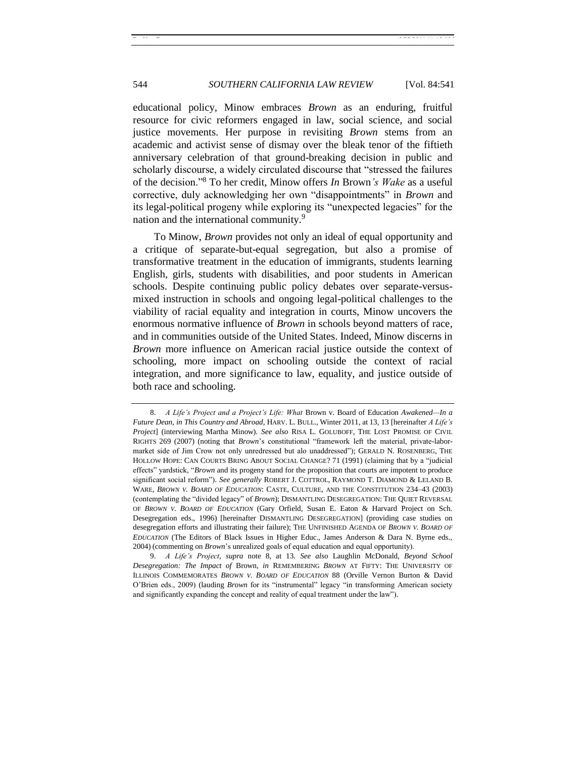educational policy, Minow embraces *Brown* as an enduring, fruitful resource for civic reformers engaged in law, social science, and social justice movements. Her purpose in revisiting *Brown* stems from an academic and activist sense of dismay over the bleak tenor of the fiftieth anniversary celebration of that ground-breaking decision in public and scholarly discourse, a widely circulated discourse that "stressed the failures of the decision."<sup>8</sup> To her credit, Minow offers *In* Brown's Wake as a useful corrective, duly acknowledging her own "disappointments" in *Brown* and its legal-political progeny while exploring its "unexpected legacies" for the nation and the international community.<sup>9</sup>

<span id="page-3-0"></span>To Minow, *Brown* provides not only an ideal of equal opportunity and a critique of separate-but-equal segregation, but also a promise of transformative treatment in the education of immigrants, students learning English, girls, students with disabilities, and poor students in American schools. Despite continuing public policy debates over separate-versusmixed instruction in schools and ongoing legal-political challenges to the viability of racial equality and integration in courts, Minow uncovers the enormous normative influence of *Brown* in schools beyond matters of race, and in communities outside of the United States. Indeed, Minow discerns in *Brown* more influence on American racial justice outside the context of schooling, more impact on schooling outside the context of racial integration, and more significance to law, equality, and justice outside of both race and schooling.

<sup>8.</sup> *A Life's Project and a Project's Life: What* Brown v. Board of Education *Awakened—In a Future Dean, in This Country and Abroad*, HARV. L. BULL., Winter 2011, at 13, 13 [hereinafter *A Life's Project*] (interviewing Martha Minow). *See also* RISA L. GOLUBOFF, THE LOST PROMISE OF CIVIL RIGHTS 269 (2007) (noting that *Brown*'s constitutional "framework left the material, private-labormarket side of Jim Crow not only unredressed but alo unaddressed"); GERALD N. ROSENBERG, THE HOLLOW HOPE: CAN COURTS BRING ABOUT SOCIAL CHANGE? 71 (1991) (claiming that by a "judicial effects" yardstick, "*Brown* and its progeny stand for the proposition that courts are impotent to produce significant social reform"). *See generally* ROBERT J. COTTROL, RAYMOND T. DIAMOND & LELAND B. WARE, *BROWN V. BOARD OF EDUCATION*: CASTE, CULTURE, AND THE CONSTITUTION 234–43 (2003) (contemplating the "divided legacy" of *Brown*); DISMANTLING DESEGREGATION: THE QUIET REVERSAL OF *BROWN V. BOARD OF EDUCATION* (Gary Orfield, Susan E. Eaton & Harvard Project on Sch. Desegregation eds., 1996) [hereinafter DISMANTLING DESEGREGATION] (providing case studies on desegregation efforts and illustrating their failure); THE UNFINISHED AGENDA OF *BROWN V. BOARD OF EDUCATION* (The Editors of Black Issues in Higher Educ., James Anderson & Dara N. Byrne eds., 2004) (commenting on *Brown*'s unrealized goals of equal education and equal opportunity).

<sup>9.</sup> *A Life's Project*, *supra* note [8,](#page-3-0) at 13. *See also* Laughlin McDonald, *Beyond School Desegregation: The Impact of* Brown, *in* REMEMBERING *BROWN* AT FIFTY: THE UNIVERSITY OF ILLINOIS COMMEMORATES *BROWN V. BOARD OF EDUCATION* 88 (Orville Vernon Burton & David O'Brien eds., 2009) (lauding *Brown* for its "instrumental" legacy "in transforming American society and significantly expanding the concept and reality of equal treatment under the law").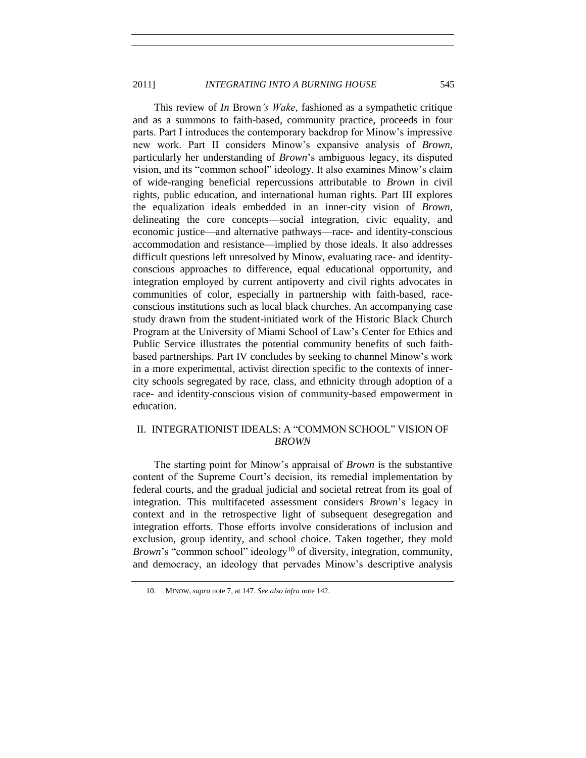This review of *In* Brown*'s Wake*, fashioned as a sympathetic critique and as a summons to faith-based, community practice, proceeds in four parts. Part I introduces the contemporary backdrop for Minow's impressive new work. Part II considers Minow's expansive analysis of *Brown*, particularly her understanding of *Brown*'s ambiguous legacy, its disputed vision, and its "common school" ideology. It also examines Minow's claim of wide-ranging beneficial repercussions attributable to *Brown* in civil rights, public education, and international human rights. Part III explores the equalization ideals embedded in an inner-city vision of *Brown*, delineating the core concepts—social integration, civic equality, and economic justice—and alternative pathways—race- and identity-conscious accommodation and resistance—implied by those ideals. It also addresses difficult questions left unresolved by Minow, evaluating race- and identityconscious approaches to difference, equal educational opportunity, and integration employed by current antipoverty and civil rights advocates in communities of color, especially in partnership with faith-based, raceconscious institutions such as local black churches. An accompanying case study drawn from the student-initiated work of the Historic Black Church Program at the University of Miami School of Law's Center for Ethics and Public Service illustrates the potential community benefits of such faithbased partnerships. Part IV concludes by seeking to channel Minow's work in a more experimental, activist direction specific to the contexts of innercity schools segregated by race, class, and ethnicity through adoption of a race- and identity-conscious vision of community-based empowerment in education.

# <span id="page-4-0"></span>II. INTEGRATIONIST IDEALS: A "COMMON SCHOOL" VISION OF *BROWN*

The starting point for Minow's appraisal of *Brown* is the substantive content of the Supreme Court's decision, its remedial implementation by federal courts, and the gradual judicial and societal retreat from its goal of integration. This multifaceted assessment considers *Brown*'s legacy in context and in the retrospective light of subsequent desegregation and integration efforts. Those efforts involve considerations of inclusion and exclusion, group identity, and school choice. Taken together, they mold *Brown*'s "common school" ideology<sup>10</sup> of diversity, integration, community, and democracy, an ideology that pervades Minow's descriptive analysis

<sup>10.</sup> MINOW, *supra* not[e 7,](#page-2-0) at 147. *See also infra* not[e 142.](#page-25-1)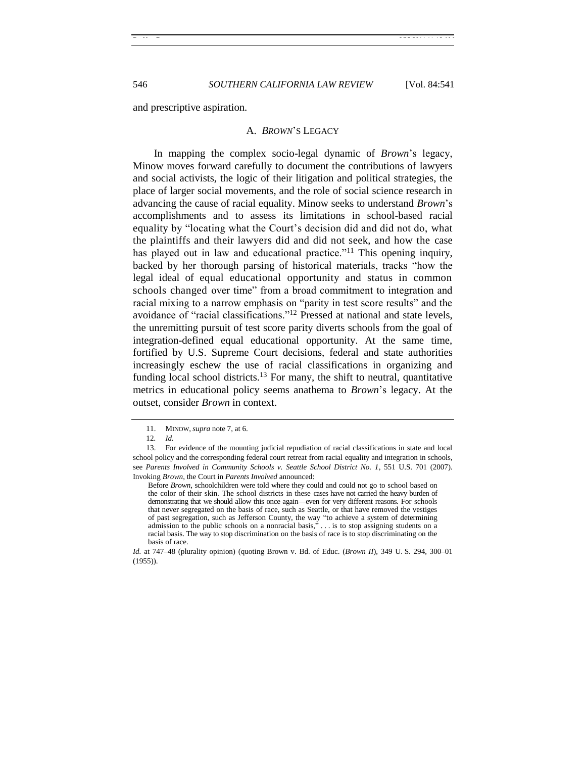<span id="page-5-0"></span>and prescriptive aspiration.

#### A. *BROWN*'S LEGACY

In mapping the complex socio-legal dynamic of *Brown*'s legacy, Minow moves forward carefully to document the contributions of lawyers and social activists, the logic of their litigation and political strategies, the place of larger social movements, and the role of social science research in advancing the cause of racial equality. Minow seeks to understand *Brown*'s accomplishments and to assess its limitations in school-based racial equality by "locating what the Court's decision did and did not do, what the plaintiffs and their lawyers did and did not seek, and how the case has played out in law and educational practice."<sup>11</sup> This opening inquiry, backed by her thorough parsing of historical materials, tracks "how the legal ideal of equal educational opportunity and status in common schools changed over time" from a broad commitment to integration and racial mixing to a narrow emphasis on "parity in test score results" and the avoidance of "racial classifications."<sup>12</sup> Pressed at national and state levels, the unremitting pursuit of test score parity diverts schools from the goal of integration-defined equal educational opportunity. At the same time, fortified by U.S. Supreme Court decisions, federal and state authorities increasingly eschew the use of racial classifications in organizing and funding local school districts.<sup>13</sup> For many, the shift to neutral, quantitative metrics in educational policy seems anathema to *Brown*'s legacy. At the outset, consider *Brown* in context.

<sup>11.</sup> MINOW, *supra* not[e 7,](#page-2-0) at 6.

<sup>12</sup>*. Id.*

<sup>13.</sup> For evidence of the mounting judicial repudiation of racial classifications in state and local school policy and the corresponding federal court retreat from racial equality and integration in schools, see *Parents Involved in Community Schools v. Seattle School District No. 1*, 551 U.S. 701 (2007). Invoking *Brown*, the Court in *Parents Involved* announced:

Before *Brown*, schoolchildren were told where they could and could not go to school based on the color of their skin. The school districts in these cases have not carried the heavy burden of demonstrating that we should allow this once again—even for very different reasons. For schools that never segregated on the basis of race, such as Seattle, or that have removed the vestiges of past segregation, such as Jefferson County, the way "to achieve a system of determining admission to the public schools on a nonracial basis, $\ldots$  is to stop assigning students on a racial basis. The way to stop discrimination on the basis of race is to stop discriminating on the basis of race.

*Id.* at 747–48 (plurality opinion) (quoting Brown v. Bd. of Educ. (*Brown II*), 349 U. S. 294, 300–01 (1955)).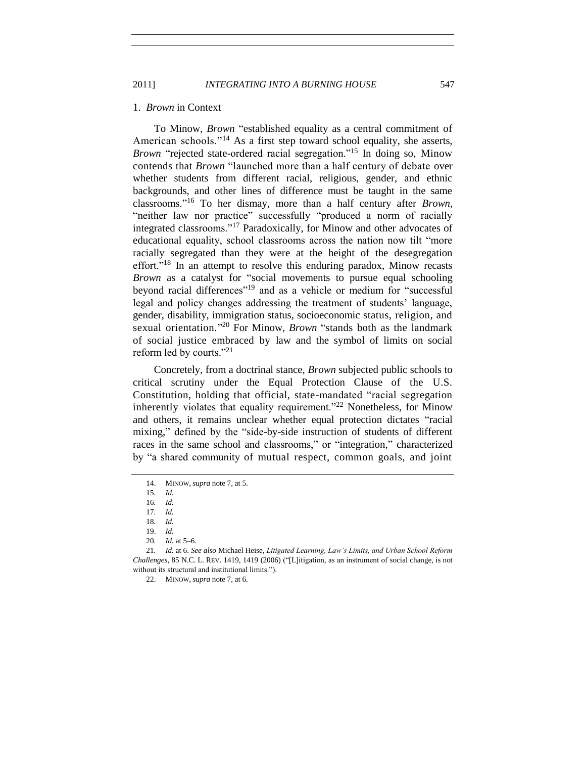2011] *INTEGRATING INTO A BURNING HOUSE* 547

#### <span id="page-6-0"></span>1. *Brown* in Context

To Minow, *Brown* "established equality as a central commitment of American schools."<sup>14</sup> As a first step toward school equality, she asserts, *Brown* "rejected state-ordered racial segregation."<sup>15</sup> In doing so, Minow contends that *Brown* "launched more than a half century of debate over whether students from different racial, religious, gender, and ethnic backgrounds, and other lines of difference must be taught in the same classrooms.‖<sup>16</sup> To her dismay, more than a half century after *Brown*, "neither law nor practice" successfully "produced a norm of racially integrated classrooms."<sup>17</sup> Paradoxically, for Minow and other advocates of educational equality, school classrooms across the nation now tilt "more racially segregated than they were at the height of the desegregation effort."<sup>18</sup> In an attempt to resolve this enduring paradox, Minow recasts *Brown* as a catalyst for "social movements to pursue equal schooling beyond racial differences"<sup>19</sup> and as a vehicle or medium for "successful legal and policy changes addressing the treatment of students' language, gender, disability, immigration status, socioeconomic status, religion, and sexual orientation."<sup>20</sup> For Minow, *Brown* "stands both as the landmark of social justice embraced by law and the symbol of limits on social reform led by courts." $21$ 

Concretely, from a doctrinal stance, *Brown* subjected public schools to critical scrutiny under the Equal Protection Clause of the U.S. Constitution, holding that official, state-mandated "racial segregation inherently violates that equality requirement.<sup>22</sup> Nonetheless, for Minow and others, it remains unclear whether equal protection dictates "racial mixing," defined by the "side-by-side instruction of students of different races in the same school and classrooms," or "integration," characterized by "a shared community of mutual respect, common goals, and joint

22. MINOW, *supra* not[e 7,](#page-2-0) at 6.

<sup>14.</sup> MINOW, *supra* not[e 7,](#page-2-0) at 5.

<sup>15</sup>*. Id.*

<sup>16</sup>*. Id.*

<sup>17</sup>*. Id.*

<sup>18</sup>*. Id.*

<sup>19.</sup> *Id.*

<sup>20</sup>*. Id.* at 5–6.

<sup>21</sup>*. Id.* at 6. *See also* Michael Heise, *Litigated Learning, Law's Limits, and Urban School Reform Challenges*, 85 N.C. L. REV. 1419, 1419 (2006) ("[L]itigation, as an instrument of social change, is not without its structural and institutional limits.").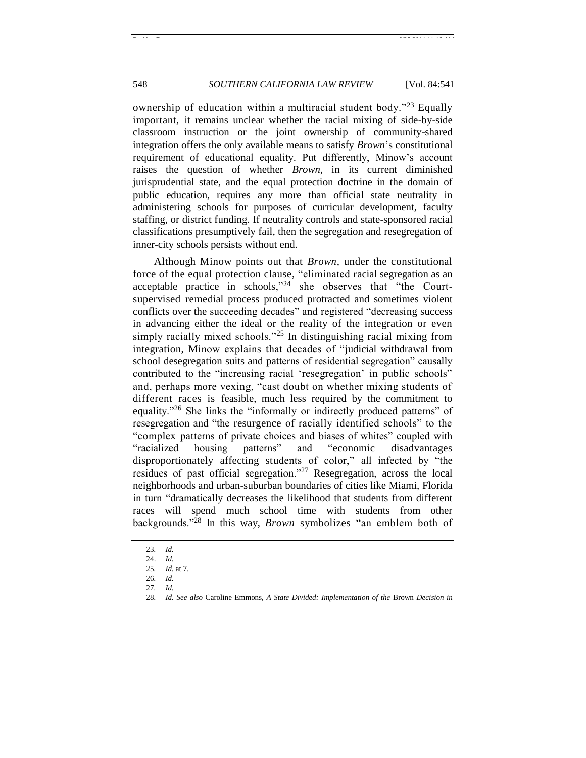ownership of education within a multiracial student body.<sup> $23$ </sup> Equally important, it remains unclear whether the racial mixing of side-by-side classroom instruction or the joint ownership of community-shared integration offers the only available means to satisfy *Brown*'s constitutional requirement of educational equality. Put differently, Minow's account raises the question of whether *Brown*, in its current diminished jurisprudential state, and the equal protection doctrine in the domain of public education, requires any more than official state neutrality in administering schools for purposes of curricular development, faculty staffing, or district funding. If neutrality controls and state-sponsored racial classifications presumptively fail, then the segregation and resegregation of inner-city schools persists without end.

Although Minow points out that *Brown*, under the constitutional force of the equal protection clause, "eliminated racial segregation as an acceptable practice in schools," $24$  she observes that "the Courtsupervised remedial process produced protracted and sometimes violent conflicts over the succeeding decades" and registered "decreasing success" in advancing either the ideal or the reality of the integration or even simply racially mixed schools."<sup>25</sup> In distinguishing racial mixing from integration, Minow explains that decades of "judicial withdrawal from school desegregation suits and patterns of residential segregation" causally contributed to the "increasing racial 'resegregation' in public schools" and, perhaps more vexing, "cast doubt on whether mixing students of different races is feasible, much less required by the commitment to equality."<sup>26</sup> She links the "informally or indirectly produced patterns" of resegregation and "the resurgence of racially identified schools" to the "complex patterns of private choices and biases of whites" coupled with "racialized housing patterns" and "economic disadvantages" disproportionately affecting students of color," all infected by "the residues of past official segregation.<sup>727</sup> Resegregation, across the local neighborhoods and urban-suburban boundaries of cities like Miami, Florida in turn "dramatically decreases the likelihood that students from different races will spend much school time with students from other backgrounds.<sup> $28$ </sup> In this way, *Brown* symbolizes "an emblem both of

<sup>23</sup>*. Id.*

<sup>24.</sup> *Id.*

<sup>25</sup>*. Id.* at 7.

<sup>26</sup>*. Id.* 

<sup>27</sup>*. Id.*

<sup>28</sup>*. Id. See also* Caroline Emmons, *A State Divided: Implementation of the* Brown *Decision in*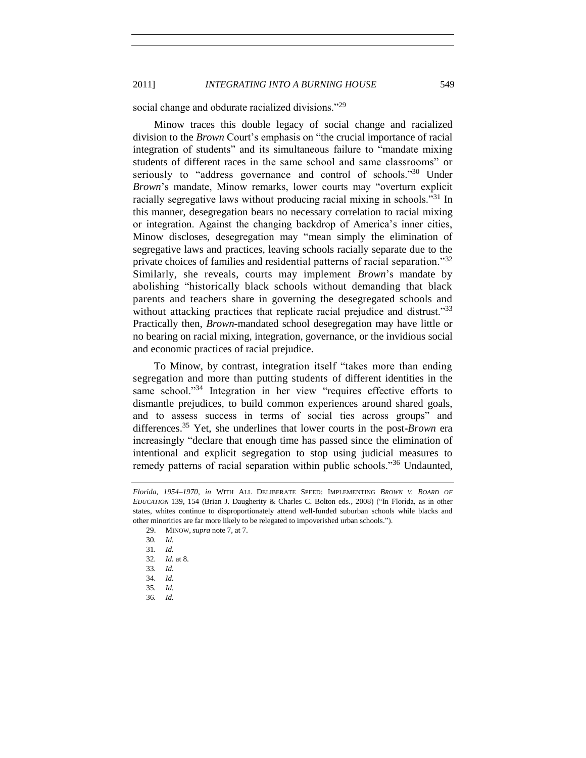social change and obdurate racialized divisions."<sup>29</sup>

Minow traces this double legacy of social change and racialized division to the *Brown* Court's emphasis on "the crucial importance of racial integration of students" and its simultaneous failure to "mandate mixing students of different races in the same school and same classrooms" or seriously to "address governance and control of schools."<sup>30</sup> Under *Brown*'s mandate, Minow remarks, lower courts may "overturn explicit" racially segregative laws without producing racial mixing in schools.<sup>331</sup> In this manner, desegregation bears no necessary correlation to racial mixing or integration. Against the changing backdrop of America's inner cities, Minow discloses, desegregation may "mean simply the elimination of segregative laws and practices, leaving schools racially separate due to the private choices of families and residential patterns of racial separation.<sup>32</sup> Similarly, she reveals, courts may implement *Brown*'s mandate by abolishing "historically black schools without demanding that black parents and teachers share in governing the desegregated schools and without attacking practices that replicate racial prejudice and distrust.<sup>33</sup> Practically then, *Brown*-mandated school desegregation may have little or no bearing on racial mixing, integration, governance, or the invidious social and economic practices of racial prejudice.

To Minow, by contrast, integration itself "takes more than ending segregation and more than putting students of different identities in the same school."<sup>34</sup> Integration in her view "requires effective efforts to dismantle prejudices, to build common experiences around shared goals, and to assess success in terms of social ties across groups" and differences.<sup>35</sup> Yet, she underlines that lower courts in the post-*Brown* era increasingly "declare that enough time has passed since the elimination of intentional and explicit segregation to stop using judicial measures to remedy patterns of racial separation within public schools.<sup>36</sup> Undaunted,

36*. Id.*

*Florida, 1954–1970*, *in* WITH ALL DELIBERATE SPEED: IMPLEMENTING *BROWN V. BOARD OF EDUCATION* 139, 154 (Brian J. Daugherity & Charles C. Bolton eds., 2008) ("In Florida, as in other states, whites continue to disproportionately attend well-funded suburban schools while blacks and other minorities are far more likely to be relegated to impoverished urban schools.").

<sup>29.</sup> MINOW, *supra* not[e 7,](#page-2-0) at 7.

<sup>30</sup>*. Id.*

<sup>31</sup>*. Id.*

<sup>32</sup>*. Id.* at 8.

<sup>33</sup>*. Id.*

<sup>34</sup>*. Id.*

<sup>35</sup>*. Id.*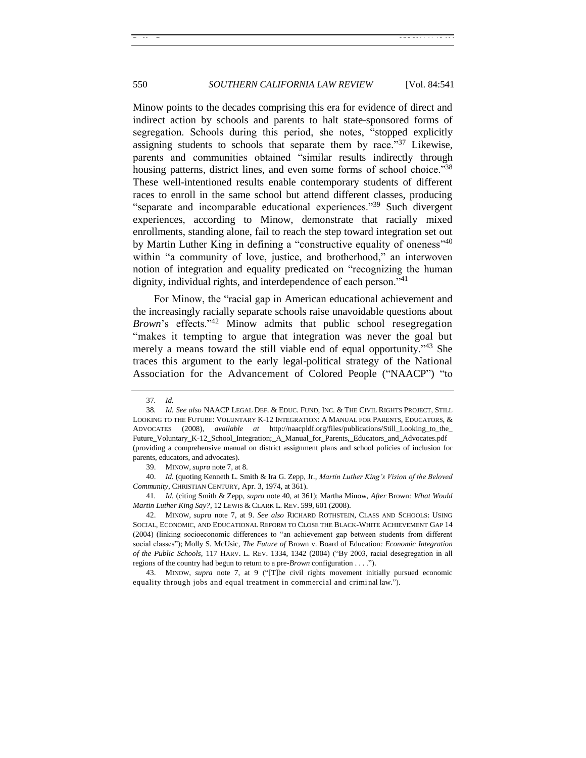# 550 *SOUTHERN CALIFORNIA LAW REVIEW* [Vol. 84:541]

Minow points to the decades comprising this era for evidence of direct and indirect action by schools and parents to halt state-sponsored forms of segregation. Schools during this period, she notes, "stopped explicitly assigning students to schools that separate them by race.<sup>37</sup> Likewise, parents and communities obtained "similar results indirectly through housing patterns, district lines, and even some forms of school choice.<sup>338</sup> These well-intentioned results enable contemporary students of different races to enroll in the same school but attend different classes, producing "separate and incomparable educational experiences."<sup>39</sup> Such divergent experiences, according to Minow, demonstrate that racially mixed enrollments, standing alone, fail to reach the step toward integration set out by Martin Luther King in defining a "constructive equality of oneness"<sup>40</sup> within "a community of love, justice, and brotherhood," an interwoven notion of integration and equality predicated on "recognizing the human dignity, individual rights, and interdependence of each person. $141$ 

<span id="page-9-1"></span><span id="page-9-0"></span>For Minow, the "racial gap in American educational achievement and the increasingly racially separate schools raise unavoidable questions about *Brown*'s effects."<sup>42</sup> Minow admits that public school resegregation "makes it tempting to argue that integration was never the goal but merely a means toward the still viable end of equal opportunity.<sup> $343$ </sup> She traces this argument to the early legal-political strategy of the National Association for the Advancement of Colored People ("NAACP") "to

41*. Id.* (citing Smith & Zepp, *supra* note [40,](#page-9-0) at 361); Martha Minow, *After* Brown*: What Would Martin Luther King Say?*, 12 LEWIS & CLARK L. REV. 599, 601 (2008).

42. MINOW, *supra* note [7,](#page-2-0) at 9. *See also* RICHARD ROTHSTEIN, CLASS AND SCHOOLS: USING SOCIAL, ECONOMIC, AND EDUCATIONAL REFORM TO CLOSE THE BLACK-WHITE ACHIEVEMENT GAP 14 (2004) (linking socioeconomic differences to "an achievement gap between students from different social classes"); Molly S. McUsic, *The Future of Brown v. Board of Education: Economic Integration of the Public Schools*, 117 HARV. L. REV. 1334, 1342 (2004) ("By 2003, racial desegregation in all regions of the country had begun to return to a pre-*Brown* configuration . . . .").

43. MINOW, *supra* note [7,](#page-2-0) at 9 ("[T]he civil rights movement initially pursued economic equality through jobs and equal treatment in commercial and criminal law.").

<sup>37</sup>*. Id.*

<sup>38</sup>*. Id. See also* NAACP LEGAL DEF. & EDUC. FUND, INC. & THE CIVIL RIGHTS PROJECT, STILL LOOKING TO THE FUTURE: VOLUNTARY K-12 INTEGRATION: A MANUAL FOR PARENTS, EDUCATORS, & ADVOCATES (2008), *available at* http://naacpldf.org/files/publications/Still\_Looking\_to\_the\_ Future\_Voluntary\_K-12\_School\_Integration;\_A\_Manual\_for\_Parents,\_Educators\_and\_Advocates.pdf (providing a comprehensive manual on district assignment plans and school policies of inclusion for parents, educators, and advocates).

<sup>39.</sup> MINOW, *supra* not[e 7,](#page-2-0) at 8.

<sup>40.</sup> *Id.* (quoting Kenneth L. Smith & Ira G. Zepp, Jr., *Martin Luther King's Vision of the Beloved Community*, CHRISTIAN CENTURY, Apr. 3, 1974, at 361).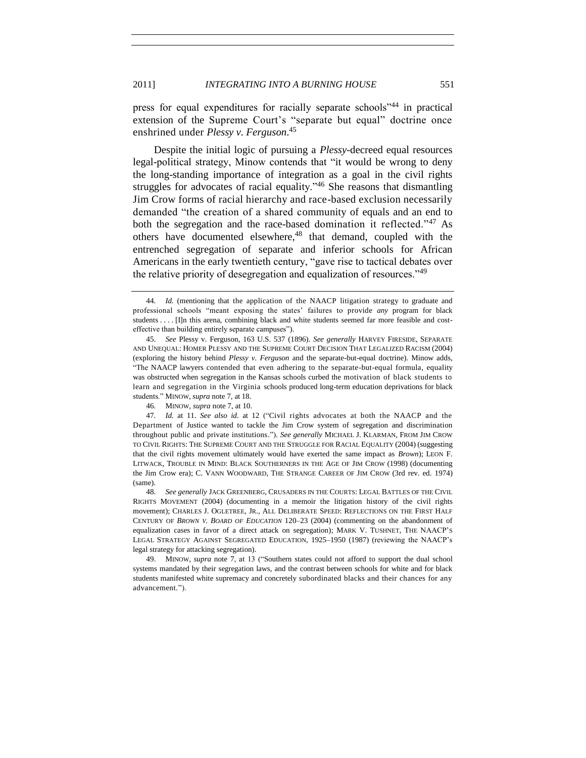press for equal expenditures for racially separate schools<sup>744</sup> in practical extension of the Supreme Court's "separate but equal" doctrine once enshrined under *Plessy v. Ferguson*. 45

Despite the initial logic of pursuing a *Plessy*-decreed equal resources legal-political strategy, Minow contends that "it would be wrong to deny the long-standing importance of integration as a goal in the civil rights struggles for advocates of racial equality.<sup> $46$ </sup> She reasons that dismantling Jim Crow forms of racial hierarchy and race-based exclusion necessarily demanded "the creation of a shared community of equals and an end to both the segregation and the race-based domination it reflected.<sup> $347$ </sup> As others have documented elsewhere,<sup>48</sup> that demand, coupled with the entrenched segregation of separate and inferior schools for African Americans in the early twentieth century, "gave rise to tactical debates over the relative priority of desegregation and equalization of resources.<sup>149</sup>

46*.* MINOW, *supra* note [7,](#page-2-0) at 10.

47. *Id.* at 11. *See also id.* at 12 ("Civil rights advocates at both the NAACP and the Department of Justice wanted to tackle the Jim Crow system of segregation and discrimination throughout public and private institutions.‖). *See generally* MICHAEL J. KLARMAN, FROM JIM CROW TO CIVIL RIGHTS: THE SUPREME COURT AND THE STRUGGLE FOR RACIAL EQUALITY (2004) (suggesting that the civil rights movement ultimately would have exerted the same impact as *Brown*); LEON F. LITWACK, TROUBLE IN MIND: BLACK SOUTHERNERS IN THE AGE OF JIM CROW (1998) (documenting the Jim Crow era); C. VANN WOODWARD, THE STRANGE CAREER OF JIM CROW (3rd rev. ed. 1974) (same).

48*. See generally* JACK GREENBERG, CRUSADERS IN THE COURTS: LEGAL BATTLES OF THE CIVIL RIGHTS MOVEMENT (2004) (documenting in a memoir the litigation history of the civil rights movement); CHARLES J. OGLETREE, JR., ALL DELIBERATE SPEED: REFLECTIONS ON THE FIRST HALF CENTURY OF *BROWN V. BOARD OF EDUCATION* 120–23 (2004) (commenting on the abandonment of equalization cases in favor of a direct attack on segregation); MARK V. TUSHNET, THE NAACP'S LEGAL STRATEGY AGAINST SEGREGATED EDUCATION, 1925–1950 (1987) (reviewing the NAACP's legal strategy for attacking segregation).

49. MINOW, *supra* note [7,](#page-2-0) at 13 ("Southern states could not afford to support the dual school systems mandated by their segregation laws, and the contrast between schools for white and for black students manifested white supremacy and concretely subordinated blacks and their chances for any advancement.").

<sup>44</sup>*. Id.* (mentioning that the application of the NAACP litigation strategy to graduate and professional schools "meant exposing the states' failures to provide *any* program for black students . . . . [I]n this arena, combining black and white students seemed far more feasible and costeffective than building entirely separate campuses").

<sup>45.</sup> *See* Plessy v. Ferguson, 163 U.S. 537 (1896). *See generally* HARVEY FIRESIDE, SEPARATE AND UNEQUAL: HOMER PLESSY AND THE SUPREME COURT DECISION THAT LEGALIZED RACISM (2004) (exploring the history behind *Plessy v. Ferguson* and the separate-but-equal doctrine). Minow adds, ―The NAACP lawyers contended that even adhering to the separate-but-equal formula, equality was obstructed when segregation in the Kansas schools curbed the motivation of black students to learn and segregation in the Virginia schools produced long-term education deprivations for black students." MINOW, *supra* not[e 7,](#page-2-0) at 18.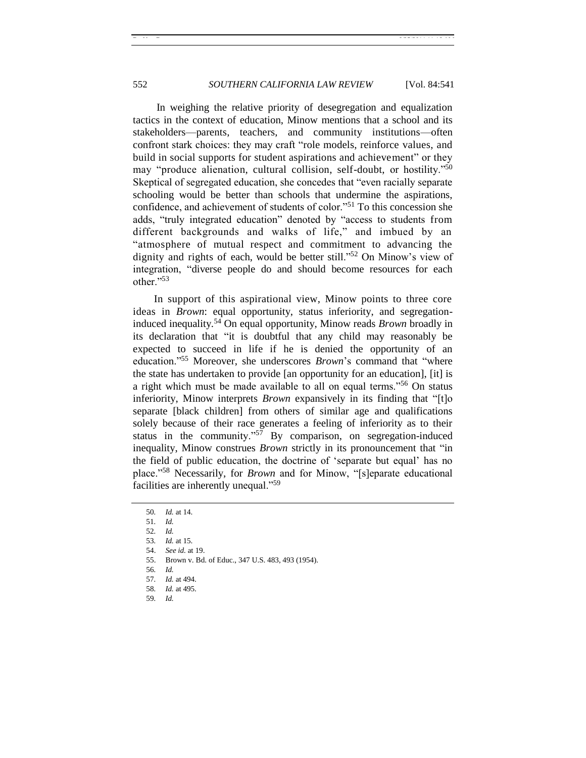In weighing the relative priority of desegregation and equalization tactics in the context of education, Minow mentions that a school and its stakeholders—parents, teachers, and community institutions—often confront stark choices: they may craft "role models, reinforce values, and build in social supports for student aspirations and achievement" or they may "produce alienation, cultural collision, self-doubt, or hostility."<sup>50</sup> Skeptical of segregated education, she concedes that "even racially separate" schooling would be better than schools that undermine the aspirations, confidence, and achievement of students of color."<sup>51</sup> To this concession she adds, "truly integrated education" denoted by "access to students from different backgrounds and walks of life," and imbued by an ―atmosphere of mutual respect and commitment to advancing the dignity and rights of each, would be better still."<sup>52</sup> On Minow's view of integration, "diverse people do and should become resources for each other."53

In support of this aspirational view, Minow points to three core ideas in *Brown*: equal opportunity, status inferiority, and segregationinduced inequality*.* <sup>54</sup> On equal opportunity, Minow reads *Brown* broadly in its declaration that "it is doubtful that any child may reasonably be expected to succeed in life if he is denied the opportunity of an education."<sup>55</sup> Moreover, she underscores *Brown*'s command that "where the state has undertaken to provide [an opportunity for an education], [it] is a right which must be made available to all on equal terms.<sup> $56$ </sup> On status inferiority, Minow interprets *Brown* expansively in its finding that "[t]o separate [black children] from others of similar age and qualifications solely because of their race generates a feeling of inferiority as to their status in the community."<sup>57</sup> By comparison, on segregation-induced inequality, Minow construes *Brown* strictly in its pronouncement that "in the field of public education, the doctrine of 'separate but equal' has no place.<sup>"58</sup> Necessarily, for *Brown* and for Minow, "[s]eparate educational facilities are inherently unequal."<sup>59</sup>

59*. Id.*

<sup>50</sup>*. Id.* at 14.

<sup>51</sup>*. Id.*

<sup>52</sup>*. Id.*

<sup>53</sup>*. Id.* at 15.

<sup>54.</sup> *See id.* at 19.

<sup>55.</sup> Brown v. Bd. of Educ., 347 U.S. 483, 493 (1954).

<sup>56</sup>*. Id.*

<sup>57</sup>*. Id.* at 494.

<sup>58</sup>*. Id.* at 495.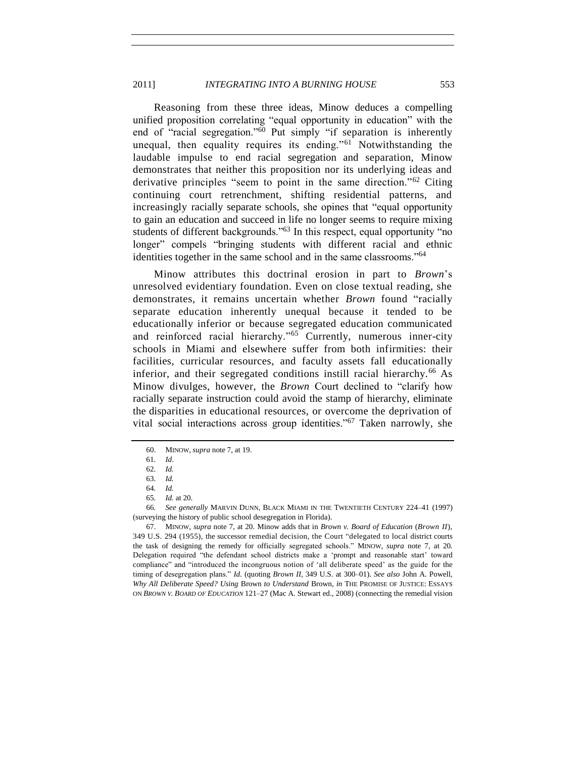Reasoning from these three ideas, Minow deduces a compelling unified proposition correlating "equal opportunity in education" with the end of "racial segregation."<sup>60</sup> Put simply "if separation is inherently unequal, then equality requires its ending." $61$  Notwithstanding the laudable impulse to end racial segregation and separation, Minow demonstrates that neither this proposition nor its underlying ideas and derivative principles "seem to point in the same direction."<sup>62</sup> Citing continuing court retrenchment, shifting residential patterns, and increasingly racially separate schools, she opines that "equal opportunity" to gain an education and succeed in life no longer seems to require mixing students of different backgrounds."<sup>63</sup> In this respect, equal opportunity "no longer" compels "bringing students with different racial and ethnic identities together in the same school and in the same classrooms."<sup>64</sup>

Minow attributes this doctrinal erosion in part to *Brown*'s unresolved evidentiary foundation. Even on close textual reading, she demonstrates, it remains uncertain whether *Brown* found "racially separate education inherently unequal because it tended to be educationally inferior or because segregated education communicated and reinforced racial hierarchy."<sup>65</sup> Currently, numerous inner-city schools in Miami and elsewhere suffer from both infirmities: their facilities, curricular resources, and faculty assets fall educationally inferior, and their segregated conditions instill racial hierarchy.<sup>66</sup> As Minow divulges, however, the *Brown* Court declined to "clarify how racially separate instruction could avoid the stamp of hierarchy, eliminate the disparities in educational resources, or overcome the deprivation of vital social interactions across group identities.<sup> $10^{67}$ </sup> Taken narrowly, she

67. MINOW, *supra* not[e 7,](#page-2-0) at 20. Minow adds that in *Brown v. Board of Education* (*Brown II*), 349 U.S. 294 (1955), the successor remedial decision, the Court "delegated to local district courts the task of designing the remedy for officially segregated schools.‖ MINOW, *supra* note [7,](#page-2-0) at 20*.* Delegation required "the defendant school districts make a 'prompt and reasonable start' toward compliance" and "introduced the incongruous notion of 'all deliberate speed' as the guide for the timing of desegregation plans.‖ *Id.* (quoting *Brown II*, 349 U.S. at 300–01). *See also* John A. Powell, *Why All Deliberate Speed? Using* Brown *to Understand* Brown, *in* THE PROMISE OF JUSTICE: ESSAYS ON *BROWN V. BOARD OF EDUCATION* 121–27 (Mac A. Stewart ed., 2008) (connecting the remedial vision

<sup>60.</sup> MINOW, *supra* not[e 7,](#page-2-0) at 19.

<sup>61</sup>*. Id*.

<sup>62</sup>*. Id.* 63*. Id.*

<sup>64</sup>*. Id.*

<sup>65</sup>*. Id.* at 20.

<sup>66</sup>*. See generally* MARVIN DUNN, BLACK MIAMI IN THE TWENTIETH CENTURY 224–41 (1997) (surveying the history of public school desegregation in Florida).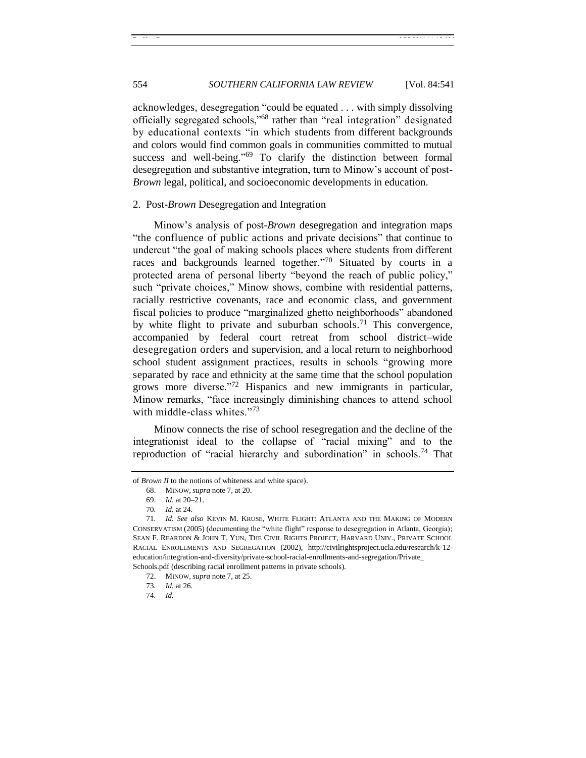# 554 *SOUTHERN CALIFORNIA LAW REVIEW* [Vol. 84:541]

acknowledges, desegregation "could be equated . . . with simply dissolving officially segregated schools,"<sup>68</sup> rather than "real integration" designated by educational contexts "in which students from different backgrounds and colors would find common goals in communities committed to mutual success and well-being." $69$  To clarify the distinction between formal desegregation and substantive integration, turn to Minow's account of post-*Brown* legal, political, and socioeconomic developments in education.

#### <span id="page-13-0"></span>2. Post-*Brown* Desegregation and Integration

Minow's analysis of post-*Brown* desegregation and integration maps "the confluence of public actions and private decisions" that continue to undercut "the goal of making schools places where students from different races and backgrounds learned together."70 Situated by courts in a protected arena of personal liberty "beyond the reach of public policy," such "private choices," Minow shows, combine with residential patterns, racially restrictive covenants, race and economic class, and government fiscal policies to produce "marginalized ghetto neighborhoods" abandoned by white flight to private and suburban schools.<sup>71</sup> This convergence, accompanied by federal court retreat from school district–wide desegregation orders and supervision, and a local return to neighborhood school student assignment practices, results in schools "growing more separated by race and ethnicity at the same time that the school population grows more diverse." $72$  Hispanics and new immigrants in particular, Minow remarks, "face increasingly diminishing chances to attend school with middle-class whites." $73$ 

Minow connects the rise of school resegregation and the decline of the integrationist ideal to the collapse of "racial mixing" and to the reproduction of "racial hierarchy and subordination" in schools.<sup>74</sup> That

of *Brown II* to the notions of whiteness and white space).

<sup>68.</sup> MINOW, *supra* not[e 7,](#page-2-0) at 20.

<sup>69.</sup> *Id.* at 20–21.

<sup>70</sup>*. Id.* at 24.

<sup>71</sup>*. Id. See also* KEVIN M. KRUSE, WHITE FLIGHT: ATLANTA AND THE MAKING OF MODERN CONSERVATISM (2005) (documenting the "white flight" response to desegregation in Atlanta, Georgia); SEAN F. REARDON & JOHN T. YUN, THE CIVIL RIGHTS PROJECT, HARVARD UNIV., PRIVATE SCHOOL RACIAL ENROLLMENTS AND SEGREGATION (2002), http://civilrightsproject.ucla.edu/research/k-12 education/integration-and-diversity/private-school-racial-enrollments-and-segregation/Private\_ Schools.pdf (describing racial enrollment patterns in private schools).

<sup>72.</sup> MINOW, *supra* not[e 7,](#page-2-0) at 25.

<sup>73</sup>*. Id.* at 26.

<sup>74</sup>*. Id.*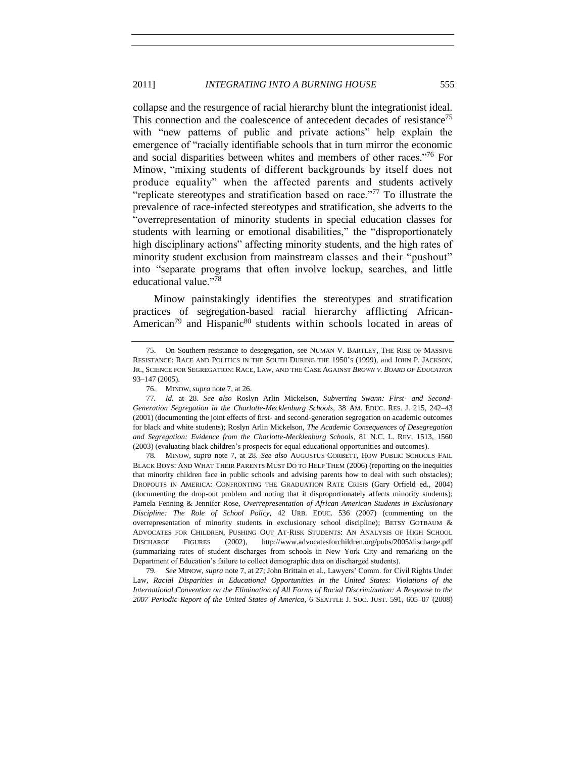collapse and the resurgence of racial hierarchy blunt the integrationist ideal. This connection and the coalescence of antecedent decades of resistance<sup>75</sup> with "new patterns of public and private actions" help explain the emergence of "racially identifiable schools that in turn mirror the economic and social disparities between whites and members of other races."<sup>76</sup> For Minow, "mixing students of different backgrounds by itself does not produce equality" when the affected parents and students actively "replicate stereotypes and stratification based on race."<sup>77</sup> To illustrate the prevalence of race-infected stereotypes and stratification, she adverts to the ―overrepresentation of minority students in special education classes for students with learning or emotional disabilities," the "disproportionately high disciplinary actions" affecting minority students, and the high rates of minority student exclusion from mainstream classes and their "pushout" into "separate programs that often involve lockup, searches, and little educational value."<sup>78</sup>

Minow painstakingly identifies the stereotypes and stratification practices of segregation-based racial hierarchy afflicting African-American<sup>79</sup> and Hispanic<sup>80</sup> students within schools located in areas of

<sup>75.</sup> On Southern resistance to desegregation, see NUMAN V. BARTLEY, THE RISE OF MASSIVE RESISTANCE: RACE AND POLITICS IN THE SOUTH DURING THE 1950'S (1999), and JOHN P. JACKSON, JR., SCIENCE FOR SEGREGATION: RACE, LAW, AND THE CASE AGAINST *BROWN V. BOARD OF EDUCATION* 93–147 (2005).

<sup>76.</sup> MINOW, *supra* not[e 7,](#page-2-0) at 26.

<sup>77</sup>*. Id.* at 28. *See also* Roslyn Arlin Mickelson, *Subverting Swann: First- and Second-Generation Segregation in the Charlotte-Mecklenburg Schools*, 38 AM. EDUC. RES. J. 215, 242–43 (2001) (documenting the joint effects of first- and second-generation segregation on academic outcomes for black and white students); Roslyn Arlin Mickelson, *The Academic Consequences of Desegregation and Segregation: Evidence from the Charlotte-Mecklenburg Schools*, 81 N.C. L. REV. 1513, 1560 (2003) (evaluating black children's prospects for equal educational opportunities and outcomes).

<sup>78</sup>*.* MINOW, *supra* note [7,](#page-2-0) at 28. *See also* AUGUSTUS CORBETT, HOW PUBLIC SCHOOLS FAIL BLACK BOYS: AND WHAT THEIR PARENTS MUST DO TO HELP THEM (2006) (reporting on the inequities that minority children face in public schools and advising parents how to deal with such obstacles); DROPOUTS IN AMERICA: CONFRONTING THE GRADUATION RATE CRISIS (Gary Orfield ed., 2004) (documenting the drop-out problem and noting that it disproportionately affects minority students); Pamela Fenning & Jennifer Rose, *Overrepresentation of African American Students in Exclusionary Discipline: The Role of School Policy*, 42 URB. EDUC. 536 (2007) (commenting on the overrepresentation of minority students in exclusionary school discipline); BETSY GOTBAUM & ADVOCATES FOR CHILDREN, PUSHING OUT AT-RISK STUDENTS: AN ANALYSIS OF HIGH SCHOOL DISCHARGE FIGURES (2002), http://www.advocatesforchildren.org/pubs/2005/discharge.pdf (summarizing rates of student discharges from schools in New York City and remarking on the Department of Education's failure to collect demographic data on discharged students).

<sup>79</sup>*. See* MINOW, *supra* not[e 7,](#page-2-0) at 27; John Brittain et al., Lawyers' Comm. for Civil Rights Under Law, *Racial Disparities in Educational Opportunities in the United States: Violations of the International Convention on the Elimination of All Forms of Racial Discrimination: A Response to the 2007 Periodic Report of the United States of America*, 6 SEATTLE J. SOC. JUST. 591, 605–07 (2008)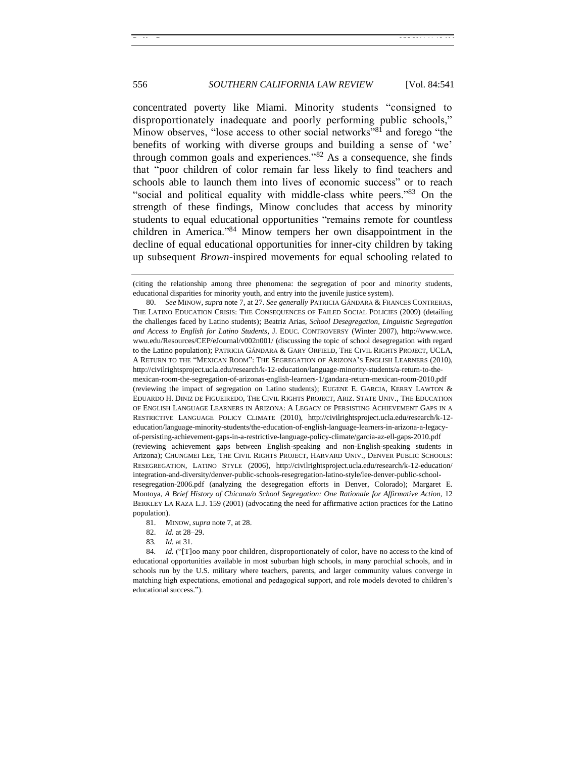concentrated poverty like Miami. Minority students "consigned to disproportionately inadequate and poorly performing public schools," Minow observes, "lose access to other social networks"<sup>81</sup> and forego "the benefits of working with diverse groups and building a sense of 'we' through common goals and experiences.<sup>382</sup> As a consequence, she finds that "poor children of color remain far less likely to find teachers and schools able to launch them into lives of economic success" or to reach "social and political equality with middle-class white peers." $83$  On the strength of these findings, Minow concludes that access by minority students to equal educational opportunities "remains remote for countless children in America."<sup>84</sup> Minow tempers her own disappointment in the decline of equal educational opportunities for inner-city children by taking up subsequent *Brown*-inspired movements for equal schooling related to

<sup>(</sup>citing the relationship among three phenomena: the segregation of poor and minority students, educational disparities for minority youth, and entry into the juvenile justice system).

<sup>80.</sup> *See* MINOW, *supra* not[e 7,](#page-2-0) at 27. *See generally* PATRICIA GÁNDARA & FRANCES CONTRERAS, THE LATINO EDUCATION CRISIS: THE CONSEQUENCES OF FAILED SOCIAL POLICIES (2009) (detailing the challenges faced by Latino students); Beatriz Arias, *School Desegregation, Linguistic Segregation and Access to English for Latino Students*, J. EDUC. CONTROVERSY (Winter 2007), http://www.wce. wwu.edu/Resources/CEP/eJournal/v002n001/ (discussing the topic of school desegregation with regard to the Latino population); PATRICIA GÁNDARA & GARY ORFIELD, THE CIVIL RIGHTS PROJECT, UCLA, A RETURN TO THE "MEXICAN ROOM": THE SEGREGATION OF ARIZONA'S ENGLISH LEARNERS (2010), http://civilrightsproject.ucla.edu/research/k-12-education/language-minority-students/a-return-to-themexican-room-the-segregation-of-arizonas-english-learners-1/gandara-return-mexican-room-2010.pdf (reviewing the impact of segregation on Latino students); EUGENE E. GARCIA, KERRY LAWTON & EDUARDO H. DINIZ DE FIGUEIREDO, THE CIVIL RIGHTS PROJECT, ARIZ. STATE UNIV., THE EDUCATION OF ENGLISH LANGUAGE LEARNERS IN ARIZONA: A LEGACY OF PERSISTING ACHIEVEMENT GAPS IN A RESTRICTIVE LANGUAGE POLICY CLIMATE (2010), http://civilrightsproject.ucla.edu/research/k-12 education/language-minority-students/the-education-of-english-language-learners-in-arizona-a-legacyof-persisting-achievement-gaps-in-a-restrictive-language-policy-climate/garcia-az-ell-gaps-2010.pdf (reviewing achievement gaps between English-speaking and non-English-speaking students in Arizona); CHUNGMEI LEE, THE CIVIL RIGHTS PROJECT, HARVARD UNIV., DENVER PUBLIC SCHOOLS: RESEGREGATION, LATINO STYLE (2006), http://civilrightsproject.ucla.edu/research/k-12-education/ integration-and-diversity/denver-public-schools-resegregation-latino-style/lee-denver-public-schoolresegregation-2006.pdf (analyzing the desegregation efforts in Denver, Colorado); Margaret E. Montoya, *A Brief History of Chicana/o School Segregation: One Rationale for Affirmative Action*, 12 BERKLEY LA RAZA L.J. 159 (2001) (advocating the need for affirmative action practices for the Latino population).

<sup>81.</sup> MINOW, *supra* not[e 7,](#page-2-0) at 28.

<sup>82.</sup> *Id.* at 28–29.

<sup>83</sup>*. Id.* at 31.

<sup>84.</sup> *Id.* ("[T]oo many poor children, disproportionately of color, have no access to the kind of educational opportunities available in most suburban high schools, in many parochial schools, and in schools run by the U.S. military where teachers, parents, and larger community values converge in matching high expectations, emotional and pedagogical support, and role models devoted to children's educational success.").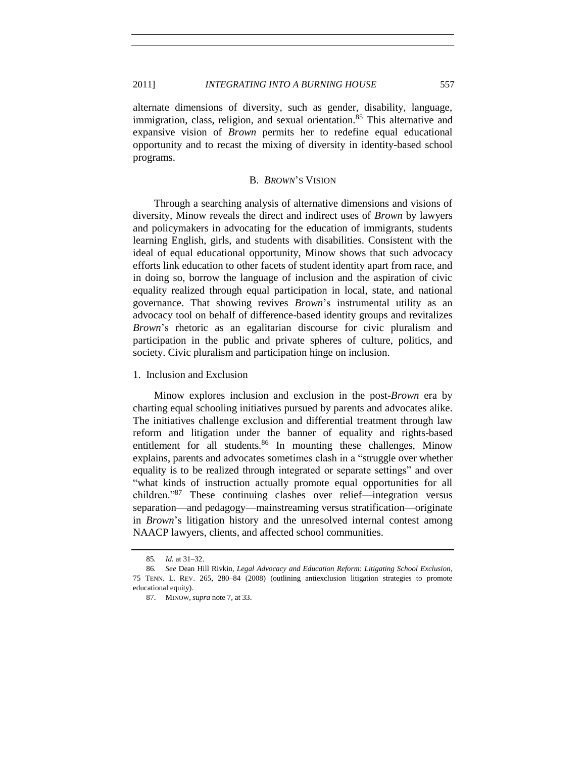alternate dimensions of diversity, such as gender, disability, language, immigration, class, religion, and sexual orientation.<sup>85</sup> This alternative and expansive vision of *Brown* permits her to redefine equal educational opportunity and to recast the mixing of diversity in identity-based school programs.

#### B. *BROWN*'S VISION

<span id="page-16-0"></span>Through a searching analysis of alternative dimensions and visions of diversity, Minow reveals the direct and indirect uses of *Brown* by lawyers and policymakers in advocating for the education of immigrants, students learning English, girls, and students with disabilities. Consistent with the ideal of equal educational opportunity, Minow shows that such advocacy efforts link education to other facets of student identity apart from race, and in doing so, borrow the language of inclusion and the aspiration of civic equality realized through equal participation in local, state, and national governance. That showing revives *Brown*'s instrumental utility as an advocacy tool on behalf of difference-based identity groups and revitalizes *Brown*'s rhetoric as an egalitarian discourse for civic pluralism and participation in the public and private spheres of culture, politics, and society. Civic pluralism and participation hinge on inclusion.

<span id="page-16-1"></span>1. Inclusion and Exclusion

Minow explores inclusion and exclusion in the post-*Brown* era by charting equal schooling initiatives pursued by parents and advocates alike. The initiatives challenge exclusion and differential treatment through law reform and litigation under the banner of equality and rights-based entitlement for all students.<sup>86</sup> In mounting these challenges, Minow explains, parents and advocates sometimes clash in a "struggle over whether equality is to be realized through integrated or separate settings" and over ―what kinds of instruction actually promote equal opportunities for all children.<sup>87</sup> These continuing clashes over relief—integration versus separation—and pedagogy—mainstreaming versus stratification—originate in *Brown*'s litigation history and the unresolved internal contest among NAACP lawyers, clients, and affected school communities.

<sup>85</sup>*. Id.* at 31–32.

<sup>86</sup>*. See* Dean Hill Rivkin, *Legal Advocacy and Education Reform: Litigating School Exclusion*, 75 TENN. L. REV. 265, 280–84 (2008) (outlining antiexclusion litigation strategies to promote educational equity).

<sup>87.</sup> MINOW, *supra* not[e 7,](#page-2-0) at 33.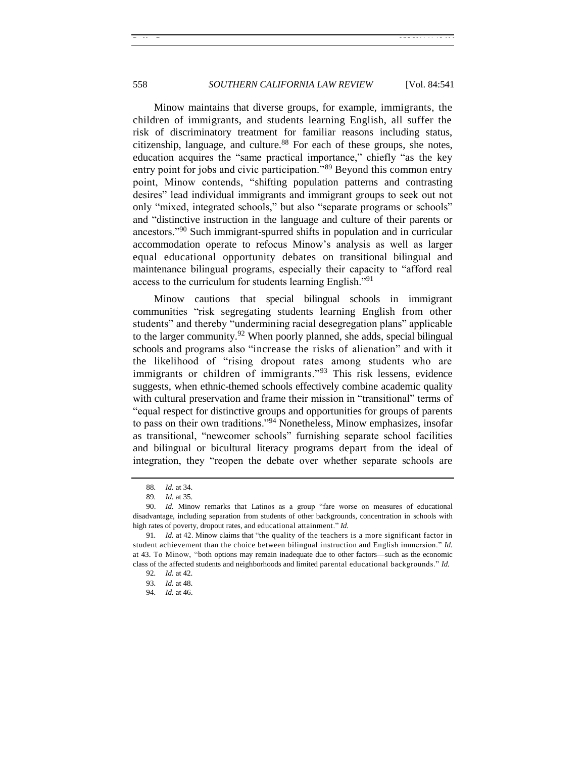Minow maintains that diverse groups, for example, immigrants, the children of immigrants, and students learning English, all suffer the risk of discriminatory treatment for familiar reasons including status, citizenship, language, and culture.<sup>88</sup> For each of these groups, she notes, education acquires the "same practical importance," chiefly "as the key entry point for jobs and civic participation.<sup>89</sup> Beyond this common entry point, Minow contends, "shifting population patterns and contrasting desires" lead individual immigrants and immigrant groups to seek out not only "mixed, integrated schools," but also "separate programs or schools" and "distinctive instruction in the language and culture of their parents or ancestors.<sup>190</sup> Such immigrant-spurred shifts in population and in curricular accommodation operate to refocus Minow's analysis as well as larger equal educational opportunity debates on transitional bilingual and maintenance bilingual programs, especially their capacity to "afford real access to the curriculum for students learning English."<sup>91</sup>

Minow cautions that special bilingual schools in immigrant communities "risk segregating students learning English from other students" and thereby "undermining racial desegregation plans" applicable to the larger community.<sup>92</sup> When poorly planned, she adds, special bilingual schools and programs also "increase the risks of alienation" and with it the likelihood of "rising dropout rates among students who are immigrants or children of immigrants.<sup> $93$ </sup> This risk lessens, evidence suggests, when ethnic-themed schools effectively combine academic quality with cultural preservation and frame their mission in "transitional" terms of "equal respect for distinctive groups and opportunities for groups of parents to pass on their own traditions."<sup>94</sup> Nonetheless, Minow emphasizes, insofar as transitional, "newcomer schools" furnishing separate school facilities and bilingual or bicultural literacy programs depart from the ideal of integration, they "reopen the debate over whether separate schools are

<sup>88</sup>*. Id.* at 34.

<sup>89</sup>*. Id.* at 35.

<sup>90.</sup> *Id.* Minow remarks that Latinos as a group "fare worse on measures of educational disadvantage, including separation from students of other backgrounds, concentration in schools with high rates of poverty, dropout rates, and educational attainment." *Id.* 

<sup>91.</sup> *Id.* at 42. Minow claims that "the quality of the teachers is a more significant factor in student achievement than the choice between bilingual instruction and English immersion." *Id.* at 43. To Minow, "both options may remain inadequate due to other factors—such as the economic class of the affected students and neighborhoods and limited parental educational backgrounds." *Id.* 

<sup>92</sup>*. Id.* at 42.

<sup>93</sup>*. Id.* at 48.

<sup>94</sup>*. Id.* at 46.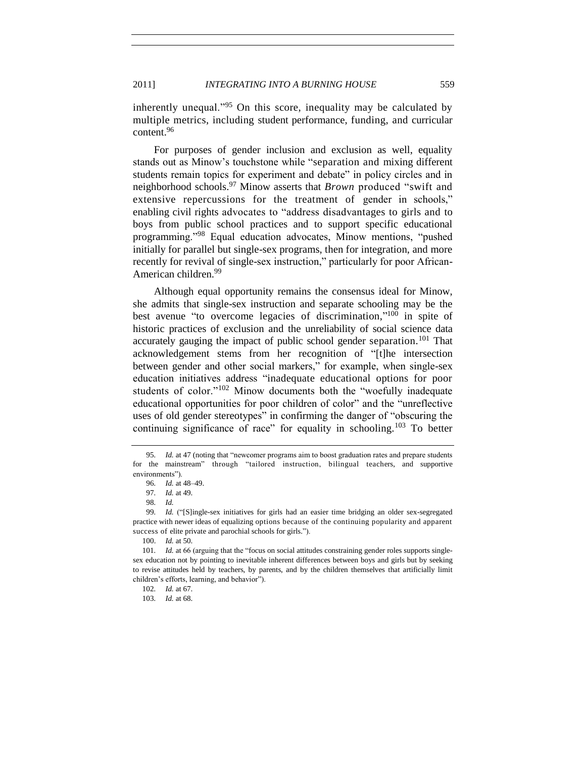inherently unequal.<sup>95</sup> On this score, inequality may be calculated by multiple metrics, including student performance, funding, and curricular content.<sup>96</sup>

For purposes of gender inclusion and exclusion as well, equality stands out as Minow's touchstone while "separation and mixing different students remain topics for experiment and debate" in policy circles and in neighborhood schools.<sup>97</sup> Minow asserts that *Brown* produced "swift and extensive repercussions for the treatment of gender in schools," enabling civil rights advocates to "address disadvantages to girls and to boys from public school practices and to support specific educational programming."<sup>98</sup> Equal education advocates, Minow mentions, "pushed initially for parallel but single-sex programs, then for integration, and more recently for revival of single-sex instruction," particularly for poor African-American children.<sup>99</sup>

Although equal opportunity remains the consensus ideal for Minow, she admits that single-sex instruction and separate schooling may be the best avenue "to overcome legacies of discrimination," $100$  in spite of historic practices of exclusion and the unreliability of social science data accurately gauging the impact of public school gender separation.<sup>101</sup> That acknowledgement stems from her recognition of "[t]he intersection between gender and other social markers," for example, when single-sex education initiatives address "inadequate educational options for poor students of color."<sup>102</sup> Minow documents both the "woefully inadequate educational opportunities for poor children of color" and the "unreflective uses of old gender stereotypes" in confirming the danger of "obscuring the continuing significance of race" for equality in schooling.<sup>103</sup> To better

103*. Id.* at 68.

<sup>95.</sup> *Id.* at 47 (noting that "newcomer programs aim to boost graduation rates and prepare students for the mainstream" through "tailored instruction, bilingual teachers, and supportive environments").

<sup>96</sup>*. Id.* at 48–49.

<sup>97</sup>*. Id.* at 49.

<sup>98</sup>*. Id.* 

<sup>99.</sup> *Id.* ("Slingle-sex initiatives for girls had an easier time bridging an older sex-segregated practice with newer ideas of equalizing options because of the continuing popularity and apparent success of elite private and parochial schools for girls.").

<sup>100.</sup> *Id.* at 50.

<sup>101.</sup> *Id.* at 66 (arguing that the "focus on social attitudes constraining gender roles supports singlesex education not by pointing to inevitable inherent differences between boys and girls but by seeking to revise attitudes held by teachers, by parents, and by the children themselves that artificially limit children's efforts, learning, and behavior").

<sup>102</sup>*. Id.* at 67.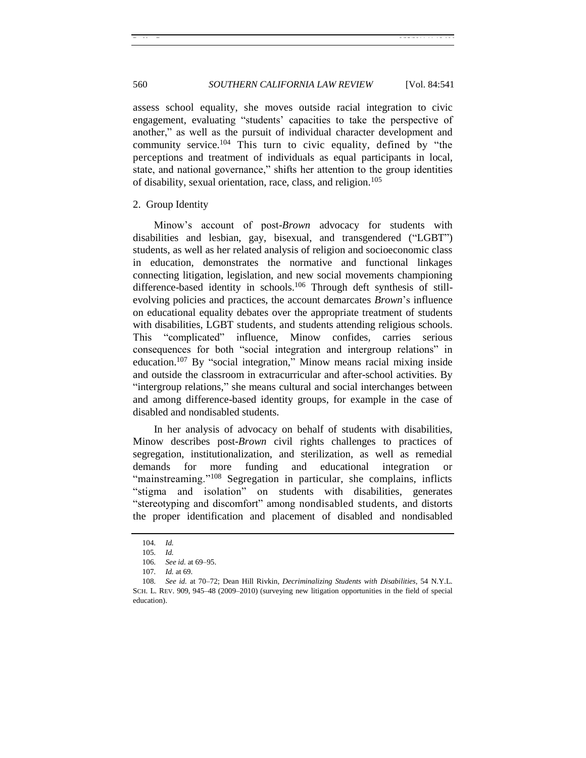assess school equality, she moves outside racial integration to civic engagement, evaluating "students' capacities to take the perspective of another," as well as the pursuit of individual character development and community service.<sup>104</sup> This turn to civic equality, defined by "the perceptions and treatment of individuals as equal participants in local, state, and national governance," shifts her attention to the group identities of disability, sexual orientation, race, class, and religion.<sup>105</sup>

#### <span id="page-19-0"></span>2. Group Identity

Minow's account of post-*Brown* advocacy for students with disabilities and lesbian, gay, bisexual, and transgendered ("LGBT") students, as well as her related analysis of religion and socioeconomic class in education, demonstrates the normative and functional linkages connecting litigation, legislation, and new social movements championing difference-based identity in schools.<sup>106</sup> Through deft synthesis of stillevolving policies and practices, the account demarcates *Brown*'s influence on educational equality debates over the appropriate treatment of students with disabilities, LGBT students, and students attending religious schools. This "complicated" influence, Minow confides, carries serious consequences for both "social integration and intergroup relations" in education.<sup>107</sup> By "social integration," Minow means racial mixing inside and outside the classroom in extracurricular and after-school activities. By "intergroup relations," she means cultural and social interchanges between and among difference-based identity groups, for example in the case of disabled and nondisabled students.

In her analysis of advocacy on behalf of students with disabilities, Minow describes post-*Brown* civil rights challenges to practices of segregation, institutionalization, and sterilization, as well as remedial demands for more funding and educational integration or "mainstreaming."<sup>108</sup> Segregation in particular, she complains, inflicts "stigma and isolation" on students with disabilities, generates "stereotyping and discomfort" among nondisabled students, and distorts the proper identification and placement of disabled and nondisabled

<sup>104</sup>*. Id.*

<sup>105</sup>*. Id.*

<sup>106</sup>*. See id.* at 69–95.

<sup>107</sup>*. Id.* at 69.

<sup>108</sup>*. See id.* at 70–72; Dean Hill Rivkin, *Decriminalizing Students with Disabilities*, 54 N.Y.L. SCH. L. REV. 909, 945–48 (2009–2010) (surveying new litigation opportunities in the field of special education).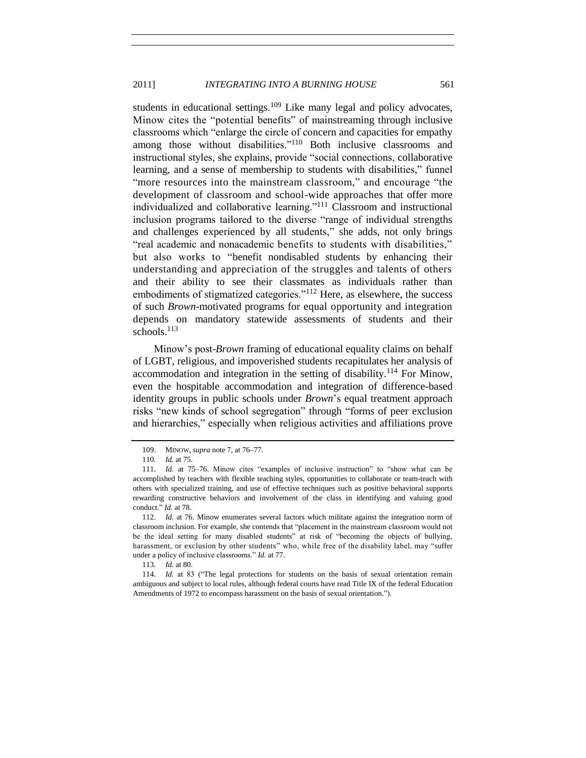#### 2011] *INTEGRATING INTO A BURNING HOUSE* 561

students in educational settings. $109$  Like many legal and policy advocates, Minow cites the "potential benefits" of mainstreaming through inclusive classrooms which "enlarge the circle of concern and capacities for empathy among those without disabilities."<sup>110</sup> Both inclusive classrooms and instructional styles, she explains, provide "social connections, collaborative learning, and a sense of membership to students with disabilities," funnel "more resources into the mainstream classroom," and encourage "the development of classroom and school-wide approaches that offer more individualized and collaborative learning."<sup>111</sup> Classroom and instructional inclusion programs tailored to the diverse "range of individual strengths and challenges experienced by all students," she adds, not only brings "real academic and nonacademic benefits to students with disabilities," but also works to "benefit nondisabled students by enhancing their understanding and appreciation of the struggles and talents of others and their ability to see their classmates as individuals rather than embodiments of stigmatized categories.<sup> $112$ </sup> Here, as elsewhere, the success of such *Brown*-motivated programs for equal opportunity and integration depends on mandatory statewide assessments of students and their schools.<sup>113</sup>

Minow's post-*Brown* framing of educational equality claims on behalf of LGBT, religious, and impoverished students recapitulates her analysis of accommodation and integration in the setting of disability.<sup>114</sup> For Minow, even the hospitable accommodation and integration of difference-based identity groups in public schools under *Brown*'s equal treatment approach risks "new kinds of school segregation" through "forms of peer exclusion and hierarchies," especially when religious activities and affiliations prove

<sup>109.</sup> MINOW, *supra* not[e 7,](#page-2-0) at 76–77.

<sup>110</sup>*. Id.* at 75.

<sup>111.</sup> *Id.* at 75–76. Minow cites "examples of inclusive instruction" to "show what can be accomplished by teachers with flexible teaching styles, opportunities to collaborate or team-teach with others with specialized training, and use of effective techniques such as positive behavioral supports rewarding constructive behaviors and involvement of the class in identifying and valuing good conduct.‖ *Id.* at 78.

<sup>112.</sup> *Id.* at 76. Minow enumerates several factors which militate against the integration norm of classroom inclusion. For example, she contends that "placement in the mainstream classroom would not be the ideal setting for many disabled students" at risk of "becoming the objects of bullying, harassment, or exclusion by other students" who, while free of the disability label, may "suffer under a policy of inclusive classrooms." *Id.* at 77.

<sup>113</sup>*. Id.* at 80.

<sup>114.</sup> *Id.* at 83 ("The legal protections for students on the basis of sexual orientation remain ambiguous and subject to local rules, although federal courts have read Title IX of the federal Education Amendments of 1972 to encompass harassment on the basis of sexual orientation.").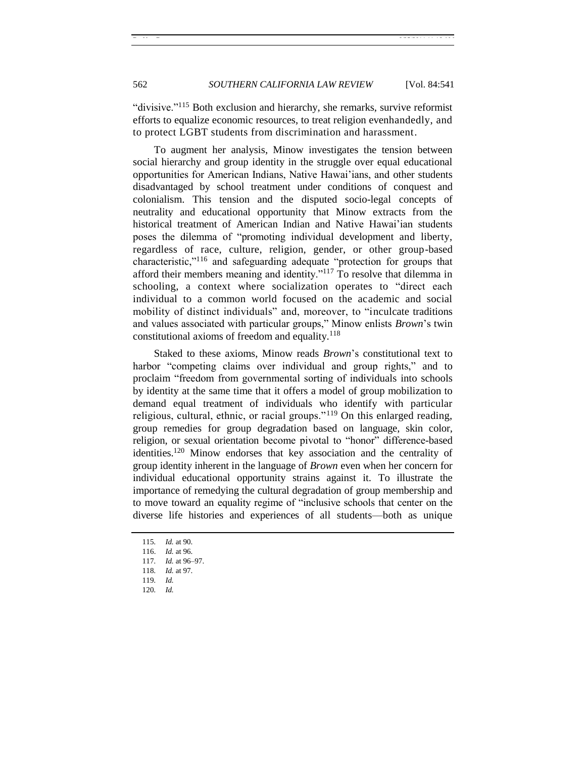"divisive."<sup>115</sup> Both exclusion and hierarchy, she remarks, survive reformist efforts to equalize economic resources, to treat religion evenhandedly, and to protect LGBT students from discrimination and harassment.

To augment her analysis, Minow investigates the tension between social hierarchy and group identity in the struggle over equal educational opportunities for American Indians, Native Hawai'ians, and other students disadvantaged by school treatment under conditions of conquest and colonialism. This tension and the disputed socio-legal concepts of neutrality and educational opportunity that Minow extracts from the historical treatment of American Indian and Native Hawai'ian students poses the dilemma of "promoting individual development and liberty, regardless of race, culture, religion, gender, or other group-based characteristic,"<sup>116</sup> and safeguarding adequate "protection for groups that afford their members meaning and identity. $117$  To resolve that dilemma in schooling, a context where socialization operates to "direct each individual to a common world focused on the academic and social mobility of distinct individuals" and, moreover, to "inculcate traditions" and values associated with particular groups," Minow enlists *Brown's* twin constitutional axioms of freedom and equality. $118$ 

Staked to these axioms, Minow reads *Brown*'s constitutional text to harbor "competing claims over individual and group rights," and to proclaim "freedom from governmental sorting of individuals into schools by identity at the same time that it offers a model of group mobilization to demand equal treatment of individuals who identify with particular religious, cultural, ethnic, or racial groups." $119$  On this enlarged reading, group remedies for group degradation based on language, skin color, religion, or sexual orientation become pivotal to "honor" difference-based identities.<sup>120</sup> Minow endorses that key association and the centrality of group identity inherent in the language of *Brown* even when her concern for individual educational opportunity strains against it. To illustrate the importance of remedying the cultural degradation of group membership and to move toward an equality regime of "inclusive schools that center on the diverse life histories and experiences of all students—both as unique

- 119*. Id.*
- 120*. Id.*

<sup>115</sup>*. Id.* at 90.

<sup>116.</sup> *Id.* at 96.

<sup>117</sup>*. Id.* at 96–97.

<sup>118</sup>*. Id.* at 97.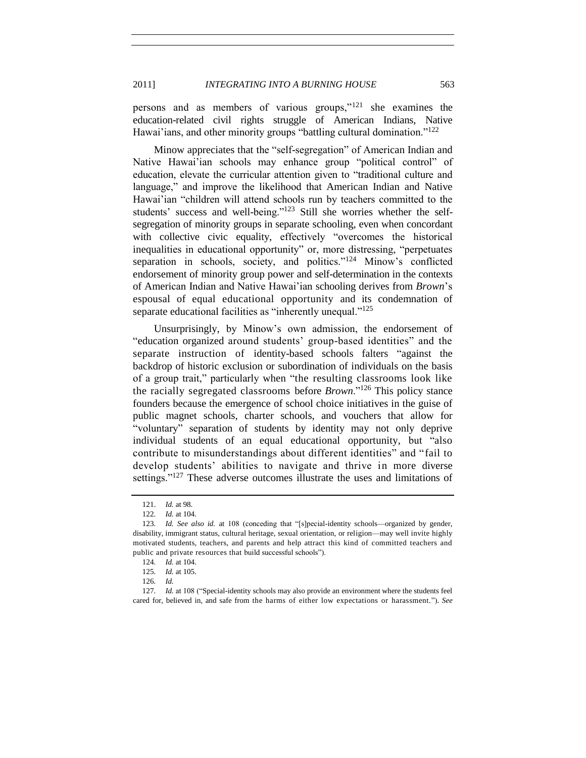persons and as members of various groups," $121$  she examines the education-related civil rights struggle of American Indians, Native Hawai'ians, and other minority groups "battling cultural domination."<sup>122</sup>

Minow appreciates that the "self-segregation" of American Indian and Native Hawai'ian schools may enhance group "political control" of education, elevate the curricular attention given to "traditional culture and language," and improve the likelihood that American Indian and Native Hawai'ian "children will attend schools run by teachers committed to the students' success and well-being." $123$  Still she worries whether the selfsegregation of minority groups in separate schooling, even when concordant with collective civic equality, effectively "overcomes the historical inequalities in educational opportunity" or, more distressing, "perpetuates" separation in schools, society, and politics." $124$  Minow's conflicted endorsement of minority group power and self-determination in the contexts of American Indian and Native Hawai'ian schooling derives from *Brown*'s espousal of equal educational opportunity and its condemnation of separate educational facilities as "inherently unequal." $125$ 

Unsurprisingly, by Minow's own admission, the endorsement of "education organized around students' group-based identities" and the separate instruction of identity-based schools falters "against the backdrop of historic exclusion or subordination of individuals on the basis of a group trait," particularly when "the resulting classrooms look like the racially segregated classrooms before *Brown*."<sup>126</sup> This policy stance founders because the emergence of school choice initiatives in the guise of public magnet schools, charter schools, and vouchers that allow for ―voluntary‖ separation of students by identity may not only deprive individual students of an equal educational opportunity, but "also" contribute to misunderstandings about different identities" and "fail to develop students' abilities to navigate and thrive in more diverse settings."<sup>127</sup> These adverse outcomes illustrate the uses and limitations of

<sup>121.</sup> *Id.* at 98.

<sup>122</sup>*. Id.* at 104.

<sup>123.</sup> *Id. See also id.* at 108 (conceding that "[s]pecial-identity schools—organized by gender, disability, immigrant status, cultural heritage, sexual orientation, or religion—may well invite highly motivated students, teachers, and parents and help attract this kind of committed teachers and public and private resources that build successful schools").

<sup>124</sup>*. Id.* at 104.

<sup>125</sup>*. Id.* at 105.

<sup>126</sup>*. Id.*

<sup>127.</sup> *Id.* at 108 ("Special-identity schools may also provide an environment where the students feel cared for, believed in, and safe from the harms of either low expectations or harassment."). See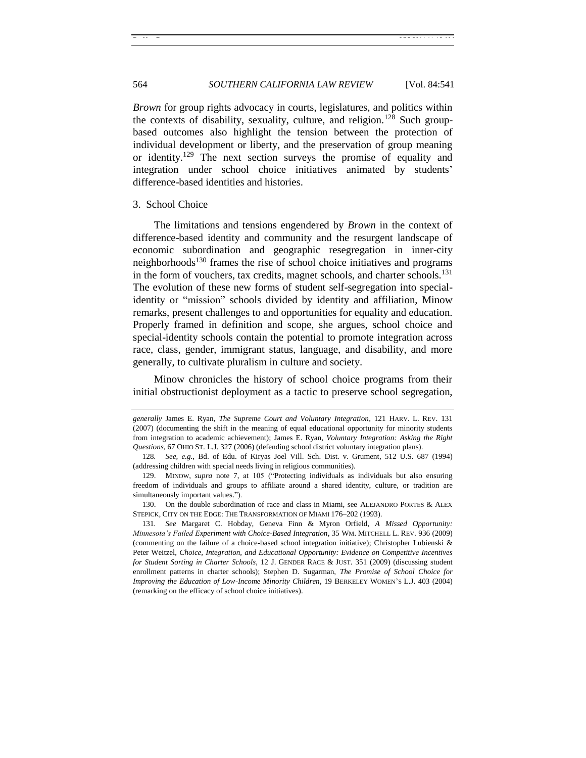*Brown* for group rights advocacy in courts, legislatures, and politics within the contexts of disability, sexuality, culture, and religion.<sup>128</sup> Such groupbased outcomes also highlight the tension between the protection of individual development or liberty, and the preservation of group meaning or identity.<sup>129</sup> The next section surveys the promise of equality and integration under school choice initiatives animated by students' difference-based identities and histories.

#### <span id="page-23-0"></span>3. School Choice

The limitations and tensions engendered by *Brown* in the context of difference-based identity and community and the resurgent landscape of economic subordination and geographic resegregation in inner-city neighborhoods<sup>130</sup> frames the rise of school choice initiatives and programs in the form of vouchers, tax credits, magnet schools, and charter schools.<sup>131</sup> The evolution of these new forms of student self-segregation into specialidentity or "mission" schools divided by identity and affiliation, Minow remarks, present challenges to and opportunities for equality and education. Properly framed in definition and scope, she argues, school choice and special-identity schools contain the potential to promote integration across race, class, gender, immigrant status, language, and disability, and more generally, to cultivate pluralism in culture and society.

Minow chronicles the history of school choice programs from their initial obstructionist deployment as a tactic to preserve school segregation,

130. On the double subordination of race and class in Miami, see ALEJANDRO PORTES & ALEX STEPICK, CITY ON THE EDGE: THE TRANSFORMATION OF MIAMI 176–202 (1993).

131*. See* Margaret C. Hobday, Geneva Finn & Myron Orfield, *A Missed Opportunity: Minnesota's Failed Experiment with Choice-Based Integration*, 35 WM. MITCHELL L. REV. 936 (2009) (commenting on the failure of a choice-based school integration initiative); Christopher Lubienski & Peter Weitzel, *Choice, Integration, and Educational Opportunity: Evidence on Competitive Incentives for Student Sorting in Charter Schools*, 12 J. GENDER RACE & JUST. 351 (2009) (discussing student enrollment patterns in charter schools); Stephen D. Sugarman, *The Promise of School Choice for Improving the Education of Low-Income Minority Children*, 19 BERKELEY WOMEN'S L.J. 403 (2004) (remarking on the efficacy of school choice initiatives).

*generally* James E. Ryan, *The Supreme Court and Voluntary Integration*, 121 HARV. L. REV. 131 (2007) (documenting the shift in the meaning of equal educational opportunity for minority students from integration to academic achievement); James E. Ryan, *Voluntary Integration: Asking the Right Questions*, 67 OHIO ST. L.J. 327 (2006) (defending school district voluntary integration plans).

<sup>128</sup>*. See, e.g.*, Bd. of Edu. of Kiryas Joel Vill. Sch. Dist. v. Grument, 512 U.S. 687 (1994) (addressing children with special needs living in religious communities).

<sup>129.</sup> MINOW, *supra* note [7,](#page-2-0) at 105 ("Protecting individuals as individuals but also ensuring freedom of individuals and groups to affiliate around a shared identity, culture, or tradition are simultaneously important values.").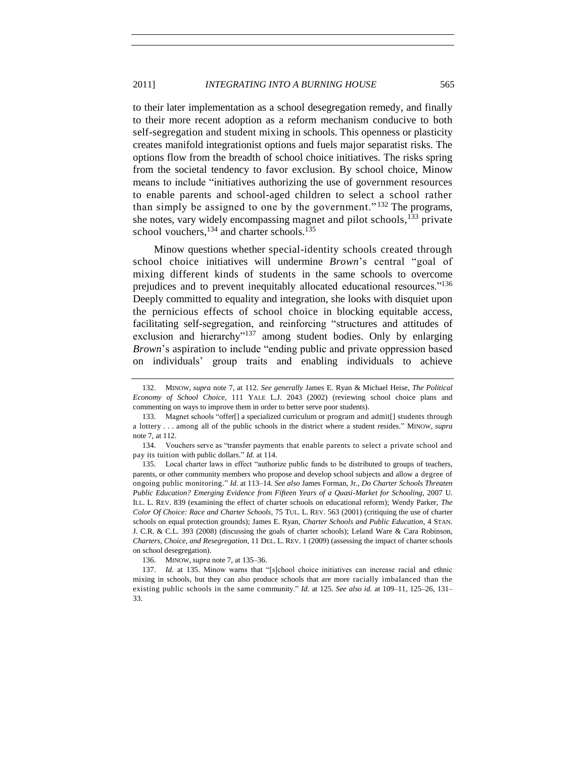to their later implementation as a school desegregation remedy, and finally to their more recent adoption as a reform mechanism conducive to both self-segregation and student mixing in schools. This openness or plasticity creates manifold integrationist options and fuels major separatist risks. The options flow from the breadth of school choice initiatives. The risks spring from the societal tendency to favor exclusion. By school choice, Minow means to include "initiatives authorizing the use of government resources to enable parents and school-aged children to select a school rather than simply be assigned to one by the government." $132$  The programs, she notes, vary widely encompassing magnet and pilot schools,<sup>133</sup> private school vouchers,  $134$  and charter schools.<sup>135</sup>

Minow questions whether special-identity schools created through school choice initiatives will undermine *Brown*'s central "goal of mixing different kinds of students in the same schools to overcome prejudices and to prevent inequitably allocated educational resources."<sup>136</sup> Deeply committed to equality and integration, she looks with disquiet upon the pernicious effects of school choice in blocking equitable access, facilitating self-segregation, and reinforcing "structures and attitudes of exclusion and hierarchy $v^{137}$  among student bodies. Only by enlarging *Brown*'s aspiration to include "ending public and private oppression based on individuals' group traits and enabling individuals to achieve

<sup>132.</sup> MINOW, *supra* note [7,](#page-2-0) at 112. *See generally* James E. Ryan & Michael Heise, *The Political Economy of School Choice*, 111 YALE L.J. 2043 (2002) (reviewing school choice plans and commenting on ways to improve them in order to better serve poor students).

<sup>133.</sup> Magnet schools "offer[] a specialized curriculum or program and admit[] students through a lottery . . . among all of the public schools in the district where a student resides.‖ MINOW, *supra*  note [7,](#page-2-0) at 112.

<sup>134.</sup> Vouchers serve as "transfer payments that enable parents to select a private school and pay its tuition with public dollars." *Id.* at 114.

<sup>135.</sup> Local charter laws in effect "authorize public funds to be distributed to groups of teachers, parents, or other community members who propose and develop school subjects and allow a degree of ongoing public monitoring.‖ *Id.* at 113–14. *See also* James Forman, Jr., *Do Charter Schools Threaten Public Education? Emerging Evidence from Fifteen Years of a Quasi-Market for Schooling*, 2007 U. ILL. L. REV. 839 (examining the effect of charter schools on educational reform); Wendy Parker, *The Color Of Choice: Race and Charter Schools*, 75 TUL. L. REV. 563 (2001) (critiquing the use of charter schools on equal protection grounds); James E. Ryan, *Charter Schools and Public Education*, 4 STAN. J. C.R. & C.L. 393 (2008) (discussing the goals of charter schools); Leland Ware & Cara Robinson, *Charters, Choice, and Resegregation*, 11 DEL. L. REV. 1 (2009) (assessing the impact of charter schools on school desegregation).

<sup>136.</sup> MINOW, *supra* not[e 7,](#page-2-0) at 135–36.

<sup>137.</sup> *Id.* at 135. Minow warns that "[s]chool choice initiatives can increase racial and ethnic mixing in schools, but they can also produce schools that are more racially imbalanced than the existing public schools in the same community." *Id.* at 125. *See also id.* at 109–11, 125–26, 131– 33.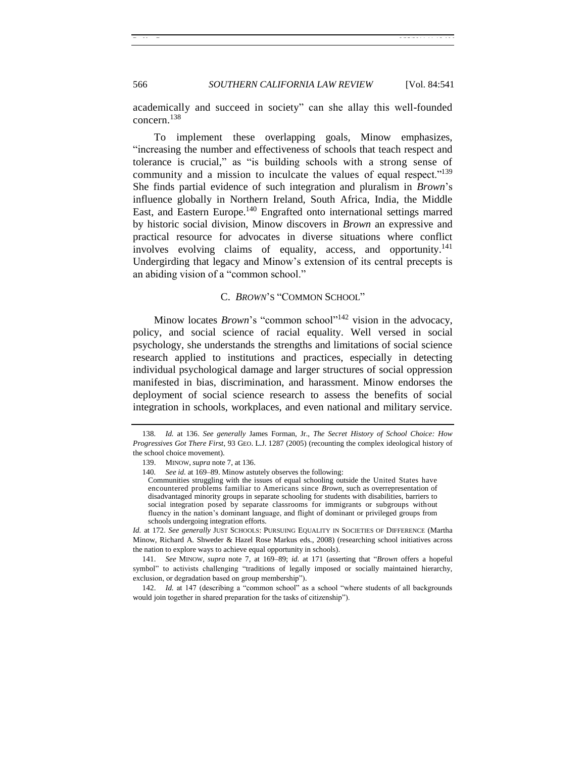academically and succeed in society" can she allay this well-founded concern.<sup>138</sup>

To implement these overlapping goals, Minow emphasizes, ―increasing the number and effectiveness of schools that teach respect and tolerance is crucial," as "is building schools with a strong sense of community and a mission to inculcate the values of equal respect. $139$ She finds partial evidence of such integration and pluralism in *Brown*'s influence globally in Northern Ireland, South Africa, India, the Middle East, and Eastern Europe.<sup>140</sup> Engrafted onto international settings marred by historic social division, Minow discovers in *Brown* an expressive and practical resource for advocates in diverse situations where conflict involves evolving claims of equality, access, and opportunity. 141 Undergirding that legacy and Minow's extension of its central precepts is an abiding vision of a "common school."

# <span id="page-25-1"></span>C. *BROWN'S* "COMMON SCHOOL"

<span id="page-25-0"></span>Minow locates *Brown*'s "common school"<sup>142</sup> vision in the advocacy, policy, and social science of racial equality. Well versed in social psychology, she understands the strengths and limitations of social science research applied to institutions and practices, especially in detecting individual psychological damage and larger structures of social oppression manifested in bias, discrimination, and harassment. Minow endorses the deployment of social science research to assess the benefits of social integration in schools, workplaces, and even national and military service.

*Id.* at 172. *See generally* JUST SCHOOLS: PURSUING EQUALITY IN SOCIETIES OF DIFFERENCE (Martha Minow, Richard A. Shweder & Hazel Rose Markus eds., 2008) (researching school initiatives across the nation to explore ways to achieve equal opportunity in schools).

<sup>138</sup>*. Id.* at 136. *See generally* James Forman, Jr., *The Secret History of School Choice: How Progressives Got There First*, 93 GEO. L.J. 1287 (2005) (recounting the complex ideological history of the school choice movement).

<sup>139.</sup> MINOW, *supra* not[e 7,](#page-2-0) at 136.

<sup>140</sup>*. See id.* at 169–89. Minow astutely observes the following:

Communities struggling with the issues of equal schooling outside the United States have encountered problems familiar to Americans since *Brown,* such as overrepresentation of disadvantaged minority groups in separate schooling for students with disabilities, barriers to social integration posed by separate classrooms for immigrants or subgroups without fluency in the nation's dominant language, and flight of dominant or privileged groups from schools undergoing integration efforts.

<sup>141.</sup> *See* MINOW, *supra* note [7,](#page-2-0) at 169–89; *id.* at 171 (asserting that ―*Brown* offers a hopeful symbol" to activists challenging "traditions of legally imposed or socially maintained hierarchy, exclusion, or degradation based on group membership").

<sup>142.</sup> *Id.* at 147 (describing a "common school" as a school "where students of all backgrounds would join together in shared preparation for the tasks of citizenship").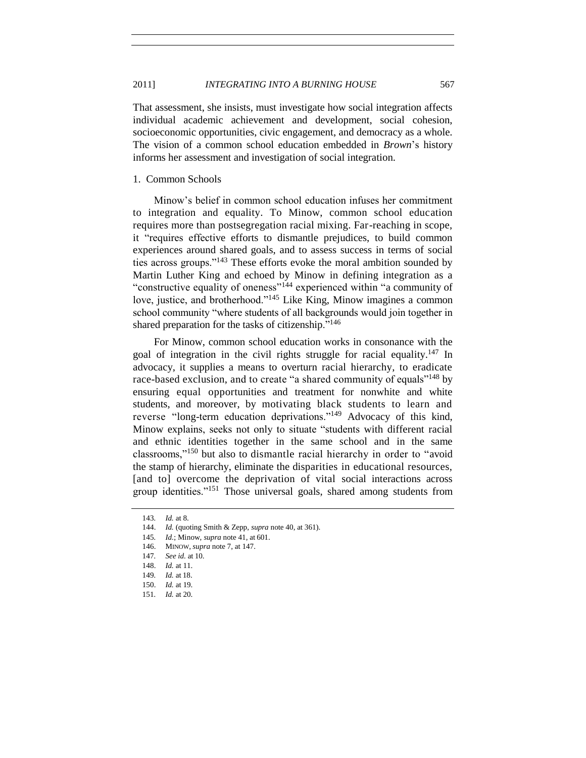That assessment, she insists, must investigate how social integration affects individual academic achievement and development, social cohesion, socioeconomic opportunities, civic engagement, and democracy as a whole. The vision of a common school education embedded in *Brown*'s history informs her assessment and investigation of social integration.

#### <span id="page-26-0"></span>1. Common Schools

Minow's belief in common school education infuses her commitment to integration and equality. To Minow, common school education requires more than postsegregation racial mixing. Far-reaching in scope, it "requires effective efforts to dismantle prejudices, to build common experiences around shared goals, and to assess success in terms of social ties across groups."<sup>143</sup> These efforts evoke the moral ambition sounded by Martin Luther King and echoed by Minow in defining integration as a "constructive equality of oneness"<sup>144</sup> experienced within "a community of love, justice, and brotherhood."<sup>145</sup> Like King, Minow imagines a common school community "where students of all backgrounds would join together in shared preparation for the tasks of citizenship. $146$ 

For Minow, common school education works in consonance with the goal of integration in the civil rights struggle for racial equality.<sup>147</sup> In advocacy, it supplies a means to overturn racial hierarchy, to eradicate race-based exclusion, and to create "a shared community of equals"<sup>148</sup> by ensuring equal opportunities and treatment for nonwhite and white students, and moreover, by motivating black students to learn and reverse "long-term education deprivations."<sup>149</sup> Advocacy of this kind, Minow explains, seeks not only to situate "students with different racial and ethnic identities together in the same school and in the same classrooms,"<sup>150</sup> but also to dismantle racial hierarchy in order to "avoid" the stamp of hierarchy, eliminate the disparities in educational resources, [and to] overcome the deprivation of vital social interactions across group identities."<sup>151</sup> Those universal goals, shared among students from

<sup>143</sup>*. Id.* at 8.

<sup>144.</sup> *Id.* (quoting Smith & Zepp, *supra* not[e 40,](#page-9-0) at 361).

<sup>145</sup>*. Id.*; Minow, *supra* note [41,](#page-9-1) at 601.

<sup>146.</sup> MINOW, *supra* not[e 7,](#page-2-0) at 147.

<sup>147</sup>*. See id.* at 10.

<sup>148.</sup> *Id.* at 11.

<sup>149</sup>*. Id.* at 18.

<sup>150.</sup> *Id.* at 19.

<sup>151</sup>*. Id.* at 20.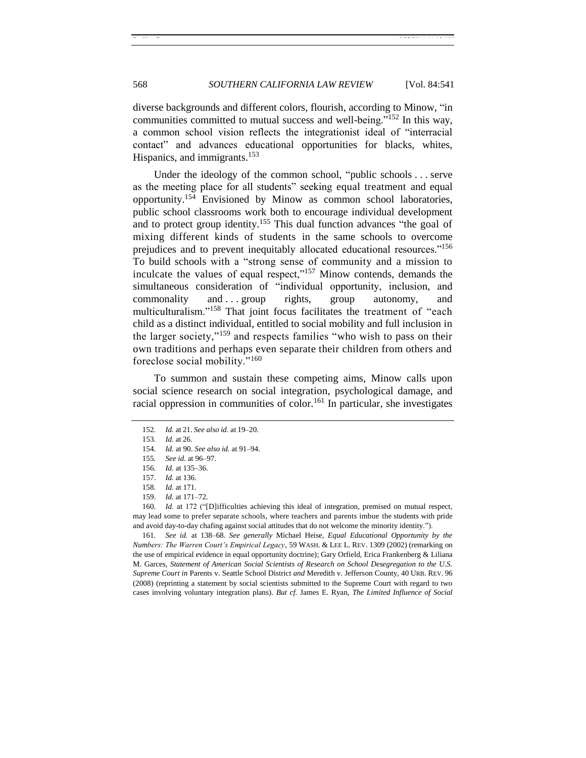diverse backgrounds and different colors, flourish, according to Minow, "in communities committed to mutual success and well-being."<sup>152</sup> In this way, a common school vision reflects the integrationist ideal of "interracial contact" and advances educational opportunities for blacks, whites, Hispanics, and immigrants.<sup>153</sup>

Under the ideology of the common school, "public schools  $\dots$  serve as the meeting place for all students" seeking equal treatment and equal opportunity.<sup>154</sup> Envisioned by Minow as common school laboratories, public school classrooms work both to encourage individual development and to protect group identity.<sup>155</sup> This dual function advances "the goal of mixing different kinds of students in the same schools to overcome prejudices and to prevent inequitably allocated educational resources."<sup>156</sup> To build schools with a "strong sense of community and a mission to inculcate the values of equal respect," $157$  Minow contends, demands the simultaneous consideration of "individual opportunity, inclusion, and commonality and ... group rights, group autonomy, and multiculturalism."<sup>158</sup> That joint focus facilitates the treatment of "each child as a distinct individual, entitled to social mobility and full inclusion in the larger society," $159$  and respects families "who wish to pass on their own traditions and perhaps even separate their children from others and foreclose social mobility." $160$ 

To summon and sustain these competing aims, Minow calls upon social science research on social integration, psychological damage, and racial oppression in communities of color.<sup>161</sup> In particular, she investigates

161*. See id.* at 138–68. *See generally* Michael Heise, *Equal Educational Opportunity by the Numbers: The Warren Court's Empirical Legacy*, 59 WASH. & LEE L. REV. 1309 (2002) (remarking on the use of empirical evidence in equal opportunity doctrine); Gary Orfield, Erica Frankenberg & Liliana M. Garces, *Statement of American Social Scientists of Research on School Desegregation to the U.S. Supreme Court in* Parents v. Seattle School District *and* Meredith v. Jefferson County, 40 URB. REV. 96 (2008) (reprinting a statement by social scientists submitted to the Supreme Court with regard to two cases involving voluntary integration plans). *But cf.* James E. Ryan, *The Limited Influence of Social* 

<sup>152</sup>*. Id.* at 21. *See also id.* at 19–20.

<sup>153</sup>*. Id.* at 26.

<sup>154</sup>*. Id.* at 90. *See also id.* at 91–94.

<sup>155</sup>*. See id.* at 96–97.

<sup>156</sup>*. Id.* at 135–36.

<sup>157.</sup> *Id.* at 136.

<sup>158</sup>*. Id.* at 171.

<sup>159.</sup> *Id.* at 171–72.

<sup>160.</sup> *Id.* at 172 ("[D]ifficulties achieving this ideal of integration, premised on mutual respect, may lead some to prefer separate schools, where teachers and parents imbue the students with pride and avoid day-to-day chafing against social attitudes that do not welcome the minority identity.").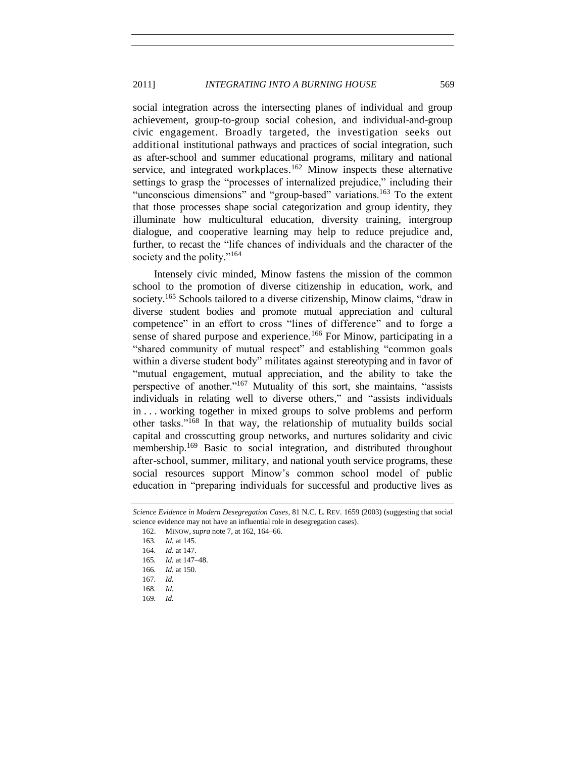#### 2011] *INTEGRATING INTO A BURNING HOUSE* 569

social integration across the intersecting planes of individual and group achievement, group-to-group social cohesion, and individual-and-group civic engagement. Broadly targeted, the investigation seeks out additional institutional pathways and practices of social integration, such as after-school and summer educational programs, military and national service, and integrated workplaces.<sup>162</sup> Minow inspects these alternative settings to grasp the "processes of internalized prejudice," including their "unconscious dimensions" and "group-based" variations.<sup>163</sup> To the extent that those processes shape social categorization and group identity, they illuminate how multicultural education, diversity training, intergroup dialogue, and cooperative learning may help to reduce prejudice and, further, to recast the "life chances of individuals and the character of the society and the polity."<sup>164</sup>

Intensely civic minded, Minow fastens the mission of the common school to the promotion of diverse citizenship in education, work, and society.<sup>165</sup> Schools tailored to a diverse citizenship, Minow claims, "draw in diverse student bodies and promote mutual appreciation and cultural competence" in an effort to cross "lines of difference" and to forge a sense of shared purpose and experience.<sup>166</sup> For Minow, participating in a "shared community of mutual respect" and establishing "common goals" within a diverse student body" militates against stereotyping and in favor of "mutual engagement, mutual appreciation, and the ability to take the perspective of another."<sup>167</sup> Mutuality of this sort, she maintains, "assists individuals in relating well to diverse others," and "assists individuals in . . . working together in mixed groups to solve problems and perform other tasks." $168$  In that way, the relationship of mutuality builds social capital and crosscutting group networks, and nurtures solidarity and civic membership.<sup>169</sup> Basic to social integration, and distributed throughout after-school, summer, military, and national youth service programs, these social resources support Minow's common school model of public education in "preparing individuals for successful and productive lives as

169*. Id.*

*Science Evidence in Modern Desegregation Cases*, 81 N.C. L. REV. 1659 (2003) (suggesting that social science evidence may not have an influential role in desegregation cases).

<sup>162.</sup> MINOW, *supra* not[e 7,](#page-2-0) at 162, 164–66.

<sup>163</sup>*. Id.* at 145.

<sup>164</sup>*. Id.* at 147.

<sup>165</sup>*. Id.* at 147–48.

<sup>166</sup>*. Id.* at 150.

<sup>167</sup>*. Id.*

<sup>168</sup>*. Id.*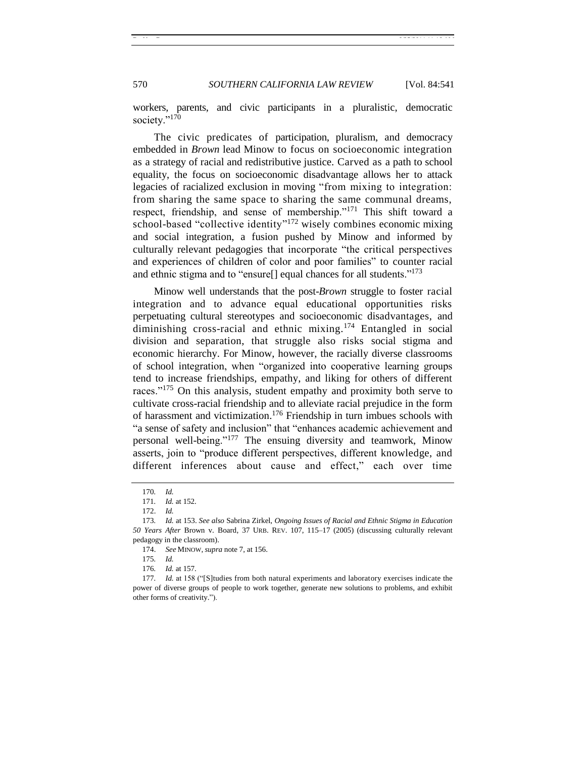570 *SOUTHERN CALIFORNIA LAW REVIEW* [Vol. 84:541

workers, parents, and civic participants in a pluralistic, democratic society."<sup>170</sup>

The civic predicates of participation, pluralism, and democracy embedded in *Brown* lead Minow to focus on socioeconomic integration as a strategy of racial and redistributive justice. Carved as a path to school equality, the focus on socioeconomic disadvantage allows her to attack legacies of racialized exclusion in moving "from mixing to integration: from sharing the same space to sharing the same communal dreams, respect, friendship, and sense of membership."<sup>171</sup> This shift toward a school-based "collective identity"<sup>172</sup> wisely combines economic mixing and social integration, a fusion pushed by Minow and informed by culturally relevant pedagogies that incorporate "the critical perspectives and experiences of children of color and poor families" to counter racial and ethnic stigma and to "ensure $[]$  equal chances for all students."<sup>173</sup>

Minow well understands that the post-*Brown* struggle to foster racial integration and to advance equal educational opportunities risks perpetuating cultural stereotypes and socioeconomic disadvantages, and diminishing cross-racial and ethnic mixing. <sup>174</sup> Entangled in social division and separation, that struggle also risks social stigma and economic hierarchy. For Minow, however, the racially diverse classrooms of school integration, when "organized into cooperative learning groups tend to increase friendships, empathy, and liking for others of different races."<sup>175</sup> On this analysis, student empathy and proximity both serve to cultivate cross-racial friendship and to alleviate racial prejudice in the form of harassment and victimization. <sup>176</sup> Friendship in turn imbues schools with "a sense of safety and inclusion" that "enhances academic achievement and personal well-being."<sup>177</sup> The ensuing diversity and teamwork, Minow asserts, join to "produce different perspectives, different knowledge, and different inferences about cause and effect," each over time

<sup>170</sup>*. Id.*

<sup>171</sup>*. Id.* at 152.

<sup>172.</sup> *Id.*

<sup>173</sup>*. Id.* at 153. *See also* Sabrina Zirkel, *Ongoing Issues of Racial and Ethnic Stigma in Education 50 Years After* Brown v. Board, 37 URB. REV. 107, 115–17 (2005) (discussing culturally relevant pedagogy in the classroom).

<sup>174.</sup> *See* MINOW, *supra* not[e 7,](#page-2-0) at 156.

<sup>175</sup>*. Id.*

<sup>176</sup>*. Id.* at 157.

<sup>177.</sup> *Id.* at 158 ("[S]tudies from both natural experiments and laboratory exercises indicate the power of diverse groups of people to work together, generate new solutions to problems, and exhibit other forms of creativity.").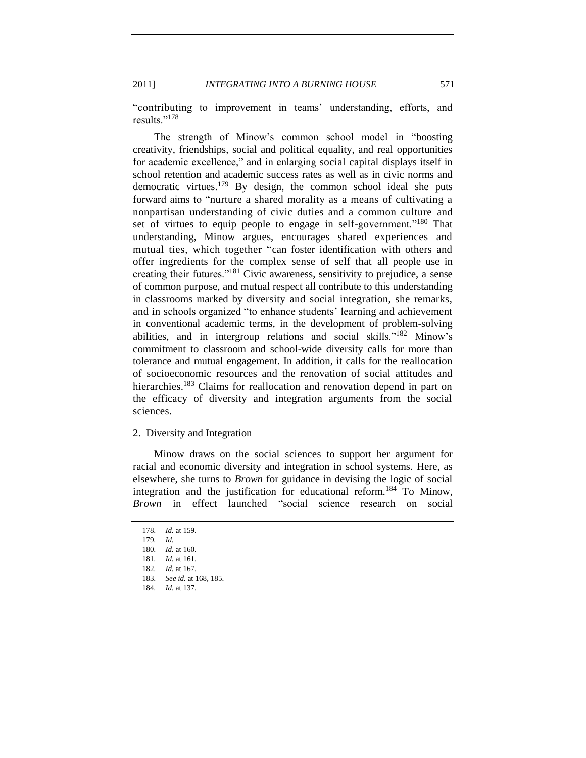2011] *INTEGRATING INTO A BURNING HOUSE* 571

―contributing to improvement in teams' understanding, efforts, and results."<sup>178</sup>

The strength of Minow's common school model in "boosting creativity, friendships, social and political equality, and real opportunities for academic excellence," and in enlarging social capital displays itself in school retention and academic success rates as well as in civic norms and democratic virtues.<sup>179</sup> By design, the common school ideal she puts forward aims to "nurture a shared morality as a means of cultivating a nonpartisan understanding of civic duties and a common culture and set of virtues to equip people to engage in self-government.<sup> $180$ </sup> That understanding, Minow argues, encourages shared experiences and mutual ties, which together "can foster identification with others and offer ingredients for the complex sense of self that all people use in creating their futures.<sup> $181$ </sup> Civic awareness, sensitivity to prejudice, a sense of common purpose, and mutual respect all contribute to this understanding in classrooms marked by diversity and social integration, she remarks, and in schools organized "to enhance students' learning and achievement in conventional academic terms, in the development of problem-solving abilities, and in intergroup relations and social skills."<sup>182</sup> Minow's commitment to classroom and school-wide diversity calls for more than tolerance and mutual engagement. In addition, it calls for the reallocation of socioeconomic resources and the renovation of social attitudes and hierarchies.<sup>183</sup> Claims for reallocation and renovation depend in part on the efficacy of diversity and integration arguments from the social sciences.

#### <span id="page-30-0"></span>2. Diversity and Integration

Minow draws on the social sciences to support her argument for racial and economic diversity and integration in school systems. Here, as elsewhere, she turns to *Brown* for guidance in devising the logic of social integration and the justification for educational reform.<sup>184</sup> To Minow, *Brown* in effect launched "social science research on social

<sup>178</sup>*. Id.* at 159. 179*. Id.* 180*. Id.* at 160. 181*. Id.* at 161. 182*. Id.* at 167. 183*. See id.* at 168, 185. 184*. Id.* at 137.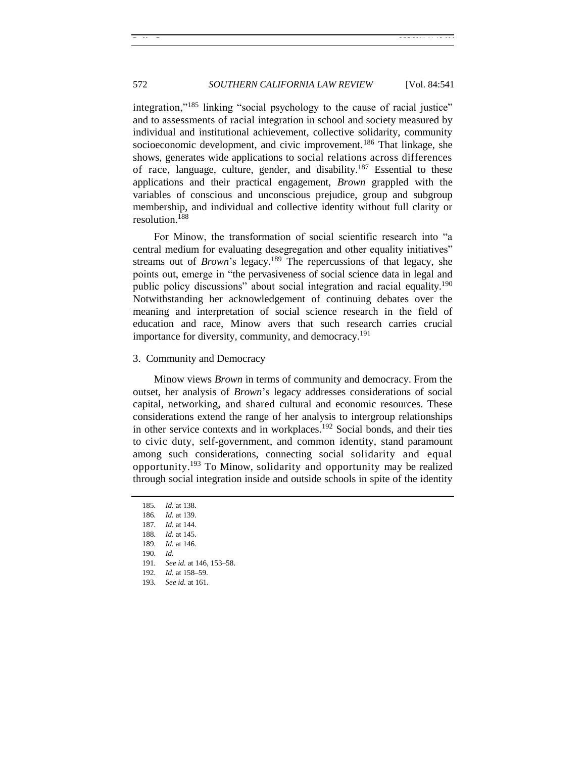integration,"<sup>185</sup> linking "social psychology to the cause of racial justice" and to assessments of racial integration in school and society measured by individual and institutional achievement, collective solidarity, community socioeconomic development, and civic improvement.<sup>186</sup> That linkage, she shows, generates wide applications to social relations across differences of race, language, culture, gender, and disability.<sup>187</sup> Essential to these applications and their practical engagement, *Brown* grappled with the variables of conscious and unconscious prejudice, group and subgroup membership, and individual and collective identity without full clarity or resolution.<sup>188</sup>

For Minow, the transformation of social scientific research into "a central medium for evaluating desegregation and other equality initiatives" streams out of *Brown*'s legacy.<sup>189</sup> The repercussions of that legacy, she points out, emerge in "the pervasiveness of social science data in legal and public policy discussions" about social integration and racial equality.<sup>190</sup> Notwithstanding her acknowledgement of continuing debates over the meaning and interpretation of social science research in the field of education and race, Minow avers that such research carries crucial importance for diversity, community, and democracy. 191

<span id="page-31-0"></span>3. Community and Democracy

Minow views *Brown* in terms of community and democracy. From the outset, her analysis of *Brown*'s legacy addresses considerations of social capital, networking, and shared cultural and economic resources. These considerations extend the range of her analysis to intergroup relationships in other service contexts and in workplaces.<sup>192</sup> Social bonds, and their ties to civic duty, self-government, and common identity, stand paramount among such considerations, connecting social solidarity and equal opportunity. <sup>193</sup> To Minow, solidarity and opportunity may be realized through social integration inside and outside schools in spite of the identity

<sup>185</sup>*. Id.* at 138. 186*. Id.* at 139. 187*. Id.* at 144. 188*. Id.* at 145. 189*. Id.* at 146. 190*. Id.* 191*. See id.* at 146, 153–58. 192*. Id.* at 158–59. 193*. See id.* at 161.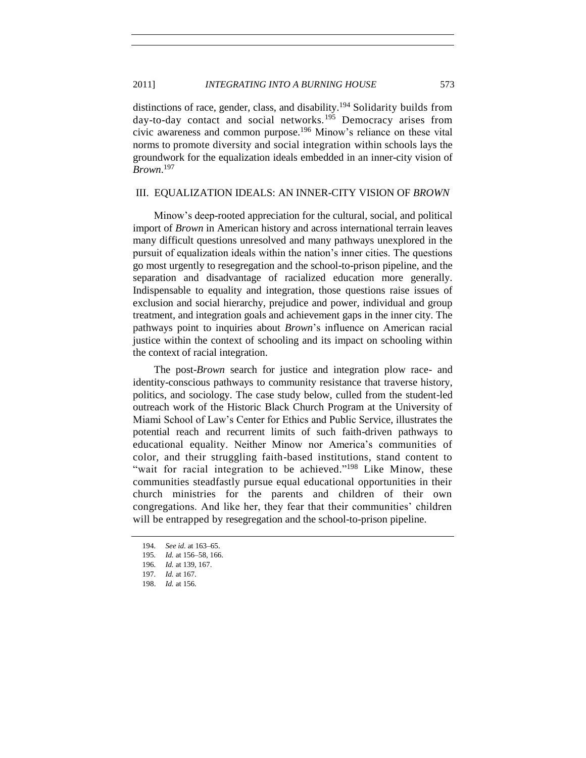#### 2011] *INTEGRATING INTO A BURNING HOUSE* 573

distinctions of race, gender, class, and disability.<sup>194</sup> Solidarity builds from day-to-day contact and social networks.<sup>195</sup> Democracy arises from civic awareness and common purpose.<sup>196</sup> Minow's reliance on these vital norms to promote diversity and social integration within schools lays the groundwork for the equalization ideals embedded in an inner-city vision of *Brown*. 197

#### <span id="page-32-0"></span>III. EQUALIZATION IDEALS: AN INNER-CITY VISION OF *BROWN*

Minow's deep-rooted appreciation for the cultural, social, and political import of *Brown* in American history and across international terrain leaves many difficult questions unresolved and many pathways unexplored in the pursuit of equalization ideals within the nation's inner cities. The questions go most urgently to resegregation and the school-to-prison pipeline, and the separation and disadvantage of racialized education more generally. Indispensable to equality and integration, those questions raise issues of exclusion and social hierarchy, prejudice and power, individual and group treatment, and integration goals and achievement gaps in the inner city. The pathways point to inquiries about *Brown*'s influence on American racial justice within the context of schooling and its impact on schooling within the context of racial integration.

The post-*Brown* search for justice and integration plow race- and identity-conscious pathways to community resistance that traverse history, politics, and sociology. The case study below, culled from the student-led outreach work of the Historic Black Church Program at the University of Miami School of Law's Center for Ethics and Public Service, illustrates the potential reach and recurrent limits of such faith-driven pathways to educational equality. Neither Minow nor America's communities of color, and their struggling faith-based institutions, stand content to "wait for racial integration to be achieved."<sup>198</sup> Like Minow, these communities steadfastly pursue equal educational opportunities in their church ministries for the parents and children of their own congregations. And like her, they fear that their communities' children will be entrapped by resegregation and the school-to-prison pipeline.

<sup>194</sup>*. See id.* at 163–65.

<sup>195</sup>*. Id.* at 156–58, 166.

<sup>196</sup>*. Id.* at 139, 167.

<sup>197</sup>*. Id.* at 167.

<sup>198.</sup> *Id.* at 156.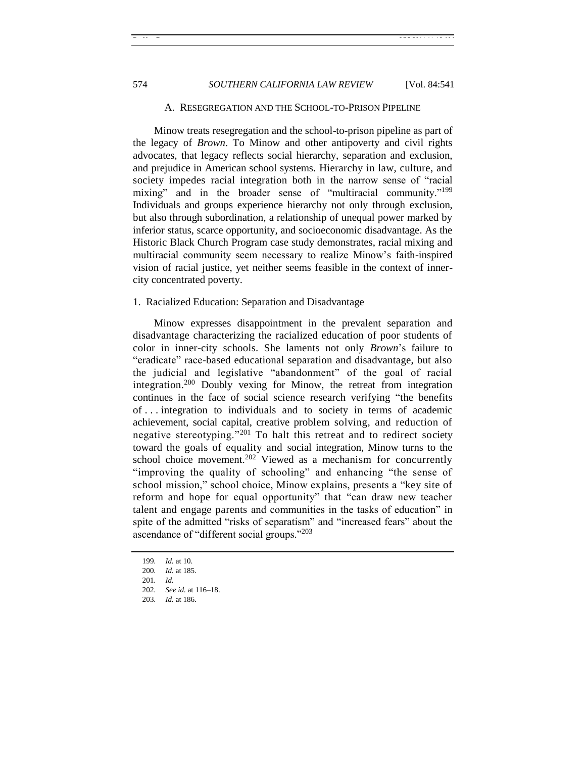# <span id="page-33-0"></span>574 *SOUTHERN CALIFORNIA LAW REVIEW* [Vol. 84:541]

#### A. RESEGREGATION AND THE SCHOOL-TO-PRISON PIPELINE

Minow treats resegregation and the school-to-prison pipeline as part of the legacy of *Brown*. To Minow and other antipoverty and civil rights advocates, that legacy reflects social hierarchy, separation and exclusion, and prejudice in American school systems. Hierarchy in law, culture, and society impedes racial integration both in the narrow sense of "racial mixing" and in the broader sense of "multiracial community."<sup>199</sup> Individuals and groups experience hierarchy not only through exclusion, but also through subordination, a relationship of unequal power marked by inferior status, scarce opportunity, and socioeconomic disadvantage. As the Historic Black Church Program case study demonstrates, racial mixing and multiracial community seem necessary to realize Minow's faith-inspired vision of racial justice, yet neither seems feasible in the context of innercity concentrated poverty.

#### <span id="page-33-1"></span>1. Racialized Education: Separation and Disadvantage

Minow expresses disappointment in the prevalent separation and disadvantage characterizing the racialized education of poor students of color in inner-city schools. She laments not only *Brown*'s failure to "eradicate" race-based educational separation and disadvantage, but also the judicial and legislative "abandonment" of the goal of racial integration.<sup>200</sup> Doubly vexing for Minow, the retreat from integration continues in the face of social science research verifying "the benefits" of . . . integration to individuals and to society in terms of academic achievement, social capital, creative problem solving, and reduction of negative stereotyping."<sup>201</sup> To halt this retreat and to redirect society toward the goals of equality and social integration, Minow turns to the school choice movement.<sup>202</sup> Viewed as a mechanism for concurrently "improving the quality of schooling" and enhancing "the sense of school mission," school choice, Minow explains, presents a "key site of reform and hope for equal opportunity" that "can draw new teacher talent and engage parents and communities in the tasks of education" in spite of the admitted "risks of separatism" and "increased fears" about the ascendance of "different social groups." $203$ 

<sup>199</sup>*. Id.* at 10.

<sup>200</sup>*. Id.* at 185.

<sup>201</sup>*. Id.*

<sup>202</sup>*. See id.* at 116–18.

<sup>203</sup>*. Id.* at 186.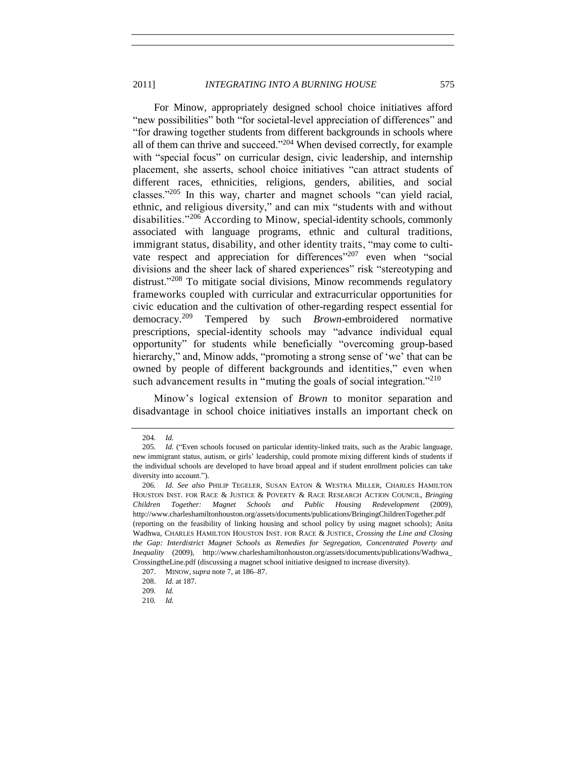For Minow, appropriately designed school choice initiatives afford "new possibilities" both "for societal-level appreciation of differences" and ―for drawing together students from different backgrounds in schools where all of them can thrive and succeed. $204$  When devised correctly, for example with "special focus" on curricular design, civic leadership, and internship placement, she asserts, school choice initiatives "can attract students of different races, ethnicities, religions, genders, abilities, and social classes." $205$  In this way, charter and magnet schools "can yield racial, ethnic, and religious diversity," and can mix "students with and without disabilities."<sup>206</sup> According to Minow, special-identity schools, commonly associated with language programs, ethnic and cultural traditions, immigrant status, disability, and other identity traits, "may come to cultivate respect and appreciation for differences<sup> $207$ </sup> even when "social divisions and the sheer lack of shared experiences" risk "stereotyping and distrust.<sup> $208$ </sup> To mitigate social divisions, Minow recommends regulatory frameworks coupled with curricular and extracurricular opportunities for civic education and the cultivation of other-regarding respect essential for democracy.<sup>209</sup> Tempered by such *Brown*-embroidered normative prescriptions, special-identity schools may "advance individual equal opportunity" for students while beneficially "overcoming group-based hierarchy," and, Minow adds, "promoting a strong sense of 'we' that can be owned by people of different backgrounds and identities," even when such advancement results in "muting the goals of social integration."<sup>210</sup>

Minow's logical extension of *Brown* to monitor separation and disadvantage in school choice initiatives installs an important check on

<sup>204</sup>*. Id.*

<sup>205.</sup> *Id.* ("Even schools focused on particular identity-linked traits, such as the Arabic language, new immigrant status, autism, or girls' leadership, could promote mixing different kinds of students if the individual schools are developed to have broad appeal and if student enrollment policies can take diversity into account.").

<sup>206</sup>*. Id. See also* PHILIP TEGELER, SUSAN EATON & WESTRA MILLER, CHARLES HAMILTON HOUSTON INST. FOR RACE & JUSTICE & POVERTY & RACE RESEARCH ACTION COUNCIL, *Bringing Children Together: Magnet Schools and Public Housing Redevelopment* (2009), http://www.charleshamiltonhouston.org/assets/documents/publications/BringingChildrenTogether.pdf (reporting on the feasibility of linking housing and school policy by using magnet schools); Anita Wadhwa, CHARLES HAMILTON HOUSTON INST. FOR RACE & JUSTICE, *Crossing the Line and Closing the Gap: Interdistrict Magnet Schools as Remedies for Segregation, Concentrated Poverty and Inequality* (2009), http://www.charleshamiltonhouston.org/assets/documents/publications/Wadhwa\_ CrossingtheLine.pdf (discussing a magnet school initiative designed to increase diversity).

<sup>207.</sup> MINOW, *supra* not[e 7,](#page-2-0) at 186–87.

<sup>208.</sup> *Id.* at 187.

<sup>209</sup>*. Id.*

<sup>210</sup>*. Id.*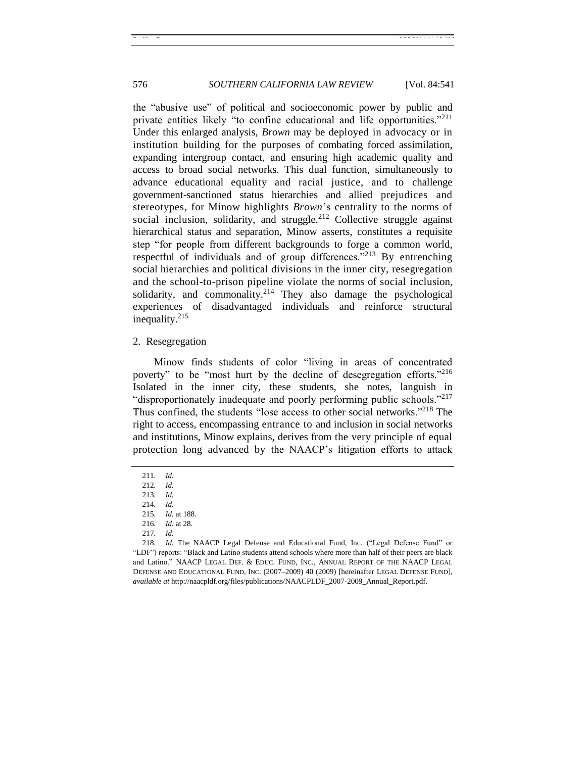the "abusive use" of political and socioeconomic power by public and private entities likely "to confine educational and life opportunities."<sup>211</sup> Under this enlarged analysis, *Brown* may be deployed in advocacy or in institution building for the purposes of combating forced assimilation, expanding intergroup contact, and ensuring high academic quality and access to broad social networks. This dual function, simultaneously to advance educational equality and racial justice, and to challenge government-sanctioned status hierarchies and allied prejudices and stereotypes, for Minow highlights *Brown*'s centrality to the norms of social inclusion, solidarity, and struggle.<sup>212</sup> Collective struggle against hierarchical status and separation, Minow asserts, constitutes a requisite step "for people from different backgrounds to forge a common world, respectful of individuals and of group differences.<sup> $213$ </sup> By entrenching social hierarchies and political divisions in the inner city, resegregation and the school-to-prison pipeline violate the norms of social inclusion, solidarity, and commonality. $2^{14}$  They also damage the psychological experiences of disadvantaged individuals and reinforce structural inequality. 215

#### <span id="page-35-0"></span>2. Resegregation

Minow finds students of color "living in areas of concentrated poverty" to be "most hurt by the decline of desegregation efforts."<sup>216</sup> Isolated in the inner city, these students, she notes, languish in "disproportionately inadequate and poorly performing public schools."<sup>217</sup> Thus confined, the students "lose access to other social networks."<sup>218</sup> The right to access, encompassing entrance to and inclusion in social networks and institutions, Minow explains, derives from the very principle of equal protection long advanced by the NAACP's litigation efforts to attack

<span id="page-35-1"></span><sup>211</sup>*. Id.*

<sup>212</sup>*. Id.*

<sup>213</sup>*. Id.*

<sup>214</sup>*. Id.*

<sup>215</sup>*. Id.* at 188.

<sup>216</sup>*. Id.* at 28.

<sup>217</sup>*. Id.*

<sup>218.</sup> *Id.* The NAACP Legal Defense and Educational Fund, Inc. ("Legal Defense Fund" or ―LDF‖) reports: ―Black and Latino students attend schools where more than half of their peers are black and Latino." NAACP LEGAL DEF. & EDUC. FUND, INC., ANNUAL REPORT OF THE NAACP LEGAL DEFENSE AND EDUCATIONAL FUND, INC. (2007–2009) 40 (2009) [hereinafter LEGAL DEFENSE FUND], *available at* http://naacpldf.org/files/publications/NAACPLDF\_2007-2009\_Annual\_Report.pdf.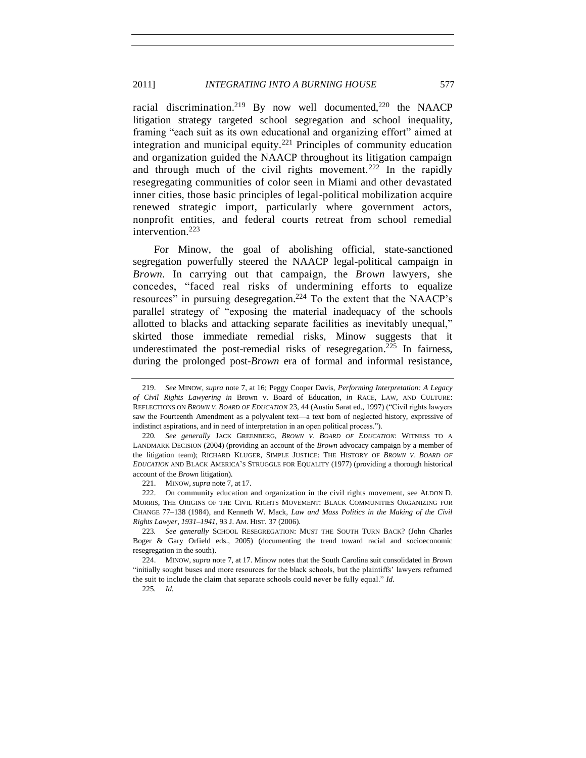racial discrimination.<sup>219</sup> By now well documented,<sup>220</sup> the NAACP litigation strategy targeted school segregation and school inequality, framing "each suit as its own educational and organizing effort" aimed at integration and municipal equity.<sup>221</sup> Principles of community education and organization guided the NAACP throughout its litigation campaign and through much of the civil rights movement.<sup>222</sup> In the rapidly resegregating communities of color seen in Miami and other devastated inner cities, those basic principles of legal-political mobilization acquire renewed strategic import, particularly where government actors, nonprofit entities, and federal courts retreat from school remedial intervention.<sup>223</sup>

For Minow, the goal of abolishing official, state-sanctioned segregation powerfully steered the NAACP legal-political campaign in *Brown.* In carrying out that campaign, the *Brown* lawyers, she concedes, "faced real risks of undermining efforts to equalize resources" in pursuing desegregation.<sup>224</sup> To the extent that the NAACP's parallel strategy of "exposing the material inadequacy of the schools" allotted to blacks and attacking separate facilities as inevitably unequal," skirted those immediate remedial risks, Minow suggests that it underestimated the post-remedial risks of resegregation.<sup>225</sup> In fairness, during the prolonged post-*Brown* era of formal and informal resistance,

221. MINOW, *supra* not[e 7,](#page-2-0) at 17.

222. On community education and organization in the civil rights movement, see ALDON D. MORRIS, THE ORIGINS OF THE CIVIL RIGHTS MOVEMENT: BLACK COMMUNITIES ORGANIZING FOR CHANGE 77–138 (1984), and Kenneth W. Mack, *Law and Mass Politics in the Making of the Civil Rights Lawyer, 1931–1941*, 93 J. AM. HIST. 37 (2006).

223*. See generally* SCHOOL RESEGREGATION: MUST THE SOUTH TURN BACK? (John Charles Boger & Gary Orfield eds., 2005) (documenting the trend toward racial and socioeconomic resegregation in the south).

224. MINOW, *supra* note [7,](#page-2-0) at 17. Minow notes that the South Carolina suit consolidated in *Brown*  ―initially sought buses and more resources for the black schools, but the plaintiffs' lawyers reframed the suit to include the claim that separate schools could never be fully equal." Id.

225*. Id.*

<sup>219.</sup> *See* MINOW, *supra* note [7,](#page-2-0) at 16; Peggy Cooper Davis, *Performing Interpretation: A Legacy of Civil Rights Lawyering in* Brown v. Board of Education, *in* RACE, LAW, AND CULTURE: REFLECTIONS ON *BROWN V. BOARD OF EDUCATION* 23, 44 (Austin Sarat ed., 1997) ("Civil rights lawyers saw the Fourteenth Amendment as a polyvalent text—a text born of neglected history, expressive of indistinct aspirations, and in need of interpretation in an open political process.").

<sup>220</sup>*. See generally* JACK GREENBERG, *BROWN V. BOARD OF EDUCATION*: WITNESS TO A LANDMARK DECISION (2004) (providing an account of the *Brown* advocacy campaign by a member of the litigation team); RICHARD KLUGER, SIMPLE JUSTICE: THE HISTORY OF *BROWN V. BOARD OF EDUCATION* AND BLACK AMERICA'S STRUGGLE FOR EQUALITY (1977) (providing a thorough historical account of the *Brown* litigation).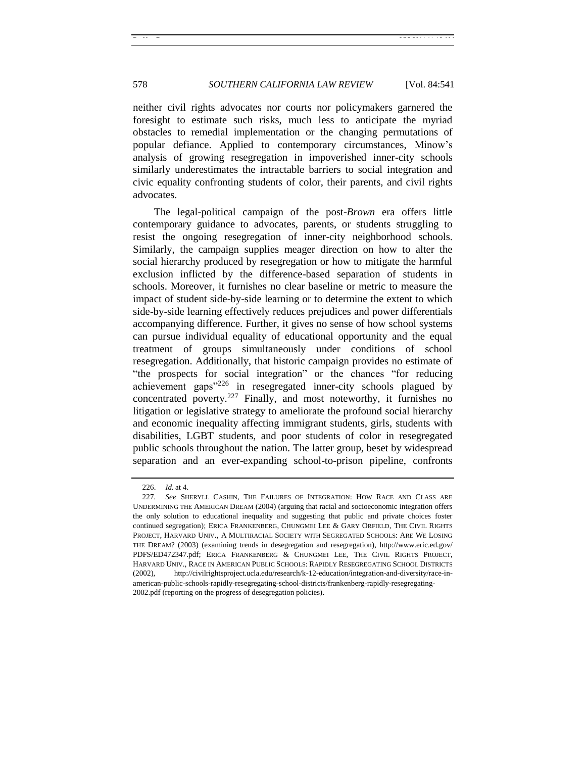neither civil rights advocates nor courts nor policymakers garnered the foresight to estimate such risks, much less to anticipate the myriad obstacles to remedial implementation or the changing permutations of popular defiance. Applied to contemporary circumstances, Minow's analysis of growing resegregation in impoverished inner-city schools similarly underestimates the intractable barriers to social integration and civic equality confronting students of color, their parents, and civil rights advocates.

The legal-political campaign of the post-*Brown* era offers little contemporary guidance to advocates, parents, or students struggling to resist the ongoing resegregation of inner-city neighborhood schools. Similarly, the campaign supplies meager direction on how to alter the social hierarchy produced by resegregation or how to mitigate the harmful exclusion inflicted by the difference-based separation of students in schools. Moreover, it furnishes no clear baseline or metric to measure the impact of student side-by-side learning or to determine the extent to which side-by-side learning effectively reduces prejudices and power differentials accompanying difference. Further, it gives no sense of how school systems can pursue individual equality of educational opportunity and the equal treatment of groups simultaneously under conditions of school resegregation. Additionally, that historic campaign provides no estimate of "the prospects for social integration" or the chances "for reducing achievement gaps<sup> $226$ </sup> in resegregated inner-city schools plagued by concentrated poverty.<sup>227</sup> Finally, and most noteworthy, it furnishes no litigation or legislative strategy to ameliorate the profound social hierarchy and economic inequality affecting immigrant students, girls, students with disabilities, LGBT students, and poor students of color in resegregated public schools throughout the nation. The latter group, beset by widespread separation and an ever-expanding school-to-prison pipeline, confronts

<sup>226.</sup> *Id.* at 4.

<sup>227</sup>*. See* SHERYLL CASHIN, THE FAILURES OF INTEGRATION: HOW RACE AND CLASS ARE UNDERMINING THE AMERICAN DREAM (2004) (arguing that racial and socioeconomic integration offers the only solution to educational inequality and suggesting that public and private choices foster continued segregation); ERICA FRANKENBERG, CHUNGMEI LEE & GARY ORFIELD, THE CIVIL RIGHTS PROJECT, HARVARD UNIV., A MULTIRACIAL SOCIETY WITH SEGREGATED SCHOOLS: ARE WE LOSING THE DREAM? (2003) (examining trends in desegregation and resegregation), http://www.eric.ed.gov/ PDFS/ED472347.pdf; ERICA FRANKENBERG & CHUNGMEI LEE, THE CIVIL RIGHTS PROJECT, HARVARD UNIV., RACE IN AMERICAN PUBLIC SCHOOLS: RAPIDLY RESEGREGATING SCHOOL DISTRICTS (2002), http://civilrightsproject.ucla.edu/research/k-12-education/integration-and-diversity/race-inamerican-public-schools-rapidly-resegregating-school-districts/frankenberg-rapidly-resegregating-2002.pdf (reporting on the progress of desegregation policies).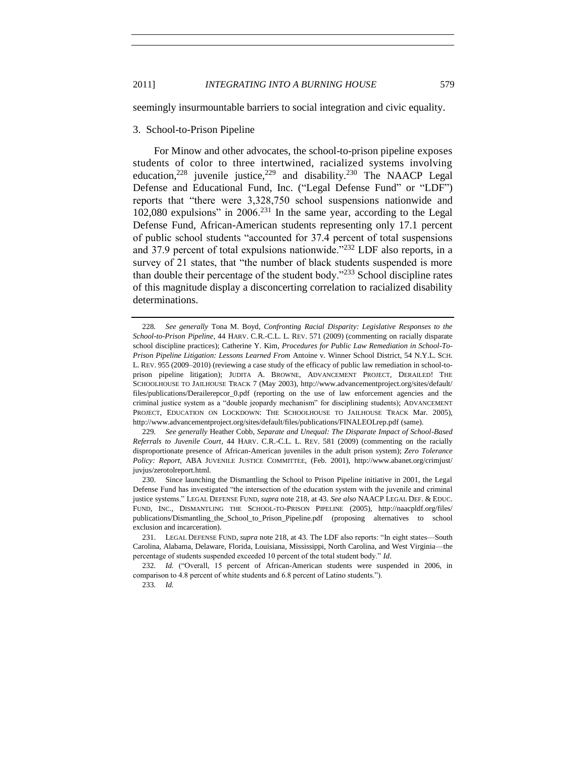<span id="page-38-0"></span>seemingly insurmountable barriers to social integration and civic equality.

#### 3. School-to-Prison Pipeline

For Minow and other advocates, the school-to-prison pipeline exposes students of color to three intertwined, racialized systems involving education,<sup>228</sup> juvenile justice,<sup>229</sup> and disability.<sup>230</sup> The NAACP Legal Defense and Educational Fund, Inc. ("Legal Defense Fund" or "LDF") reports that "there were 3,328,750 school suspensions nationwide and  $102,080$  expulsions" in  $2006<sup>231</sup>$  In the same year, according to the Legal Defense Fund, African-American students representing only 17.1 percent of public school students "accounted for 37.4 percent of total suspensions and 37.9 percent of total expulsions nationwide." $^{232}$  LDF also reports, in a survey of  $21$  states, that "the number of black students suspended is more than double their percentage of the student body. $233$  School discipline rates of this magnitude display a disconcerting correlation to racialized disability determinations.

<sup>228</sup>*. See generally* Tona M. Boyd, *Confronting Racial Disparity: Legislative Responses to the School-to-Prison Pipeline*, 44 HARV. C.R.-C.L. L. REV. 571 (2009) (commenting on racially disparate school discipline practices); Catherine Y. Kim, *Procedures for Public Law Remediation in School-To-Prison Pipeline Litigation: Lessons Learned From* Antoine v. Winner School District, 54 N.Y.L. SCH. L. REV. 955 (2009–2010) (reviewing a case study of the efficacy of public law remediation in school-toprison pipeline litigation); JUDITA A. BROWNE, ADVANCEMENT PROJECT, DERAILED! THE SCHOOLHOUSE TO JAILHOUSE TRACK 7 (May 2003), http://www.advancementproject.org/sites/default/ files/publications/Derailerepcor\_0.pdf (reporting on the use of law enforcement agencies and the criminal justice system as a "double jeopardy mechanism" for disciplining students); ADVANCEMENT PROJECT, EDUCATION ON LOCKDOWN: THE SCHOOLHOUSE TO JAILHOUSE TRACK Mar. 2005), http://www.advancementproject.org/sites/default/files/publications/FINALEOLrep.pdf (same).

<sup>229</sup>*. See generally* Heather Cobb, *Separate and Unequal: The Disparate Impact of School-Based Referrals to Juvenile Court*, 44 HARV. C.R.-C.L. L. REV. 581 (2009) (commenting on the racially disproportionate presence of African-American juveniles in the adult prison system); *Zero Tolerance Policy: Report*, ABA JUVENILE JUSTICE COMMITTEE, (Feb. 2001), http://www.abanet.org/crimjust/ juvjus/zerotolreport.html.

<sup>230.</sup> Since launching the Dismantling the School to Prison Pipeline initiative in 2001, the Legal Defense Fund has investigated "the intersection of the education system with the juvenile and criminal justice systems.‖ LEGAL DEFENSE FUND, *supra* not[e 218,](#page-35-1) at 43. *See also* NAACP LEGAL DEF. & EDUC. FUND, INC., DISMANTLING THE SCHOOL-TO-PRISON PIPELINE (2005), http://naacpldf.org/files/ publications/Dismantling\_the\_School\_to\_Prison\_Pipeline.pdf (proposing alternatives to school exclusion and incarceration).

<sup>231.</sup> LEGAL DEFENSE FUND, *supra* not[e 218,](#page-35-1) at 43. The LDF also reports: "In eight states—South Carolina, Alabama, Delaware, Florida, Louisiana, Mississippi, North Carolina, and West Virginia—the percentage of students suspended exceeded 10 percent of the total student body.‖ *Id*.

<sup>232.</sup> *Id.* ("Overall, 15 percent of African-American students were suspended in 2006, in comparison to 4.8 percent of white students and 6.8 percent of Latino students.").

<sup>233</sup>*. Id.*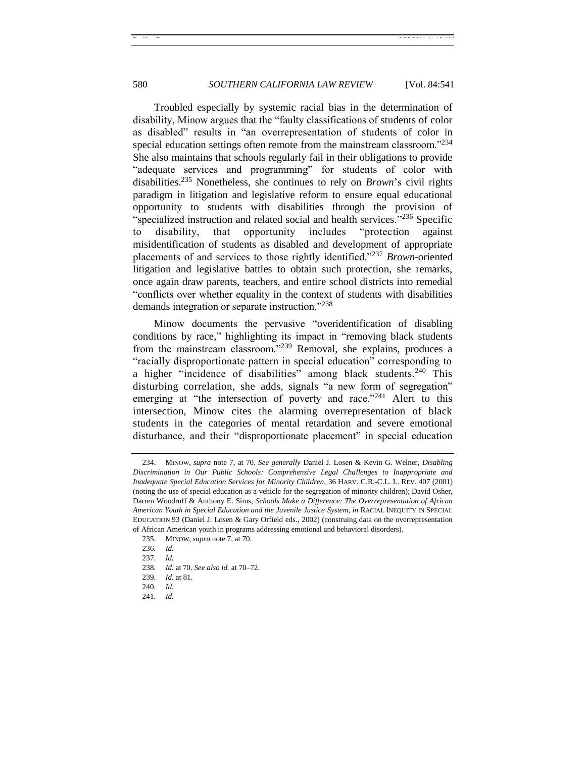Troubled especially by systemic racial bias in the determination of disability, Minow argues that the "faulty classifications of students of color as disabled" results in "an overrepresentation of students of color in special education settings often remote from the mainstream classroom. $234$ She also maintains that schools regularly fail in their obligations to provide "adequate services and programming" for students of color with disabilities.<sup>235</sup> Nonetheless, she continues to rely on *Brown*'s civil rights paradigm in litigation and legislative reform to ensure equal educational opportunity to students with disabilities through the provision of "specialized instruction and related social and health services."<sup>236</sup> Specific to disability, that opportunity includes "protection against misidentification of students as disabled and development of appropriate placements of and services to those rightly identified.<sup>2237</sup> *Brown*-oriented litigation and legislative battles to obtain such protection, she remarks, once again draw parents, teachers, and entire school districts into remedial ―conflicts over whether equality in the context of students with disabilities demands integration or separate instruction."<sup>238</sup>

Minow documents the pervasive "overidentification of disabling conditions by race," highlighting its impact in "removing black students" from the mainstream classroom."<sup>239</sup> Removal, she explains, produces a ―racially disproportionate pattern in special education‖ corresponding to a higher "incidence of disabilities" among black students.<sup>240</sup> This disturbing correlation, she adds, signals "a new form of segregation" emerging at "the intersection of poverty and race."<sup>241</sup> Alert to this intersection, Minow cites the alarming overrepresentation of black students in the categories of mental retardation and severe emotional disturbance, and their "disproportionate placement" in special education

235. MINOW, *supra* not[e 7,](#page-2-0) at 70.

241*. Id.*

<sup>234.</sup> MINOW, *supra* note [7,](#page-2-0) at 70. *See generally* Daniel J. Losen & Kevin G. Welner, *Disabling Discrimination in Our Public Schools: Comprehensive Legal Challenges to Inappropriate and Inadequate Special Education Services for Minority Children*, 36 HARV. C.R.-C.L. L. REV. 407 (2001) (noting the use of special education as a vehicle for the segregation of minority children); David Osher, Darren Woodruff & Anthony E. Sims, *Schools Make a Difference: The Overrepresentation of African American Youth in Special Education and the Juvenile Justice System*, *in* RACIAL INEQUITY IN SPECIAL EDUCATION 93 (Daniel J. Losen & Gary Orfield eds., 2002) (construing data on the overrepresentation of African American youth in programs addressing emotional and behavioral disorders).

<sup>236</sup>*. Id.*

<sup>237</sup>*. Id.*

<sup>238</sup>*. Id.* at 70. *See also id.* at 70–72.

<sup>239</sup>*. Id.* at 81.

<sup>240</sup>*. Id.*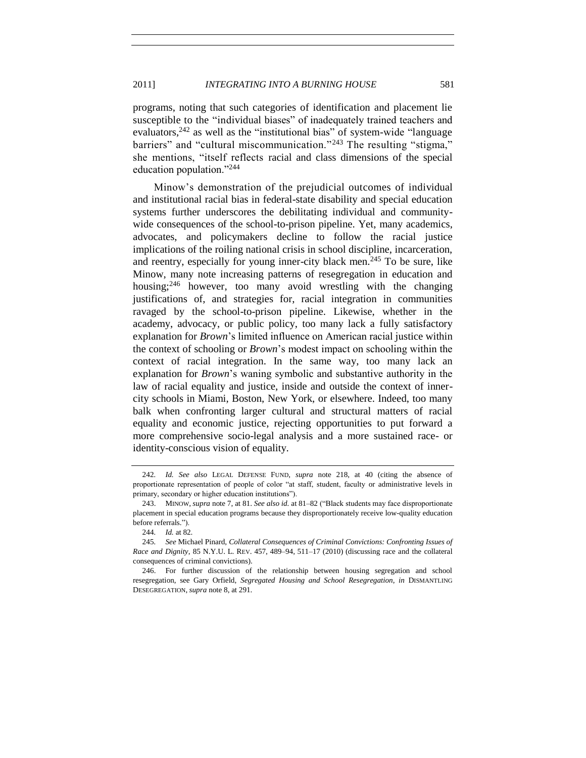programs, noting that such categories of identification and placement lie susceptible to the "individual biases" of inadequately trained teachers and evaluators,  $242$  as well as the "institutional bias" of system-wide "language" barriers" and "cultural miscommunication."<sup>243</sup> The resulting "stigma," she mentions, "itself reflects racial and class dimensions of the special education population." $244$ 

Minow's demonstration of the prejudicial outcomes of individual and institutional racial bias in federal-state disability and special education systems further underscores the debilitating individual and communitywide consequences of the school-to-prison pipeline. Yet, many academics, advocates, and policymakers decline to follow the racial justice implications of the roiling national crisis in school discipline, incarceration, and reentry, especially for young inner-city black men.<sup>245</sup> To be sure, like Minow, many note increasing patterns of resegregation in education and housing; $^{246}$  however, too many avoid wrestling with the changing justifications of, and strategies for, racial integration in communities ravaged by the school-to-prison pipeline. Likewise, whether in the academy, advocacy, or public policy, too many lack a fully satisfactory explanation for *Brown*'s limited influence on American racial justice within the context of schooling or *Brown*'s modest impact on schooling within the context of racial integration. In the same way, too many lack an explanation for *Brown*'s waning symbolic and substantive authority in the law of racial equality and justice, inside and outside the context of innercity schools in Miami, Boston, New York, or elsewhere. Indeed, too many balk when confronting larger cultural and structural matters of racial equality and economic justice, rejecting opportunities to put forward a more comprehensive socio-legal analysis and a more sustained race- or identity-conscious vision of equality.

<sup>242</sup>*. Id. See also* LEGAL DEFENSE FUND, *supra* note [218,](#page-35-1) at 40 (citing the absence of proportionate representation of people of color "at staff, student, faculty or administrative levels in primary, secondary or higher education institutions").

<sup>243.</sup> MINOW, *supra* not[e 7,](#page-2-0) at 81. *See also id.* at 81–82 ("Black students may face disproportionate placement in special education programs because they disproportionately receive low-quality education before referrals.").

<sup>244</sup>*. Id.* at 82.

<sup>245</sup>*. See* Michael Pinard, *Collateral Consequences of Criminal Convictions: Confronting Issues of Race and Dignity*, 85 N.Y.U. L. REV. 457, 489–94, 511–17 (2010) (discussing race and the collateral consequences of criminal convictions).

<sup>246.</sup> For further discussion of the relationship between housing segregation and school resegregation, see Gary Orfield, *Segregated Housing and School Resegregation*, *in* DISMANTLING DESEGREGATION, *supra* note [8,](#page-3-0) at 291.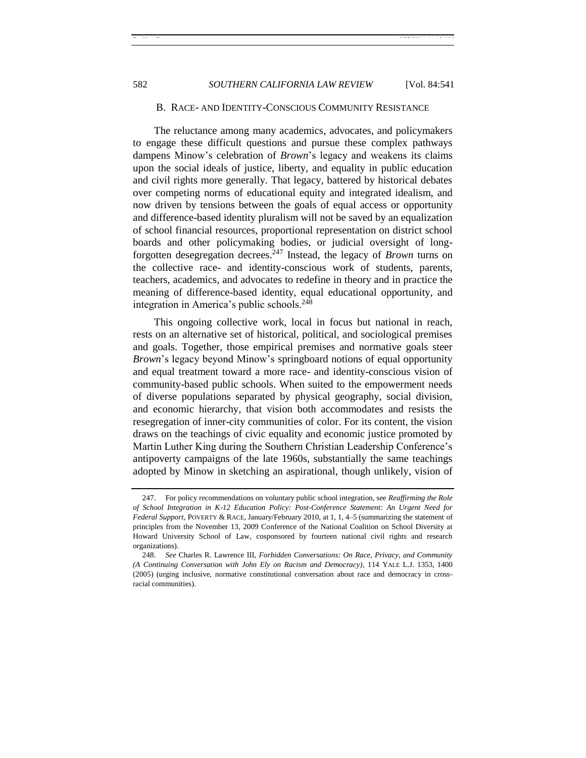#### B. RACE- AND IDENTITY-CONSCIOUS COMMUNITY RESISTANCE

<span id="page-41-0"></span>The reluctance among many academics, advocates, and policymakers to engage these difficult questions and pursue these complex pathways dampens Minow's celebration of *Brown*'s legacy and weakens its claims upon the social ideals of justice, liberty, and equality in public education and civil rights more generally. That legacy, battered by historical debates over competing norms of educational equity and integrated idealism, and now driven by tensions between the goals of equal access or opportunity and difference-based identity pluralism will not be saved by an equalization of school financial resources, proportional representation on district school boards and other policymaking bodies, or judicial oversight of longforgotten desegregation decrees.<sup>247</sup> Instead, the legacy of *Brown* turns on the collective race- and identity-conscious work of students, parents, teachers, academics, and advocates to redefine in theory and in practice the meaning of difference-based identity, equal educational opportunity, and integration in America's public schools.<sup>248</sup>

This ongoing collective work, local in focus but national in reach, rests on an alternative set of historical, political, and sociological premises and goals. Together, those empirical premises and normative goals steer *Brown*'s legacy beyond Minow's springboard notions of equal opportunity and equal treatment toward a more race- and identity-conscious vision of community-based public schools. When suited to the empowerment needs of diverse populations separated by physical geography, social division, and economic hierarchy, that vision both accommodates and resists the resegregation of inner-city communities of color. For its content, the vision draws on the teachings of civic equality and economic justice promoted by Martin Luther King during the Southern Christian Leadership Conference's antipoverty campaigns of the late 1960s, substantially the same teachings adopted by Minow in sketching an aspirational, though unlikely, vision of

<sup>247.</sup> For policy recommendations on voluntary public school integration, see *Reaffirming the Role of School Integration in K-12 Education Policy: Post-Conference Statement: An Urgent Need for Federal Support*, POVERTY & RACE, January/February 2010, at 1, 1, 4–5 (summarizing the statement of principles from the November 13, 2009 Conference of the National Coalition on School Diversity at Howard University School of Law, cosponsored by fourteen national civil rights and research organizations).

<sup>248.</sup> *See* Charles R. Lawrence III, *Forbidden Conversations: On Race, Privacy, and Community (A Continuing Conversation with John Ely on Racism and Democracy)*, 114 YALE L.J. 1353, 1400 (2005) (urging inclusive, normative constitutional conversation about race and democracy in crossracial communities).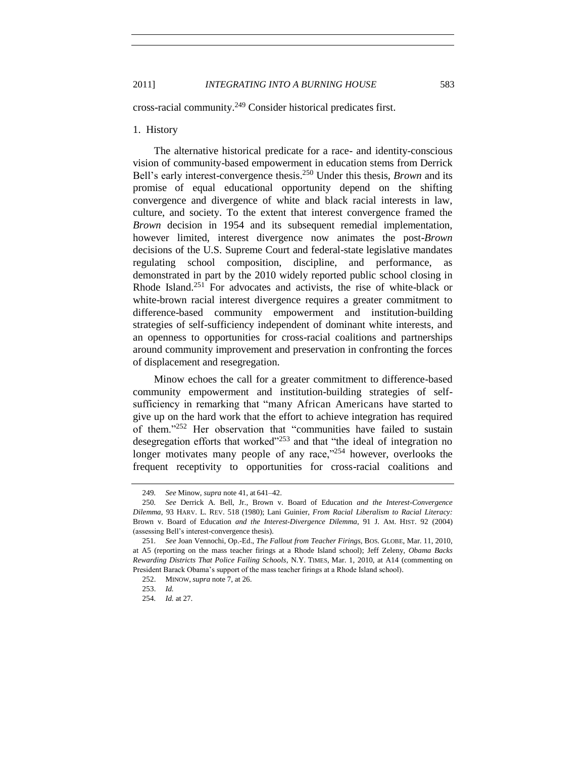cross-racial community.<sup>249</sup> Consider historical predicates first.

### <span id="page-42-0"></span>1. History

The alternative historical predicate for a race- and identity-conscious vision of community-based empowerment in education stems from Derrick Bell's early interest-convergence thesis.<sup>250</sup> Under this thesis, *Brown* and its promise of equal educational opportunity depend on the shifting convergence and divergence of white and black racial interests in law, culture, and society. To the extent that interest convergence framed the *Brown* decision in 1954 and its subsequent remedial implementation, however limited, interest divergence now animates the post-*Brown* decisions of the U.S. Supreme Court and federal-state legislative mandates regulating school composition, discipline, and performance, as demonstrated in part by the 2010 widely reported public school closing in Rhode Island.<sup>251</sup> For advocates and activists, the rise of white-black or white-brown racial interest divergence requires a greater commitment to difference-based community empowerment and institution-building strategies of self-sufficiency independent of dominant white interests, and an openness to opportunities for cross-racial coalitions and partnerships around community improvement and preservation in confronting the forces of displacement and resegregation.

Minow echoes the call for a greater commitment to difference-based community empowerment and institution-building strategies of selfsufficiency in remarking that "many African Americans have started to give up on the hard work that the effort to achieve integration has required of them."<sup>252</sup> Her observation that "communities have failed to sustain desegregation efforts that worked $1253$  and that "the ideal of integration no longer motivates many people of any race, $^{254}$  however, overlooks the frequent receptivity to opportunities for cross-racial coalitions and

<sup>249</sup>*. See* Minow, *supra* not[e 41,](#page-9-1) at 641–42.

<sup>250</sup>*. See* Derrick A. Bell, Jr., Brown v. Board of Education *and the Interest-Convergence Dilemma*, 93 HARV. L. REV. 518 (1980); Lani Guinier, *From Racial Liberalism to Racial Literacy:* Brown v. Board of Education *and the Interest-Divergence Dilemma*, 91 J. AM. HIST. 92 (2004) (assessing Bell's interest-convergence thesis).

<sup>251</sup>*. See* Joan Vennochi, Op.-Ed., *The Fallout from Teacher Firings*, BOS. GLOBE, Mar. 11, 2010, at A5 (reporting on the mass teacher firings at a Rhode Island school); Jeff Zeleny, *Obama Backs Rewarding Districts That Police Failing Schools*, N.Y. TIMES, Mar. 1, 2010, at A14 (commenting on President Barack Obama's support of the mass teacher firings at a Rhode Island school).

<sup>252.</sup> MINOW, *supra* not[e 7,](#page-2-0) at 26.

<sup>253.</sup> *Id.*

<sup>254</sup>*. Id.* at 27.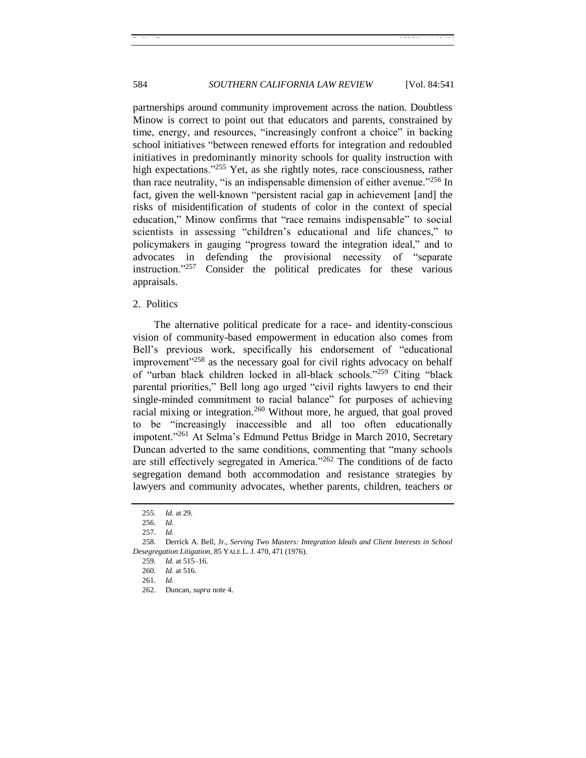584 *SOUTHERN CALIFORNIA LAW REVIEW* [Vol. 84:541

partnerships around community improvement across the nation. Doubtless Minow is correct to point out that educators and parents, constrained by time, energy, and resources, "increasingly confront a choice" in backing school initiatives "between renewed efforts for integration and redoubled initiatives in predominantly minority schools for quality instruction with high expectations.<sup> $255$ </sup> Yet, as she rightly notes, race consciousness, rather than race neutrality, "is an indispensable dimension of either avenue."<sup>256</sup> In fact, given the well-known "persistent racial gap in achievement [and] the risks of misidentification of students of color in the context of special education," Minow confirms that "race remains indispensable" to social scientists in assessing "children's educational and life chances," to policymakers in gauging "progress toward the integration ideal," and to advocates in defending the provisional necessity of "separate" instruction.<sup>7257</sup> Consider the political predicates for these various appraisals.

#### <span id="page-43-0"></span>2. Politics

The alternative political predicate for a race- and identity-conscious vision of community-based empowerment in education also comes from Bell's previous work, specifically his endorsement of "educational improvement<sup> $258$ </sup> as the necessary goal for civil rights advocacy on behalf of "urban black children locked in all-black schools."<sup>259</sup> Citing "black parental priorities," Bell long ago urged "civil rights lawyers to end their single-minded commitment to racial balance" for purposes of achieving racial mixing or integration.<sup>260</sup> Without more, he argued, that goal proved to be "increasingly inaccessible and all too often educationally impotent."<sup>261</sup> At Selma's Edmund Pettus Bridge in March 2010, Secretary Duncan adverted to the same conditions, commenting that "many schools" are still effectively segregated in America.<sup> $262$ </sup> The conditions of de facto segregation demand both accommodation and resistance strategies by lawyers and community advocates, whether parents, children, teachers or

<sup>255</sup>*. Id.* at 29.

<sup>256</sup>*. Id.*

<sup>257</sup>*. Id.*

<sup>258.</sup> Derrick A. Bell, Jr., *Serving Two Masters: Integration Ideals and Client Interests in School Desegregation Litigation*, 85 YALE L. J. 470, 471 (1976).

<sup>259</sup>*. Id.* at 515–16.

<sup>260</sup>*. Id.* at 516.

<sup>261</sup>*. Id.*

<sup>262.</sup> Duncan, *supra* note [4.](#page-2-1)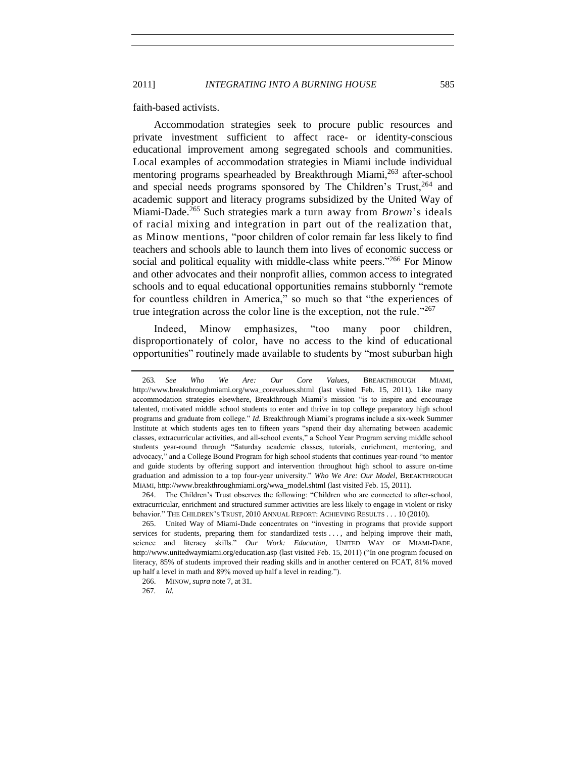faith-based activists.

Accommodation strategies seek to procure public resources and private investment sufficient to affect race- or identity-conscious educational improvement among segregated schools and communities. Local examples of accommodation strategies in Miami include individual mentoring programs spearheaded by Breakthrough Miami,<sup>263</sup> after-school and special needs programs sponsored by The Children's Trust.<sup>264</sup> and academic support and literacy programs subsidized by the United Way of Miami-Dade.<sup>265</sup> Such strategies mark a turn away from *Brown*'s ideals of racial mixing and integration in part out of the realization that, as Minow mentions, "poor children of color remain far less likely to find teachers and schools able to launch them into lives of economic success or social and political equality with middle-class white peers.<sup>3266</sup> For Minow and other advocates and their nonprofit allies, common access to integrated schools and to equal educational opportunities remains stubbornly "remote for countless children in America," so much so that "the experiences of true integration across the color line is the exception, not the rule.<sup> $267$ </sup>

Indeed, Minow emphasizes, "too many poor children, disproportionately of color, have no access to the kind of educational opportunities" routinely made available to students by "most suburban high

<sup>263</sup>*. See Who We Are: Our Core Values*, BREAKTHROUGH MIAMI, http://www.breakthroughmiami.org/wwa\_corevalues.shtml (last visited Feb. 15, 2011). Like many accommodation strategies elsewhere, Breakthrough Miami's mission "is to inspire and encourage talented, motivated middle school students to enter and thrive in top college preparatory high school programs and graduate from college.‖ *Id.* Breakthrough Miami's programs include a six-week Summer Institute at which students ages ten to fifteen years "spend their day alternating between academic classes, extracurricular activities, and all-school events," a School Year Program serving middle school students year-round through "Saturday academic classes, tutorials, enrichment, mentoring, and advocacy," and a College Bound Program for high school students that continues year-round "to mentor and guide students by offering support and intervention throughout high school to assure on-time graduation and admission to a top four-year university.‖ *Who We Are: Our Model*, BREAKTHROUGH MIAMI, http://www.breakthroughmiami.org/wwa\_model.shtml (last visited Feb. 15, 2011).

<sup>264.</sup> The Children's Trust observes the following: "Children who are connected to after-school, extracurricular, enrichment and structured summer activities are less likely to engage in violent or risky behavior." THE CHILDREN'S TRUST, 2010 ANNUAL REPORT: ACHIEVING RESULTS . . . 10 (2010).

<sup>265.</sup> United Way of Miami-Dade concentrates on "investing in programs that provide support services for students, preparing them for standardized tests . . . , and helping improve their math, science and literacy skills.‖ *Our Work: Education*, UNITED WAY OF MIAMI-DADE, http://www.unitedwaymiami.org/education.asp (last visited Feb. 15, 2011) ("In one program focused on literacy, 85% of students improved their reading skills and in another centered on FCAT, 81% moved up half a level in math and 89% moved up half a level in reading.").

<sup>266.</sup> MINOW, *supra* not[e 7,](#page-2-0) at 31.

<sup>267</sup>*. Id.*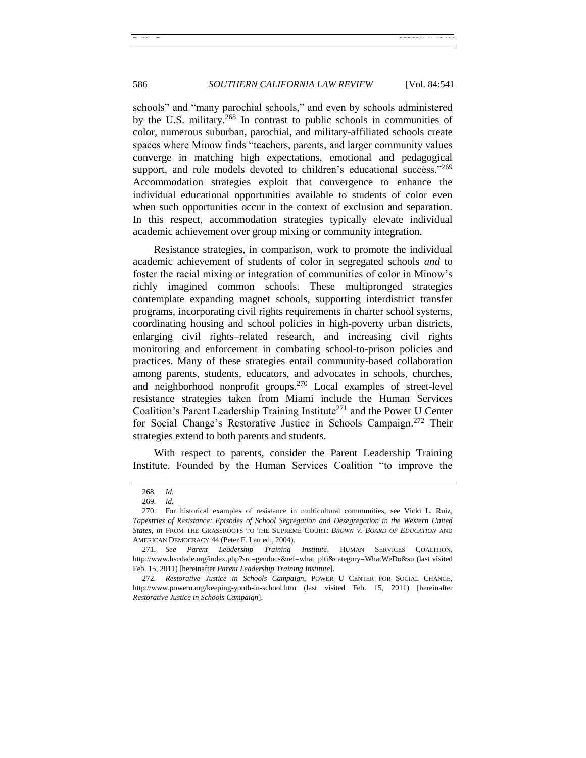schools" and "many parochial schools," and even by schools administered by the U.S. military.<sup>268</sup> In contrast to public schools in communities of color, numerous suburban, parochial, and military-affiliated schools create spaces where Minow finds "teachers, parents, and larger community values converge in matching high expectations, emotional and pedagogical support, and role models devoted to children's educational success." $269$ Accommodation strategies exploit that convergence to enhance the individual educational opportunities available to students of color even when such opportunities occur in the context of exclusion and separation. In this respect, accommodation strategies typically elevate individual academic achievement over group mixing or community integration.

Resistance strategies, in comparison, work to promote the individual academic achievement of students of color in segregated schools *and* to foster the racial mixing or integration of communities of color in Minow's richly imagined common schools. These multipronged strategies contemplate expanding magnet schools, supporting interdistrict transfer programs, incorporating civil rights requirements in charter school systems, coordinating housing and school policies in high-poverty urban districts, enlarging civil rights–related research, and increasing civil rights monitoring and enforcement in combating school-to-prison policies and practices. Many of these strategies entail community-based collaboration among parents, students, educators, and advocates in schools, churches, and neighborhood nonprofit groups.<sup>270</sup> Local examples of street-level resistance strategies taken from Miami include the Human Services Coalition's Parent Leadership Training Institute<sup>271</sup> and the Power U Center for Social Change's Restorative Justice in Schools Campaign. <sup>272</sup> Their strategies extend to both parents and students.

<span id="page-45-0"></span>With respect to parents, consider the Parent Leadership Training Institute. Founded by the Human Services Coalition "to improve the

<span id="page-45-1"></span><sup>268</sup>*. Id.*

<sup>269</sup>*. Id.*

<sup>270.</sup> For historical examples of resistance in multicultural communities, see Vicki L. Ruiz, *Tapestries of Resistance: Episodes of School Segregation and Desegregation in the Western United States*, *in* FROM THE GRASSROOTS TO THE SUPREME COURT: *BROWN V. BOARD OF EDUCATION* AND AMERICAN DEMOCRACY 44 (Peter F. Lau ed., 2004).

<sup>271</sup>*. See Parent Leadership Training Institute*, HUMAN SERVICES COALITION, http://www.hscdade.org/index.php?src=gendocs&ref=what\_plti&category=WhatWeDo&su (last visited Feb. 15, 2011) [hereinafter *Parent Leadership Training Institute*].

<sup>272</sup>*. Restorative Justice in Schools Campaign*, POWER U CENTER FOR SOCIAL CHANGE, http://www.poweru.org/keeping-youth-in-school.htm (last visited Feb. 15, 2011) [hereinafter *Restorative Justice in Schools Campaign*].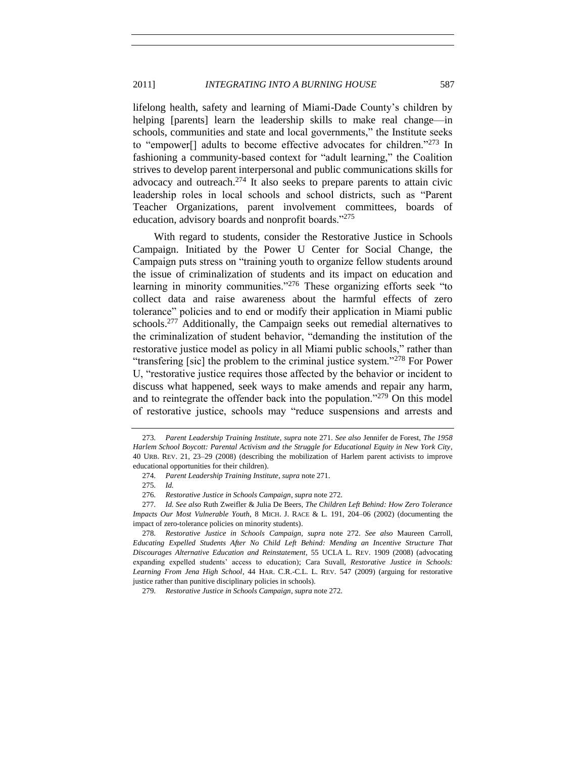lifelong health, safety and learning of Miami-Dade County's children by helping [parents] learn the leadership skills to make real change—in schools, communities and state and local governments," the Institute seeks to "empower<sup>[]</sup> adults to become effective advocates for children."<sup>273</sup> In fashioning a community-based context for "adult learning," the Coalition strives to develop parent interpersonal and public communications skills for advocacy and outreach.<sup>274</sup> It also seeks to prepare parents to attain civic leadership roles in local schools and school districts, such as "Parent Teacher Organizations, parent involvement committees, boards of education, advisory boards and nonprofit boards."275

With regard to students, consider the Restorative Justice in Schools Campaign. Initiated by the Power U Center for Social Change, the Campaign puts stress on "training youth to organize fellow students around the issue of criminalization of students and its impact on education and learning in minority communities.<sup> $276$ </sup> These organizing efforts seek "to collect data and raise awareness about the harmful effects of zero tolerance" policies and to end or modify their application in Miami public schools.<sup>277</sup> Additionally, the Campaign seeks out remedial alternatives to the criminalization of student behavior, "demanding the institution of the restorative justice model as policy in all Miami public schools," rather than "transfering [sic] the problem to the criminal justice system."<sup>278</sup> For Power U, "restorative justice requires those affected by the behavior or incident to discuss what happened, seek ways to make amends and repair any harm, and to reintegrate the offender back into the population.<sup> $279$ </sup> On this model of restorative justice, schools may "reduce suspensions and arrests and

<sup>273</sup>*. Parent Leadership Training Institute*, *supra* note [271.](#page-45-0) *See also* Jennifer de Forest, *The 1958 Harlem School Boycott: Parental Activism and the Struggle for Educational Equity in New York City*, 40 URB. REV. 21, 23–29 (2008) (describing the mobilization of Harlem parent activists to improve educational opportunities for their children).

<sup>274</sup>*. Parent Leadership Training Institute*, *supra* note [271.](#page-45-0)

<sup>275</sup>*. Id.*

<sup>276</sup>*. Restorative Justice in Schools Campaign*, *supra* not[e 272.](#page-45-1)

<sup>277</sup>*. Id. See also* Ruth Zweifler & Julia De Beers, *The Children Left Behind: How Zero Tolerance Impacts Our Most Vulnerable Youth*, 8 MICH. J. RACE & L. 191, 204–06 (2002) (documenting the impact of zero-tolerance policies on minority students).

<sup>278</sup>*. Restorative Justice in Schools Campaign*, *supra* note [272.](#page-45-1) *See also* Maureen Carroll, *Educating Expelled Students After No Child Left Behind: Mending an Incentive Structure That Discourages Alternative Education and Reinstatement*, 55 UCLA L. REV. 1909 (2008) (advocating expanding expelled students' access to education); Cara Suvall, *Restorative Justice in Schools: Learning From Jena High School*, 44 HAR. C.R.-C.L. L. REV. 547 (2009) (arguing for restorative justice rather than punitive disciplinary policies in schools).

<sup>279</sup>*. Restorative Justice in Schools Campaign*, *supra* not[e 272.](#page-45-1)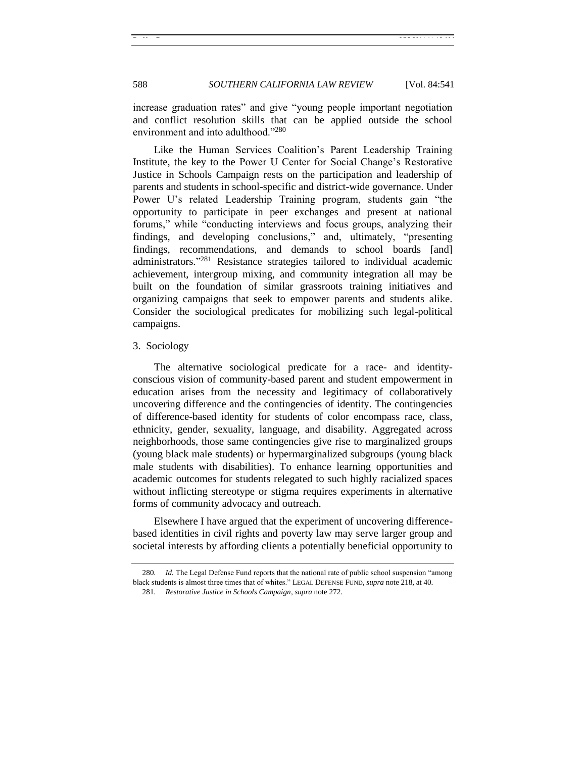increase graduation rates" and give "young people important negotiation and conflict resolution skills that can be applied outside the school environment and into adulthood."<sup>280</sup>

Like the Human Services Coalition's Parent Leadership Training Institute, the key to the Power U Center for Social Change's Restorative Justice in Schools Campaign rests on the participation and leadership of parents and students in school-specific and district-wide governance. Under Power U's related Leadership Training program, students gain "the opportunity to participate in peer exchanges and present at national forums," while "conducting interviews and focus groups, analyzing their findings, and developing conclusions," and, ultimately, "presenting findings, recommendations, and demands to school boards [and] administrators."<sup>281</sup> Resistance strategies tailored to individual academic achievement, intergroup mixing, and community integration all may be built on the foundation of similar grassroots training initiatives and organizing campaigns that seek to empower parents and students alike. Consider the sociological predicates for mobilizing such legal-political campaigns.

#### <span id="page-47-0"></span>3. Sociology

The alternative sociological predicate for a race- and identityconscious vision of community-based parent and student empowerment in education arises from the necessity and legitimacy of collaboratively uncovering difference and the contingencies of identity. The contingencies of difference-based identity for students of color encompass race, class, ethnicity, gender, sexuality, language, and disability. Aggregated across neighborhoods, those same contingencies give rise to marginalized groups (young black male students) or hypermarginalized subgroups (young black male students with disabilities). To enhance learning opportunities and academic outcomes for students relegated to such highly racialized spaces without inflicting stereotype or stigma requires experiments in alternative forms of community advocacy and outreach.

Elsewhere I have argued that the experiment of uncovering differencebased identities in civil rights and poverty law may serve larger group and societal interests by affording clients a potentially beneficial opportunity to

<sup>280.</sup> *Id.* The Legal Defense Fund reports that the national rate of public school suspension "among black students is almost three times that of whites." LEGAL DEFENSE FUND, *supra* not[e 218,](#page-35-1) at 40.

<sup>281</sup>*. Restorative Justice in Schools Campaign*, *supra* not[e 272.](#page-45-1)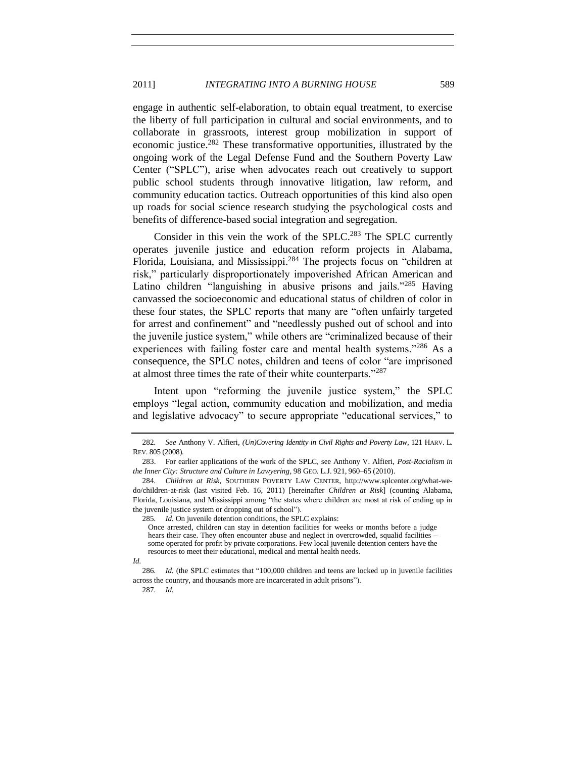engage in authentic self-elaboration, to obtain equal treatment, to exercise the liberty of full participation in cultural and social environments, and to collaborate in grassroots, interest group mobilization in support of economic justice.<sup>282</sup> These transformative opportunities, illustrated by the ongoing work of the Legal Defense Fund and the Southern Poverty Law Center ("SPLC"), arise when advocates reach out creatively to support public school students through innovative litigation, law reform, and community education tactics. Outreach opportunities of this kind also open up roads for social science research studying the psychological costs and benefits of difference-based social integration and segregation.

<span id="page-48-1"></span><span id="page-48-0"></span>Consider in this vein the work of the SPLC.<sup>283</sup> The SPLC currently operates juvenile justice and education reform projects in Alabama, Florida, Louisiana, and Mississippi.<sup>284</sup> The projects focus on "children at risk," particularly disproportionately impoverished African American and Latino children "languishing in abusive prisons and jails."<sup>285</sup> Having canvassed the socioeconomic and educational status of children of color in these four states, the SPLC reports that many are "often unfairly targeted for arrest and confinement" and "needlessly pushed out of school and into the juvenile justice system," while others are "criminalized because of their experiences with failing foster care and mental health systems. $286$  As a consequence, the SPLC notes, children and teens of color "are imprisoned at almost three times the rate of their white counterparts."<sup>287</sup>

Intent upon "reforming the juvenile justice system," the SPLC employs "legal action, community education and mobilization, and media and legislative advocacy" to secure appropriate "educational services," to

<sup>282</sup>*. See* Anthony V. Alfieri, *(Un)Covering Identity in Civil Rights and Poverty Law*, 121 HARV. L. REV. 805 (2008).

<sup>283.</sup> For earlier applications of the work of the SPLC, see Anthony V. Alfieri, *Post-Racialism in the Inner City: Structure and Culture in Lawyering*, 98 GEO. L.J. 921, 960–65 (2010).

<sup>284</sup>*. Children at Risk*, SOUTHERN POVERTY LAW CENTER, http://www.splcenter.org**/**what-wedo/children-at-risk (last visited Feb. 16, 2011) [hereinafter *Children at Risk*] (counting Alabama, Florida, Louisiana, and Mississippi among "the states where children are most at risk of ending up in the juvenile justice system or dropping out of school").

<sup>285</sup>*. Id.* On juvenile detention conditions, the SPLC explains:

Once arrested, children can stay in detention facilities for weeks or months before a judge hears their case. They often encounter abuse and neglect in overcrowded, squalid facilities – some operated for profit by private corporations. Few local juvenile detention centers have the resources to meet their educational, medical and mental health needs.

*Id.*

<sup>286.</sup> *Id.* (the SPLC estimates that "100,000 children and teens are locked up in juvenile facilities across the country, and thousands more are incarcerated in adult prisons").

<sup>287</sup>*. Id.*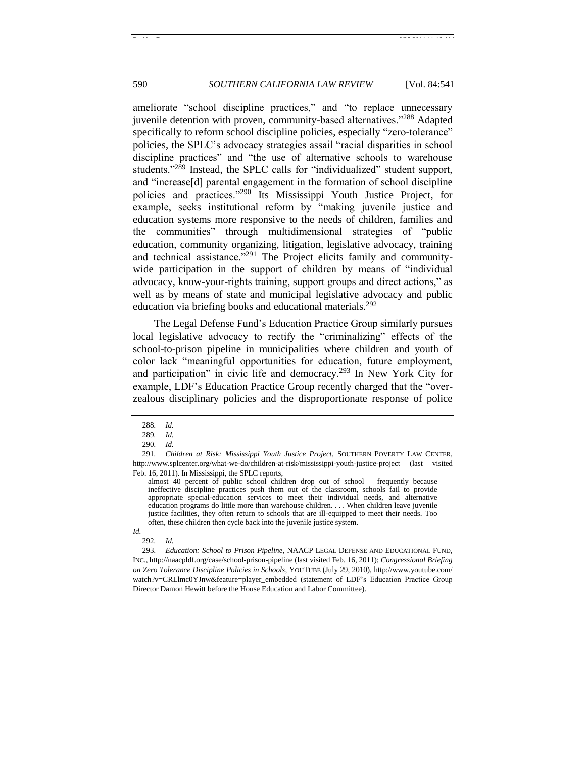ameliorate "school discipline practices," and "to replace unnecessary juvenile detention with proven, community-based alternatives."<sup>288</sup> Adapted specifically to reform school discipline policies, especially "zero-tolerance" policies, the SPLC's advocacy strategies assail "racial disparities in school discipline practices" and "the use of alternative schools to warehouse students."<sup>289</sup> Instead, the SPLC calls for "individualized" student support, and "increase[d] parental engagement in the formation of school discipline policies and practices."<sup>290</sup> Its Mississippi Youth Justice Project, for example, seeks institutional reform by "making juvenile justice and education systems more responsive to the needs of children, families and the communities" through multidimensional strategies of "public education, community organizing, litigation, legislative advocacy, training and technical assistance."<sup>291</sup> The Project elicits family and communitywide participation in the support of children by means of "individual advocacy, know-your-rights training, support groups and direct actions," as well as by means of state and municipal legislative advocacy and public education via briefing books and educational materials.<sup>292</sup>

The Legal Defense Fund's Education Practice Group similarly pursues local legislative advocacy to rectify the "criminalizing" effects of the school-to-prison pipeline in municipalities where children and youth of color lack "meaningful opportunities for education, future employment, and participation" in civic life and democracy.<sup>293</sup> In New York City for example, LDF's Education Practice Group recently charged that the "overzealous disciplinary policies and the disproportionate response of police

almost 40 percent of public school children drop out of school – frequently because ineffective discipline practices push them out of the classroom, schools fail to provide appropriate special-education services to meet their individual needs, and alternative education programs do little more than warehouse children. . . . When children leave juvenile justice facilities, they often return to schools that are ill-equipped to meet their needs. Too often, these children then cycle back into the juvenile justice system.

293*. Education: School to Prison Pipeline*, NAACP LEGAL DEFENSE AND EDUCATIONAL FUND, INC., http://naacpldf.org/case/school-prison-pipeline (last visited Feb. 16, 2011); *Congressional Briefing on Zero Tolerance Discipline Policies in Schools*, YOUTUBE (July 29, 2010), http://www.youtube.com/ watch?v=CRLlmc0YJnw&feature=player\_embedded (statement of LDF's Education Practice Group Director Damon Hewitt before the House Education and Labor Committee).

<sup>288</sup>*. Id.*

<sup>289</sup>*. Id.*

<sup>290</sup>*. Id.*

<sup>291</sup>*. Children at Risk: Mississippi Youth Justice Project*, SOUTHERN POVERTY LAW CENTER, http://www.splcenter.org/what-we-do/children-at-risk/mississippi-youth-justice-project (last visited Feb. 16, 2011)*.* In Mississippi, the SPLC reports,

*Id.*

<sup>292</sup>*. Id.*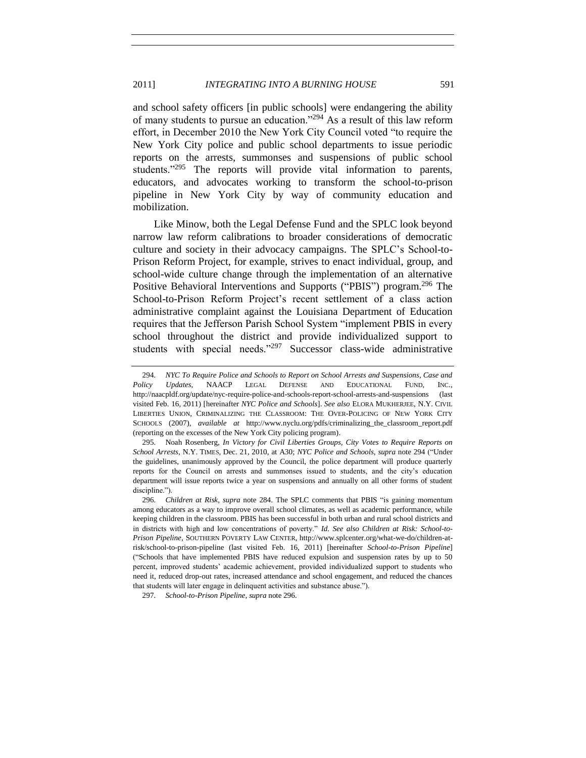<span id="page-50-0"></span>and school safety officers [in public schools] were endangering the ability of many students to pursue an education.<sup>2294</sup> As a result of this law reform effort, in December 2010 the New York City Council voted "to require the New York City police and public school departments to issue periodic reports on the arrests, summonses and suspensions of public school students. $1295$  The reports will provide vital information to parents, educators, and advocates working to transform the school-to-prison pipeline in New York City by way of community education and mobilization.

<span id="page-50-1"></span>Like Minow, both the Legal Defense Fund and the SPLC look beyond narrow law reform calibrations to broader considerations of democratic culture and society in their advocacy campaigns. The SPLC's School-to-Prison Reform Project, for example, strives to enact individual, group, and school-wide culture change through the implementation of an alternative Positive Behavioral Interventions and Supports ("PBIS") program.<sup>296</sup> The School-to-Prison Reform Project's recent settlement of a class action administrative complaint against the Louisiana Department of Education requires that the Jefferson Parish School System "implement PBIS in every school throughout the district and provide individualized support to students with special needs." $297$  Successor class-wide administrative

<sup>294</sup>*. NYC To Require Police and Schools to Report on School Arrests and Suspensions, Case and Policy Updates*, NAACP LEGAL DEFENSE AND EDUCATIONAL FUND, INC., http://naacpldf.org/update/nyc-require-police-and-schools-report-school-arrests-and-suspensions (last visited Feb. 16, 2011) [hereinafter *NYC Police and Schools*]. *See also* ELORA MUKHERJEE, N.Y. CIVIL LIBERTIES UNION, CRIMINALIZING THE CLASSROOM: THE OVER-POLICING OF NEW YORK CITY SCHOOLS (2007), *available at* http://www.nyclu.org/pdfs/criminalizing\_the\_classroom\_report.pdf (reporting on the excesses of the New York City policing program).

<sup>295</sup>*.* Noah Rosenberg, *In Victory for Civil Liberties Groups, City Votes to Require Reports on School Arrests*, N.Y. TIMES, Dec. 21, 2010, at A30; *NYC Police and Schools*, *supra* note [294](#page-50-0) (―Under the guidelines, unanimously approved by the Council, the police department will produce quarterly reports for the Council on arrests and summonses issued to students, and the city's education department will issue reports twice a year on suspensions and annually on all other forms of student discipline.").

<sup>296.</sup> *Children at Risk, supra* note [284.](#page-48-0) The SPLC comments that PBIS "is gaining momentum among educators as a way to improve overall school climates, as well as academic performance, while keeping children in the classroom. PBIS has been successful in both urban and rural school districts and in districts with high and low concentrations of poverty." Id. See also Children at Risk: School-to-*Prison Pipeline*, SOUTHERN POVERTY LAW CENTER, http://www.splcenter.org/what-we-do/children-atrisk/school-to-prison-pipeline (last visited Feb. 16, 2011) [hereinafter *School-to-Prison Pipeline*] (―Schools that have implemented PBIS have reduced expulsion and suspension rates by up to 50 percent, improved students' academic achievement, provided individualized support to students who need it, reduced drop-out rates, increased attendance and school engagement, and reduced the chances that students will later engage in delinquent activities and substance abuse.").

<sup>297</sup>*. School-to-Prison Pipeline*, *supra* not[e 296.](#page-50-1)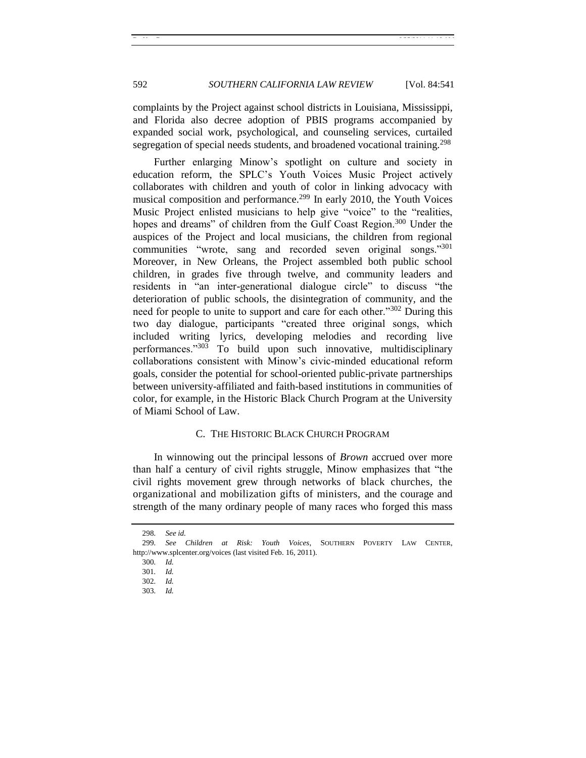complaints by the Project against school districts in Louisiana, Mississippi, and Florida also decree adoption of PBIS programs accompanied by expanded social work, psychological, and counseling services, curtailed segregation of special needs students, and broadened vocational training.<sup>298</sup>

Further enlarging Minow's spotlight on culture and society in education reform, the SPLC's Youth Voices Music Project actively collaborates with children and youth of color in linking advocacy with musical composition and performance.<sup>299</sup> In early 2010, the Youth Voices Music Project enlisted musicians to help give "voice" to the "realities, hopes and dreams" of children from the Gulf Coast Region.<sup>300</sup> Under the auspices of the Project and local musicians, the children from regional communities "wrote, sang and recorded seven original songs." $301$ Moreover, in New Orleans, the Project assembled both public school children, in grades five through twelve, and community leaders and residents in "an inter-generational dialogue circle" to discuss "the deterioration of public schools, the disintegration of community, and the need for people to unite to support and care for each other."<sup>302</sup> During this two day dialogue, participants "created three original songs, which included writing lyrics, developing melodies and recording live performances." $30\overline{3}$  To build upon such innovative, multidisciplinary collaborations consistent with Minow's civic-minded educational reform goals, consider the potential for school-oriented public-private partnerships between university-affiliated and faith-based institutions in communities of color, for example, in the Historic Black Church Program at the University of Miami School of Law.

#### C. THE HISTORIC BLACK CHURCH PROGRAM

<span id="page-51-0"></span>In winnowing out the principal lessons of *Brown* accrued over more than half a century of civil rights struggle, Minow emphasizes that "the civil rights movement grew through networks of black churches, the organizational and mobilization gifts of ministers, and the courage and strength of the many ordinary people of many races who forged this mass

<sup>298</sup>*. See id.*

<sup>299</sup>*. See Children at Risk: Youth Voices*, SOUTHERN POVERTY LAW CENTER, http://www.splcenter.org/voices (last visited Feb. 16, 2011).

<sup>300</sup>*. Id.*

<sup>301</sup>*. Id.*

<sup>302</sup>*. Id.*

<sup>303</sup>*. Id.*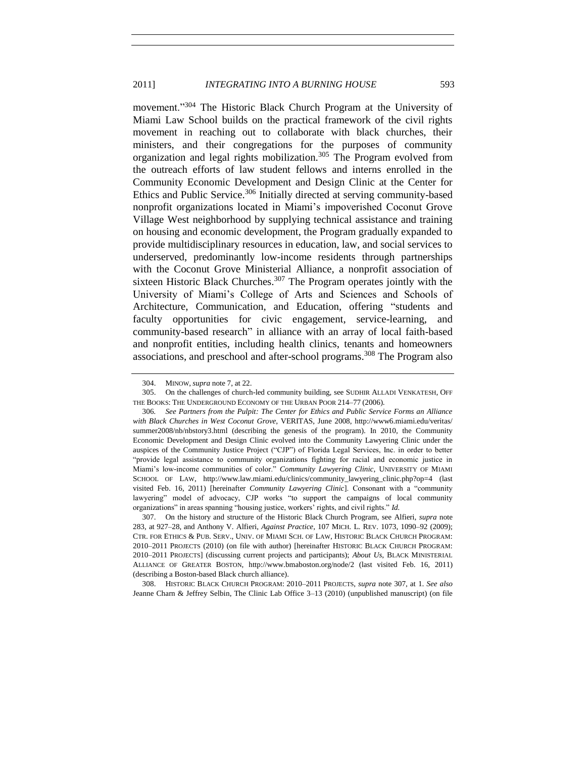<span id="page-52-1"></span>movement."<sup>304</sup> The Historic Black Church Program at the University of Miami Law School builds on the practical framework of the civil rights movement in reaching out to collaborate with black churches, their ministers, and their congregations for the purposes of community organization and legal rights mobilization.<sup>305</sup> The Program evolved from the outreach efforts of law student fellows and interns enrolled in the Community Economic Development and Design Clinic at the Center for Ethics and Public Service.<sup>306</sup> Initially directed at serving community-based nonprofit organizations located in Miami's impoverished Coconut Grove Village West neighborhood by supplying technical assistance and training on housing and economic development, the Program gradually expanded to provide multidisciplinary resources in education, law, and social services to underserved, predominantly low-income residents through partnerships with the Coconut Grove Ministerial Alliance, a nonprofit association of sixteen Historic Black Churches.<sup>307</sup> The Program operates jointly with the University of Miami's College of Arts and Sciences and Schools of Architecture, Communication, and Education, offering "students and faculty opportunities for civic engagement, service-learning, and community-based research" in alliance with an array of local faith-based and nonprofit entities, including health clinics, tenants and homeowners associations, and preschool and after-school programs.<sup>308</sup> The Program also

308. HISTORIC BLACK CHURCH PROGRAM: 2010–2011 PROJECTS, *supra* note [307,](#page-52-0) at 1. *See also*  Jeanne Charn & Jeffrey Selbin, The Clinic Lab Office 3–13 (2010) (unpublished manuscript) (on file

<span id="page-52-0"></span><sup>304.</sup> MINOW, *supra* not[e 7,](#page-2-0) at 22.

<sup>305.</sup> On the challenges of church-led community building, see SUDHIR ALLADI VENKATESH, OFF THE BOOKS: THE UNDERGROUND ECONOMY OF THE URBAN POOR 214–77 (2006).

<sup>306</sup>*. See Partners from the Pulpit: The Center for Ethics and Public Service Forms an Alliance with Black Churches in West Coconut Grove*, VERITAS, June 2008, http://www6.miami.edu/veritas/ summer2008/nb/nbstory3.html (describing the genesis of the program). In 2010, the Community Economic Development and Design Clinic evolved into the Community Lawyering Clinic under the auspices of the Community Justice Project ("CJP") of Florida Legal Services, Inc. in order to better ―provide legal assistance to community organizations fighting for racial and economic justice in Miami's low-income communities of color.‖ *Community Lawyering Clinic*, UNIVERSITY OF MIAMI SCHOOL OF LAW, http://www.law.miami.edu/clinics/community\_lawyering\_clinic.php?op=4 (last visited Feb. 16, 2011) [hereinafter *Community Lawyering Clinic*]. Consonant with a "community lawyering" model of advocacy, CJP works "to support the campaigns of local community organizations" in areas spanning "housing justice, workers' rights, and civil rights." *Id.* 

<sup>307.</sup> On the history and structure of the Historic Black Church Program, see Alfieri, *supra* note [283,](#page-48-1) at 927–28, and Anthony V. Alfieri, *Against Practice*, 107 MICH. L. REV. 1073, 1090–92 (2009); CTR. FOR ETHICS & PUB. SERV., UNIV. OF MIAMI SCH. OF LAW, HISTORIC BLACK CHURCH PROGRAM: 2010–2011 PROJECTS (2010) (on file with author) [hereinafter HISTORIC BLACK CHURCH PROGRAM: 2010–2011 PROJECTS] (discussing current projects and participants); *About Us*, BLACK MINISTERIAL ALLIANCE OF GREATER BOSTON, http://www.bmaboston.org/node/2 (last visited Feb. 16, 2011) (describing a Boston-based Black church alliance).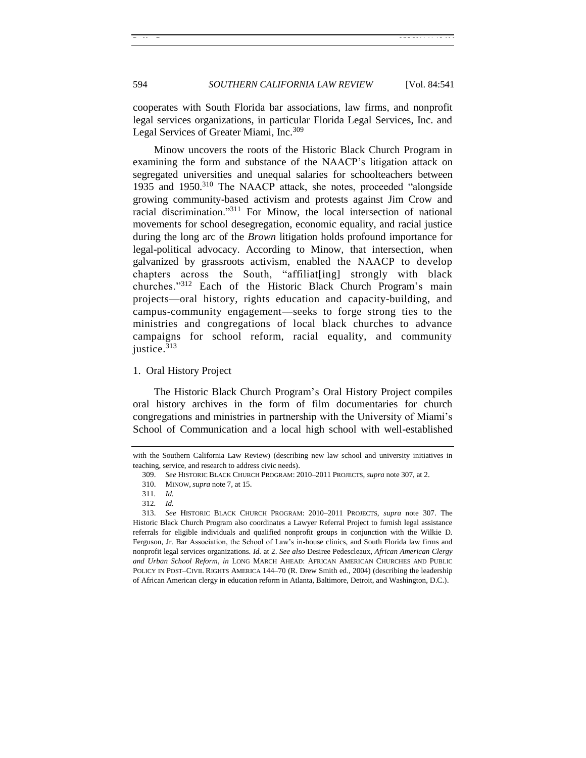cooperates with South Florida bar associations, law firms, and nonprofit legal services organizations, in particular Florida Legal Services, Inc. and Legal Services of Greater Miami, Inc.<sup>309</sup>

Minow uncovers the roots of the Historic Black Church Program in examining the form and substance of the NAACP's litigation attack on segregated universities and unequal salaries for schoolteachers between 1935 and 1950.<sup>310</sup> The NAACP attack, she notes, proceeded "alongside" growing community-based activism and protests against Jim Crow and racial discrimination."<sup>311</sup> For Minow, the local intersection of national movements for school desegregation, economic equality, and racial justice during the long arc of the *Brown* litigation holds profound importance for legal-political advocacy. According to Minow, that intersection, when galvanized by grassroots activism, enabled the NAACP to develop chapters across the South, "affiliat [ing] strongly with black churches."<sup>312</sup> Each of the Historic Black Church Program's main projects—oral history, rights education and capacity-building, and campus-community engagement—seeks to forge strong ties to the ministries and congregations of local black churches to advance campaigns for school reform, racial equality, and community justice.<sup>313</sup>

#### <span id="page-53-0"></span>1. Oral History Project

The Historic Black Church Program's Oral History Project compiles oral history archives in the form of film documentaries for church congregations and ministries in partnership with the University of Miami's School of Communication and a local high school with well-established

with the Southern California Law Review) (describing new law school and university initiatives in teaching, service, and research to address civic needs).

<sup>309.</sup> *See* HISTORIC BLACK CHURCH PROGRAM: 2010–2011 PROJECTS, *supra* not[e 307,](#page-52-0) at 2.

<sup>310.</sup> MINOW, *supra* not[e 7,](#page-2-0) at 15.

<sup>311</sup>*. Id.*

<sup>312</sup>*. Id.*

<sup>313.</sup> *See* HISTORIC BLACK CHURCH PROGRAM: 2010–2011 PROJECTS, *supra* note [307.](#page-52-0) The Historic Black Church Program also coordinates a Lawyer Referral Project to furnish legal assistance referrals for eligible individuals and qualified nonprofit groups in conjunction with the Wilkie D. Ferguson, Jr. Bar Association, the School of Law's in-house clinics, and South Florida law firms and nonprofit legal services organizations. *Id.* at 2. *See also* Desiree Pedescleaux, *African American Clergy and Urban School Reform*, *in* LONG MARCH AHEAD: AFRICAN AMERICAN CHURCHES AND PUBLIC POLICY IN POST–CIVIL RIGHTS AMERICA 144–70 (R. Drew Smith ed., 2004) (describing the leadership of African American clergy in education reform in Atlanta, Baltimore, Detroit, and Washington, D.C.).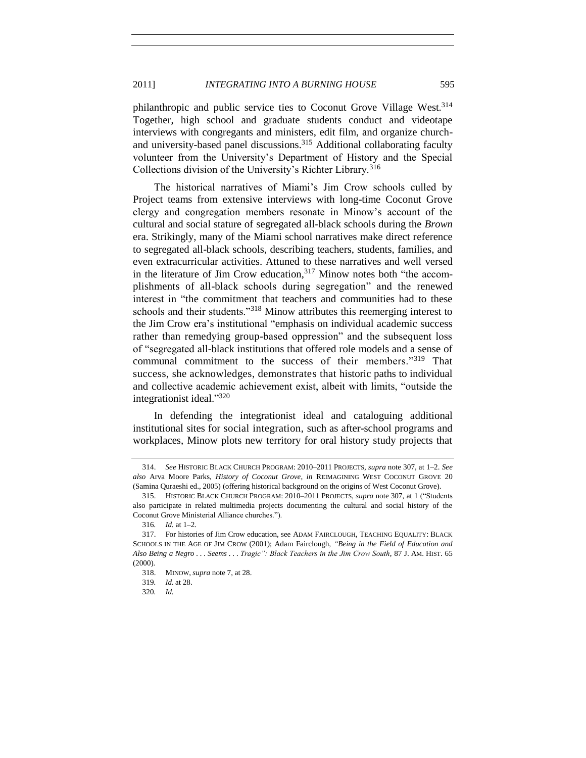philanthropic and public service ties to Coconut Grove Village West.<sup>314</sup> Together, high school and graduate students conduct and videotape interviews with congregants and ministers, edit film, and organize churchand university-based panel discussions.<sup>315</sup> Additional collaborating faculty volunteer from the University's Department of History and the Special Collections division of the University's Richter Library.<sup>316</sup>

The historical narratives of Miami's Jim Crow schools culled by Project teams from extensive interviews with long-time Coconut Grove clergy and congregation members resonate in Minow's account of the cultural and social stature of segregated all-black schools during the *Brown*  era. Strikingly, many of the Miami school narratives make direct reference to segregated all-black schools, describing teachers, students, families, and even extracurricular activities. Attuned to these narratives and well versed in the literature of Jim Crow education,  $317$  Minow notes both "the accomplishments of all-black schools during segregation" and the renewed interest in "the commitment that teachers and communities had to these schools and their students.<sup>318</sup> Minow attributes this reemerging interest to the Jim Crow era's institutional "emphasis on individual academic success rather than remedying group-based oppression" and the subsequent loss of ―segregated all-black institutions that offered role models and a sense of communal commitment to the success of their members."<sup>319</sup> That success, she acknowledges, demonstrates that historic paths to individual and collective academic achievement exist, albeit with limits, "outside the integrationist ideal."320

In defending the integrationist ideal and cataloguing additional institutional sites for social integration, such as after-school programs and workplaces, Minow plots new territory for oral history study projects that

<sup>314.</sup> *See* HISTORIC BLACK CHURCH PROGRAM: 2010–2011 PROJECTS, *supra* not[e 307,](#page-52-0) at 1–2. *See also* Arva Moore Parks, *History of Coconut Grove*, *in* REIMAGINING WEST COCONUT GROVE 20 (Samina Quraeshi ed., 2005) (offering historical background on the origins of West Coconut Grove).

<sup>315.</sup> HISTORIC BLACK CHURCH PROGRAM: 2010–2011 PROJECTS, *supra* not[e 307,](#page-52-0) at 1 ("Students also participate in related multimedia projects documenting the cultural and social history of the Coconut Grove Ministerial Alliance churches.").

<sup>316</sup>*. Id.* at 1–2.

<sup>317.</sup> For histories of Jim Crow education, see ADAM FAIRCLOUGH, TEACHING EQUALITY: BLACK SCHOOLS IN THE AGE OF JIM CROW (2001); Adam Fairclough, "Being in the Field of Education and *Also Being a Negro . . . Seems . . . Tragic‖: Black Teachers in the Jim Crow South*, 87 J. AM. HIST. 65 (2000).

<sup>318.</sup> MINOW, *supra* not[e 7,](#page-2-0) at 28.

<sup>319</sup>*. Id.* at 28.

<sup>320</sup>*. Id.*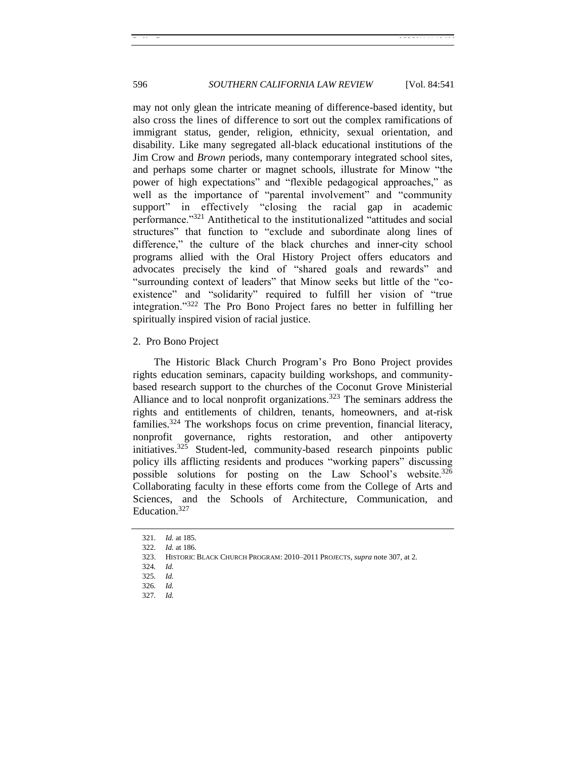may not only glean the intricate meaning of difference-based identity, but also cross the lines of difference to sort out the complex ramifications of immigrant status, gender, religion, ethnicity, sexual orientation, and disability. Like many segregated all-black educational institutions of the Jim Crow and *Brown* periods, many contemporary integrated school sites, and perhaps some charter or magnet schools, illustrate for Minow "the power of high expectations" and "flexible pedagogical approaches," as well as the importance of "parental involvement" and "community" support" in effectively "closing the racial gap in academic performance."<sup>321</sup> Antithetical to the institutionalized "attitudes and social structures" that function to "exclude and subordinate along lines of difference," the culture of the black churches and inner-city school programs allied with the Oral History Project offers educators and advocates precisely the kind of "shared goals and rewards" and "surrounding context of leaders" that Minow seeks but little of the "coexistence" and "solidarity" required to fulfill her vision of "true integration."<sup>322</sup> The Pro Bono Project fares no better in fulfilling her spiritually inspired vision of racial justice.

#### <span id="page-55-0"></span>2. Pro Bono Project

The Historic Black Church Program's Pro Bono Project provides rights education seminars, capacity building workshops, and communitybased research support to the churches of the Coconut Grove Ministerial Alliance and to local nonprofit organizations.<sup>323</sup> The seminars address the rights and entitlements of children, tenants, homeowners, and at-risk families.<sup>324</sup> The workshops focus on crime prevention, financial literacy, nonprofit governance, rights restoration, and other antipoverty initiatives.<sup>325</sup> Student-led, community-based research pinpoints public policy ills afflicting residents and produces "working papers" discussing possible solutions for posting on the Law School's website.<sup>326</sup> Collaborating faculty in these efforts come from the College of Arts and Sciences, and the Schools of Architecture, Communication, and Education.<sup>327</sup>

<sup>321</sup>*. Id.* at 185.

<sup>322</sup>*. Id.* at 186.

<sup>323.</sup> HISTORIC BLACK CHURCH PROGRAM: 2010–2011 PROJECTS, *supra* not[e 307,](#page-52-0) at 2.

<sup>324</sup>*. Id.*

<sup>325</sup>*. Id.*

<sup>326</sup>*. Id.*

<sup>327</sup>*. Id.*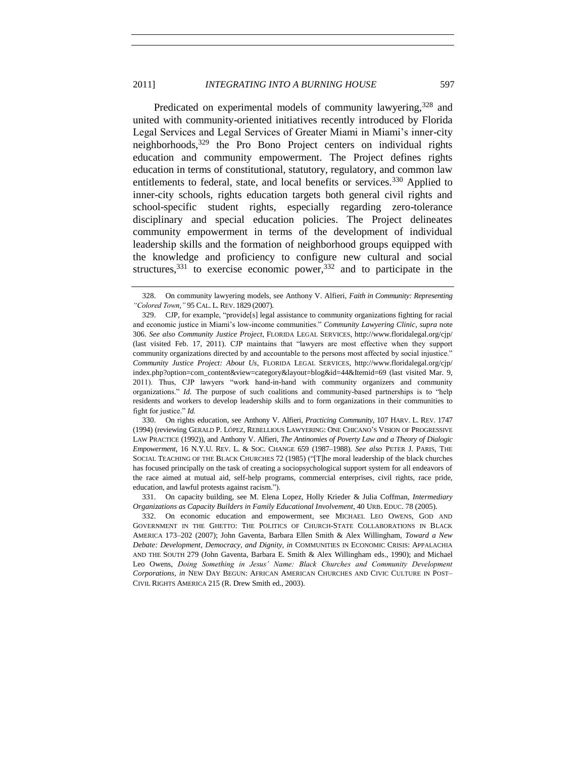Predicated on experimental models of community lawyering,<sup>328</sup> and united with community-oriented initiatives recently introduced by Florida Legal Services and Legal Services of Greater Miami in Miami's inner-city neighborhoods,<sup>329</sup> the Pro Bono Project centers on individual rights education and community empowerment. The Project defines rights education in terms of constitutional, statutory, regulatory, and common law entitlements to federal, state, and local benefits or services.<sup>330</sup> Applied to inner-city schools, rights education targets both general civil rights and school-specific student rights, especially regarding zero-tolerance disciplinary and special education policies. The Project delineates community empowerment in terms of the development of individual leadership skills and the formation of neighborhood groups equipped with the knowledge and proficiency to configure new cultural and social structures,  $331$  to exercise economic power,  $332$  and to participate in the

330. On rights education, see Anthony V. Alfieri, *Practicing Community*, 107 HARV. L. REV. 1747 (1994) (reviewing GERALD P. LÓPEZ, REBELLIOUS LAWYERING: ONE CHICANO'S VISION OF PROGRESSIVE LAW PRACTICE (1992)), and Anthony V. Alfieri, *The Antinomies of Poverty Law and a Theory of Dialogic Empowerment*, 16 N.Y.U. REV. L. & SOC. CHANGE 659 (1987–1988). *See also* PETER J. PARIS, THE SOCIAL TEACHING OF THE BLACK CHURCHES 72 (1985) ("[T]he moral leadership of the black churches has focused principally on the task of creating a sociopsychological support system for all endeavors of the race aimed at mutual aid, self-help programs, commercial enterprises, civil rights, race pride, education, and lawful protests against racism.").

331. On capacity building, see M. Elena Lopez, Holly Krieder & Julia Coffman, *Intermediary Organizations as Capacity Builders in Family Educational Involvement*, 40 URB. EDUC. 78 (2005).

<span id="page-56-0"></span><sup>328.</sup> On community lawyering models, see Anthony V. Alfieri, *Faith in Community: Representing ―Colored Town*,*‖* 95 CAL. L. REV. 1829 (2007).

<sup>329.</sup> CJP, for example, "provide[s] legal assistance to community organizations fighting for racial and economic justice in Miami's low-income communities." *Community Lawyering Clinic*, *supra* note [306.](#page-52-1) *See also Community Justice Project*, FLORIDA LEGAL SERVICES, http://www.floridalegal.org/cjp/ (last visited Feb. 17, 2011). CJP maintains that "lawyers are most effective when they support community organizations directed by and accountable to the persons most affected by social injustice." *Community Justice Project: About Us*, FLORIDA LEGAL SERVICES, http://www.floridalegal.org/cjp/ index.php?option=com\_content&view=category&layout=blog&id=44&Itemid=69 (last visited Mar. 9, 2011). Thus, CJP lawyers "work hand-in-hand with community organizers and community organizations." *Id.* The purpose of such coalitions and community-based partnerships is to "help residents and workers to develop leadership skills and to form organizations in their communities to fight for justice." *Id.* 

<sup>332.</sup> On economic education and empowerment, see MICHAEL LEO OWENS, GOD AND GOVERNMENT IN THE GHETTO: THE POLITICS OF CHURCH-STATE COLLABORATIONS IN BLACK AMERICA 173–202 (2007); John Gaventa, Barbara Ellen Smith & Alex Willingham, *Toward a New Debate: Development, Democracy, and Dignity*, *in* COMMUNITIES IN ECONOMIC CRISIS: APPALACHIA AND THE SOUTH 279 (John Gaventa, Barbara E. Smith & Alex Willingham eds., 1990); and Michael Leo Owens, *Doing Something in Jesus' Name: Black Churches and Community Development Corporations*, *in* NEW DAY BEGUN: AFRICAN AMERICAN CHURCHES AND CIVIC CULTURE IN POST– CIVIL RIGHTS AMERICA 215 (R. Drew Smith ed., 2003).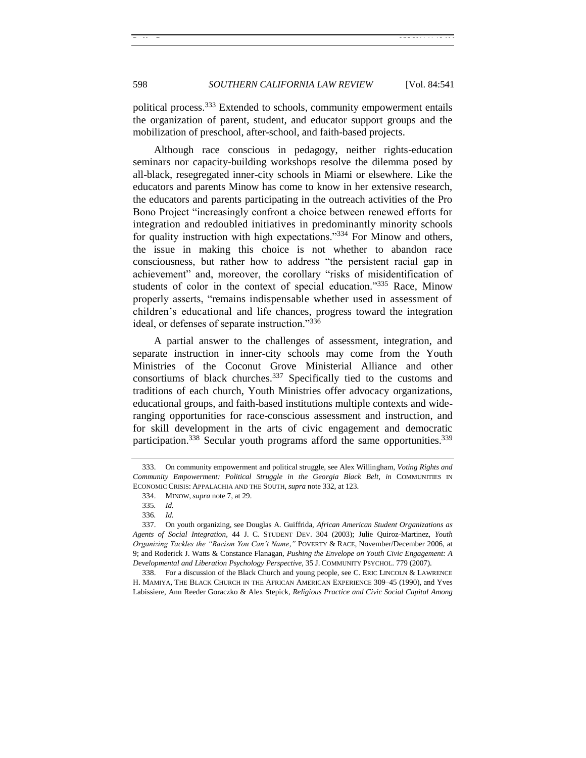political process.<sup>333</sup> Extended to schools, community empowerment entails the organization of parent, student, and educator support groups and the mobilization of preschool, after-school, and faith-based projects.

Although race conscious in pedagogy, neither rights-education seminars nor capacity-building workshops resolve the dilemma posed by all-black, resegregated inner-city schools in Miami or elsewhere. Like the educators and parents Minow has come to know in her extensive research, the educators and parents participating in the outreach activities of the Pro Bono Project "increasingly confront a choice between renewed efforts for integration and redoubled initiatives in predominantly minority schools for quality instruction with high expectations.<sup>334</sup> For Minow and others, the issue in making this choice is not whether to abandon race consciousness, but rather how to address "the persistent racial gap in achievement" and, moreover, the corollary "risks of misidentification of students of color in the context of special education."335 Race, Minow properly asserts, "remains indispensable whether used in assessment of children's educational and life chances, progress toward the integration ideal, or defenses of separate instruction."336

A partial answer to the challenges of assessment, integration, and separate instruction in inner-city schools may come from the Youth Ministries of the Coconut Grove Ministerial Alliance and other consortiums of black churches.<sup>337</sup> Specifically tied to the customs and traditions of each church, Youth Ministries offer advocacy organizations, educational groups, and faith-based institutions multiple contexts and wideranging opportunities for race-conscious assessment and instruction, and for skill development in the arts of civic engagement and democratic participation.<sup>338</sup> Secular youth programs afford the same opportunities.<sup>339</sup>

<span id="page-57-0"></span><sup>333.</sup> On community empowerment and political struggle, see Alex Willingham, *Voting Rights and Community Empowerment: Political Struggle in the Georgia Black Belt*, *in* COMMUNITIES IN ECONOMIC CRISIS: APPALACHIA AND THE SOUTH, *supra* not[e 332,](#page-56-0) at 123.

<sup>334.</sup> MINOW, *supra* not[e 7,](#page-2-0) at 29.

<sup>335</sup>*. Id.*

<sup>336</sup>*. Id.*

<sup>337.</sup> On youth organizing, see Douglas A. Guiffrida, *African American Student Organizations as Agents of Social Integration*, 44 J. C. STUDENT DEV. 304 (2003); Julie Quiroz-Martinez, *Youth Organizing Tackles the ―Racism You Can't Name*,*‖* POVERTY & RACE, November/December 2006, at 9; and Roderick J. Watts & Constance Flanagan, *Pushing the Envelope on Youth Civic Engagement: A Developmental and Liberation Psychology Perspective*, 35 J. COMMUNITY PSYCHOL. 779 (2007).

<sup>338.</sup> For a discussion of the Black Church and young people, see C. ERIC LINCOLN & LAWRENCE H. MAMIYA, THE BLACK CHURCH IN THE AFRICAN AMERICAN EXPERIENCE 309–45 (1990), and Yves Labissiere, Ann Reeder Goraczko & Alex Stepick, *Religious Practice and Civic Social Capital Among*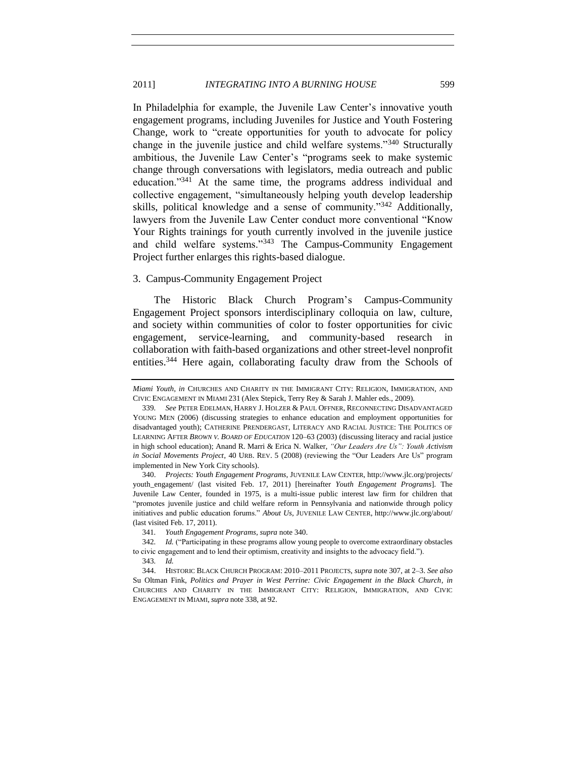In Philadelphia for example, the Juvenile Law Center's innovative youth engagement programs, including Juveniles for Justice and Youth Fostering Change, work to "create opportunities for youth to advocate for policy change in the juvenile justice and child welfare systems.<sup>340</sup> Structurally ambitious, the Juvenile Law Center's "programs seek to make systemic change through conversations with legislators, media outreach and public education."<sup>341</sup> At the same time, the programs address individual and collective engagement, "simultaneously helping youth develop leadership skills, political knowledge and a sense of community."<sup>342</sup> Additionally, lawyers from the Juvenile Law Center conduct more conventional "Know Your Rights trainings for youth currently involved in the juvenile justice and child welfare systems."<sup>343</sup> The Campus-Community Engagement Project further enlarges this rights-based dialogue.

#### <span id="page-58-0"></span>3. Campus-Community Engagement Project

The Historic Black Church Program's Campus-Community Engagement Project sponsors interdisciplinary colloquia on law, culture, and society within communities of color to foster opportunities for civic engagement, service-learning, and community-based research in collaboration with faith-based organizations and other street-level nonprofit entities.<sup>344</sup> Here again, collaborating faculty draw from the Schools of

340. *Projects: Youth Engagement Programs*, JUVENILE LAW CENTER, http://www.jlc.org/projects/ youth\_engagement/ (last visited Feb. 17, 2011) [hereinafter *Youth Engagement Programs*]. The Juvenile Law Center, founded in 1975, is a multi-issue public interest law firm for children that ―promotes juvenile justice and child welfare reform in Pennsylvania and nationwide through policy initiatives and public education forums.‖ *About Us*, JUVENILE LAW CENTER, http://www.jlc.org/about/ (last visited Feb. 17, 2011).

341*. Youth Engagement Programs*, *supra* not[e 340.](#page-58-1)

<span id="page-58-1"></span>

*Miami Youth*, *in* CHURCHES AND CHARITY IN THE IMMIGRANT CITY: RELIGION, IMMIGRATION, AND CIVIC ENGAGEMENT IN MIAMI 231 (Alex Stepick, Terry Rey & Sarah J. Mahler eds., 2009).

<sup>339</sup>*. See* PETER EDELMAN, HARRY J. HOLZER & PAUL OFFNER, RECONNECTING DISADVANTAGED YOUNG MEN (2006) (discussing strategies to enhance education and employment opportunities for disadvantaged youth); CATHERINE PRENDERGAST, LITERACY AND RACIAL JUSTICE: THE POLITICS OF LEARNING AFTER *BROWN V. BOARD OF EDUCATION* 120–63 (2003) (discussing literacy and racial justice in high school education); Anand R. Marri & Erica N. Walker, "Our Leaders Are Us": Youth Activism *in Social Movements Project*, 40 URB. REV. 5 (2008) (reviewing the "Our Leaders Are Us" program implemented in New York City schools).

<sup>342.</sup> *Id.* ("Participating in these programs allow young people to overcome extraordinary obstacles to civic engagement and to lend their optimism, creativity and insights to the advocacy field.").

<sup>343</sup>*. Id.*

<sup>344.</sup> HISTORIC BLACK CHURCH PROGRAM: 2010–2011 PROJECTS, *supra* not[e 307,](#page-52-0) at 2–3. *See also*  Su Oltman Fink, *Politics and Prayer in West Perrine: Civic Engagement in the Black Church*, *in*  CHURCHES AND CHARITY IN THE IMMIGRANT CITY: RELIGION, IMMIGRATION, AND CIVIC ENGAGEMENT IN MIAMI, *supra* not[e 338,](#page-57-0) at 92.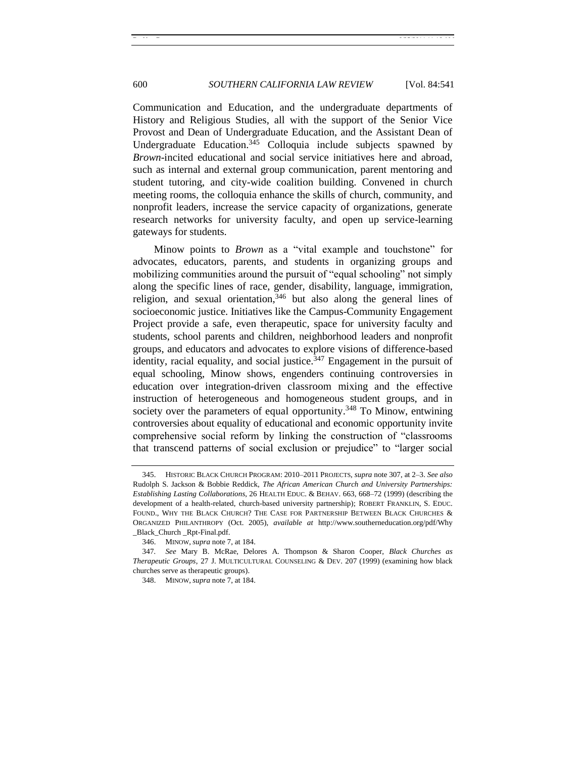Communication and Education, and the undergraduate departments of History and Religious Studies, all with the support of the Senior Vice Provost and Dean of Undergraduate Education, and the Assistant Dean of Undergraduate Education.<sup>345</sup> Colloquia include subjects spawned by *Brown*-incited educational and social service initiatives here and abroad, such as internal and external group communication, parent mentoring and student tutoring, and city-wide coalition building. Convened in church meeting rooms, the colloquia enhance the skills of church, community, and nonprofit leaders, increase the service capacity of organizations, generate research networks for university faculty, and open up service-learning gateways for students.

Minow points to *Brown* as a "vital example and touchstone" for advocates, educators, parents, and students in organizing groups and mobilizing communities around the pursuit of "equal schooling" not simply along the specific lines of race, gender, disability, language, immigration, religion, and sexual orientation,  $346$  but also along the general lines of socioeconomic justice. Initiatives like the Campus-Community Engagement Project provide a safe, even therapeutic, space for university faculty and students, school parents and children, neighborhood leaders and nonprofit groups, and educators and advocates to explore visions of difference-based identity, racial equality, and social justice.<sup>347</sup> Engagement in the pursuit of equal schooling, Minow shows, engenders continuing controversies in education over integration-driven classroom mixing and the effective instruction of heterogeneous and homogeneous student groups, and in society over the parameters of equal opportunity.<sup>348</sup> To Minow, entwining controversies about equality of educational and economic opportunity invite comprehensive social reform by linking the construction of "classrooms that transcend patterns of social exclusion or prejudice" to "larger social

<sup>345.</sup> HISTORIC BLACK CHURCH PROGRAM: 2010–2011 PROJECTS, *supra* not[e 307,](#page-52-0) at 2–3. *See also* Rudolph S. Jackson & Bobbie Reddick, *The African American Church and University Partnerships: Establishing Lasting Collaborations*, 26 HEALTH EDUC. & BEHAV. 663, 668–72 (1999) (describing the development of a health-related, church-based university partnership); ROBERT FRANKLIN, S. EDUC. FOUND., WHY THE BLACK CHURCH? THE CASE FOR PARTNERSHIP BETWEEN BLACK CHURCHES & ORGANIZED PHILANTHROPY (Oct. 2005), *available at* http://www.southerneducation.org/pdf/Why \_Black\_Church \_Rpt-Final.pdf.

<sup>346.</sup> MINOW, *supra* not[e 7,](#page-2-0) at 184.

<sup>347</sup>*. See* Mary B. McRae, Delores A. Thompson & Sharon Cooper, *Black Churches as Therapeutic Groups*, 27 J. MULTICULTURAL COUNSELING & DEV. 207 (1999) (examining how black churches serve as therapeutic groups).

<sup>348.</sup> MINOW, *supra* not[e 7,](#page-2-0) at 184.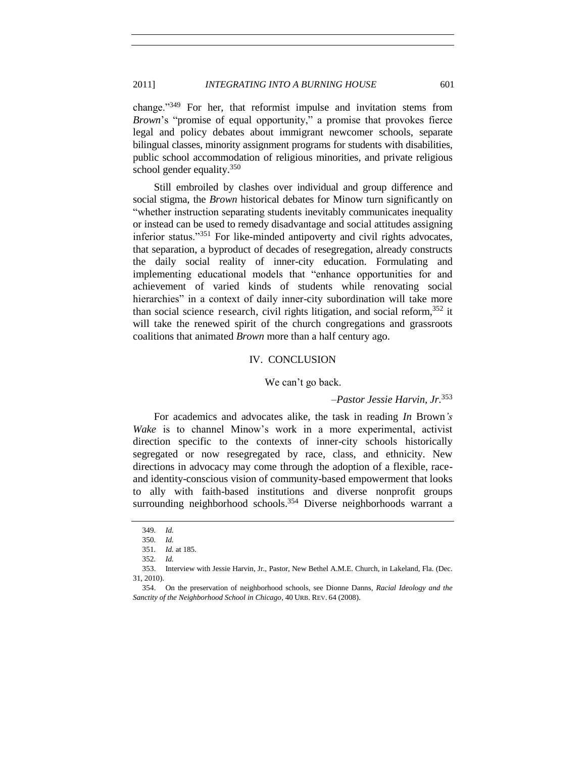change.<sup>349</sup> For her, that reformist impulse and invitation stems from *Brown*'s "promise of equal opportunity," a promise that provokes fierce legal and policy debates about immigrant newcomer schools, separate bilingual classes, minority assignment programs for students with disabilities, public school accommodation of religious minorities, and private religious school gender equality. $350$ 

Still embroiled by clashes over individual and group difference and social stigma, the *Brown* historical debates for Minow turn significantly on "whether instruction separating students inevitably communicates inequality or instead can be used to remedy disadvantage and social attitudes assigning inferior status."351 For like-minded antipoverty and civil rights advocates, that separation, a byproduct of decades of resegregation, already constructs the daily social reality of inner-city education. Formulating and implementing educational models that "enhance opportunities for and achievement of varied kinds of students while renovating social hierarchies" in a context of daily inner-city subordination will take more than social science r esearch, civil rights litigation, and social reform,  $352$  it will take the renewed spirit of the church congregations and grassroots coalitions that animated *Brown* more than a half century ago.

#### IV. CONCLUSION

# We can't go back.

–*Pastor Jessie Harvin, Jr.*<sup>353</sup>

<span id="page-60-0"></span>For academics and advocates alike, the task in reading *In* Brown*'s Wake* is to channel Minow's work in a more experimental, activist direction specific to the contexts of inner-city schools historically segregated or now resegregated by race, class, and ethnicity. New directions in advocacy may come through the adoption of a flexible, raceand identity-conscious vision of community-based empowerment that looks to ally with faith-based institutions and diverse nonprofit groups surrounding neighborhood schools.<sup>354</sup> Diverse neighborhoods warrant a

<sup>349</sup>*. Id.*

<sup>350</sup>*. Id.*

<sup>351</sup>*. Id.* at 185.

<sup>352</sup>*. Id.*

<sup>353.</sup> Interview with Jessie Harvin, Jr., Pastor, New Bethel A.M.E. Church, in Lakeland, Fla. (Dec. 31, 2010).

<sup>354.</sup> On the preservation of neighborhood schools, see Dionne Danns, *Racial Ideology and the Sanctity of the Neighborhood School in Chicago*, 40 URB. REV. 64 (2008).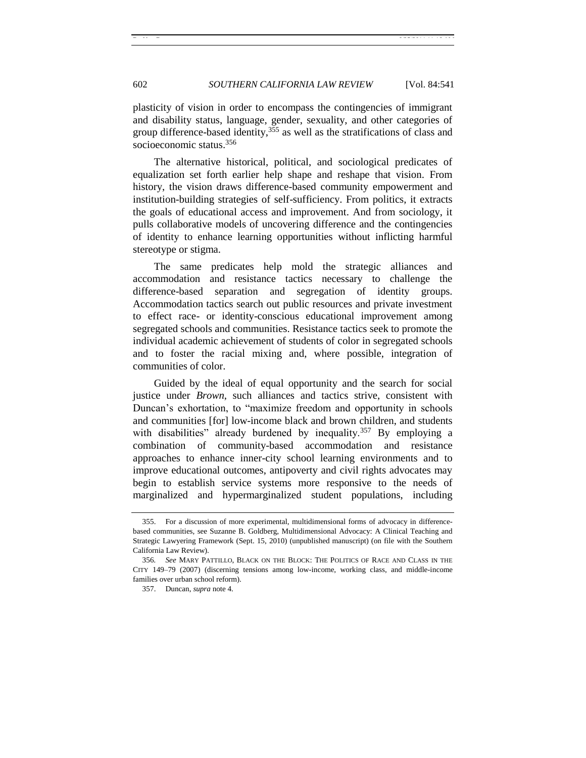plasticity of vision in order to encompass the contingencies of immigrant and disability status, language, gender, sexuality, and other categories of group difference-based identity,  $355$  as well as the stratifications of class and socioeconomic status.<sup>356</sup>

The alternative historical, political, and sociological predicates of equalization set forth earlier help shape and reshape that vision. From history, the vision draws difference-based community empowerment and institution-building strategies of self-sufficiency. From politics, it extracts the goals of educational access and improvement. And from sociology, it pulls collaborative models of uncovering difference and the contingencies of identity to enhance learning opportunities without inflicting harmful stereotype or stigma.

The same predicates help mold the strategic alliances and accommodation and resistance tactics necessary to challenge the difference-based separation and segregation of identity groups. Accommodation tactics search out public resources and private investment to effect race- or identity-conscious educational improvement among segregated schools and communities. Resistance tactics seek to promote the individual academic achievement of students of color in segregated schools and to foster the racial mixing and, where possible, integration of communities of color.

Guided by the ideal of equal opportunity and the search for social justice under *Brown*, such alliances and tactics strive, consistent with Duncan's exhortation, to "maximize freedom and opportunity in schools and communities [for] low-income black and brown children, and students with disabilities" already burdened by inequality.<sup>357</sup> By employing a combination of community-based accommodation and resistance approaches to enhance inner-city school learning environments and to improve educational outcomes, antipoverty and civil rights advocates may begin to establish service systems more responsive to the needs of marginalized and hypermarginalized student populations, including

<sup>355.</sup> For a discussion of more experimental, multidimensional forms of advocacy in differencebased communities, see Suzanne B. Goldberg, Multidimensional Advocacy: A Clinical Teaching and Strategic Lawyering Framework (Sept. 15, 2010) (unpublished manuscript) (on file with the Southern California Law Review).

<sup>356</sup>*. See* MARY PATTILLO, BLACK ON THE BLOCK: THE POLITICS OF RACE AND CLASS IN THE CITY 149–79 (2007) (discerning tensions among low-income, working class, and middle-income families over urban school reform).

<sup>357.</sup> Duncan, *supra* note 4.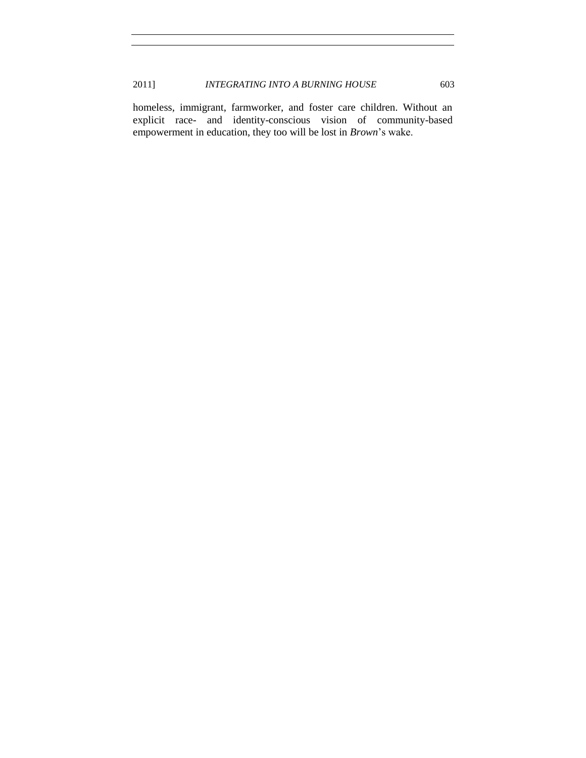homeless, immigrant, farmworker, and foster care children. Without an explicit race- and identity-conscious vision of community-based empowerment in education, they too will be lost in *Brown*'s wake.